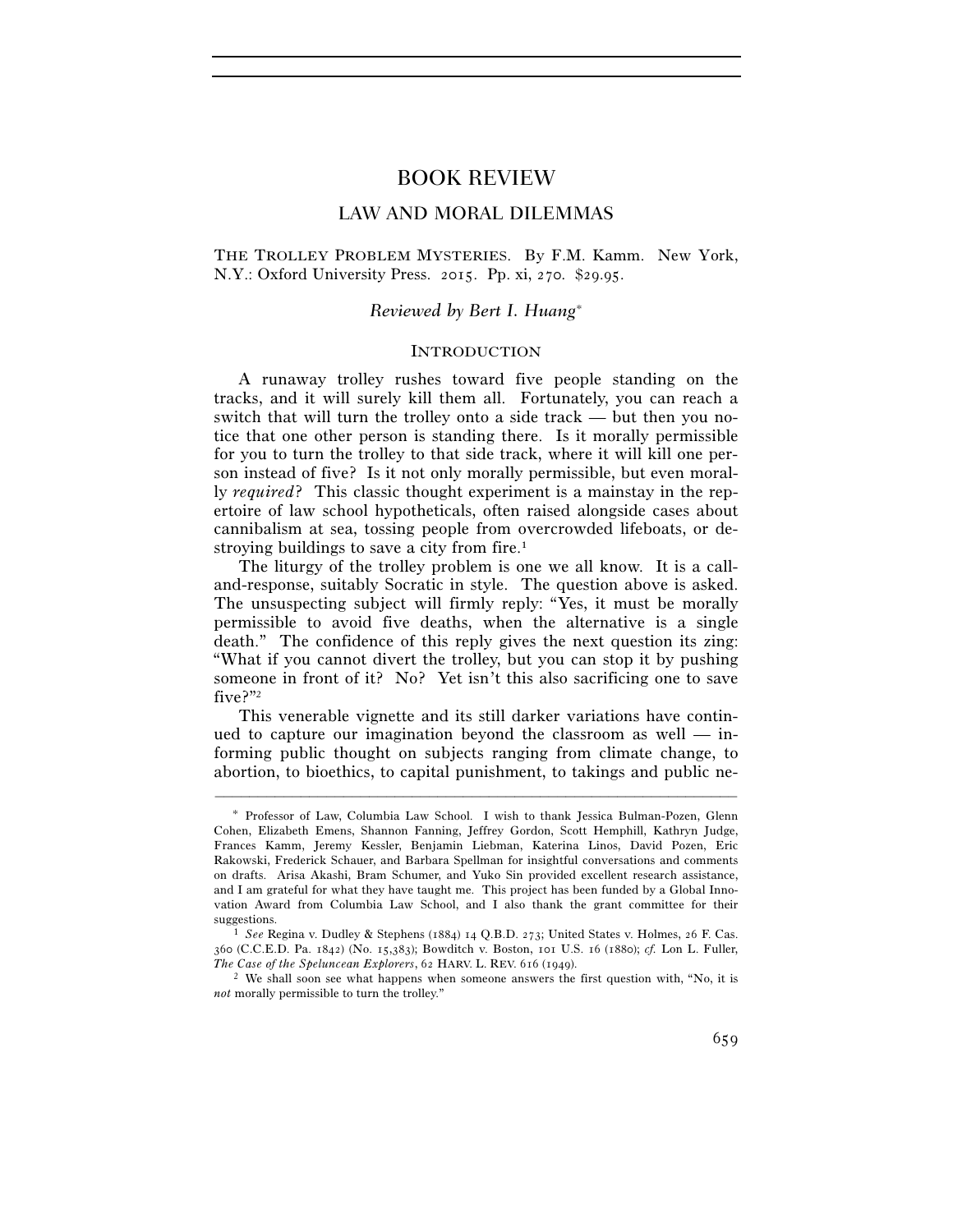# BOOK REVIEW

# LAW AND MORAL DILEMMAS

THE TROLLEY PROBLEM MYSTERIES. By F.M. Kamm. New York, N.Y.: Oxford University Press. 2015. Pp. xi, 270. \$29.95.

# *Reviewed by Bert I. Huang*<sup>∗</sup>

## INTRODUCTION

A runaway trolley rushes toward five people standing on the tracks, and it will surely kill them all. Fortunately, you can reach a switch that will turn the trolley onto a side track — but then you notice that one other person is standing there. Is it morally permissible for you to turn the trolley to that side track, where it will kill one person instead of five? Is it not only morally permissible, but even morally *required*? This classic thought experiment is a mainstay in the repertoire of law school hypotheticals, often raised alongside cases about cannibalism at sea, tossing people from overcrowded lifeboats, or destroying buildings to save a city from fire.1

The liturgy of the trolley problem is one we all know. It is a calland-response, suitably Socratic in style. The question above is asked. The unsuspecting subject will firmly reply: "Yes, it must be morally permissible to avoid five deaths, when the alternative is a single death." The confidence of this reply gives the next question its zing: "What if you cannot divert the trolley, but you can stop it by pushing someone in front of it? No? Yet isn't this also sacrificing one to save five?"2

This venerable vignette and its still darker variations have continued to capture our imagination beyond the classroom as well — informing public thought on subjects ranging from climate change, to abortion, to bioethics, to capital punishment, to takings and public ne-

<sup>∗</sup> Professor of Law, Columbia Law School. I wish to thank Jessica Bulman-Pozen, Glenn Cohen, Elizabeth Emens, Shannon Fanning, Jeffrey Gordon, Scott Hemphill, Kathryn Judge, Frances Kamm, Jeremy Kessler, Benjamin Liebman, Katerina Linos, David Pozen, Eric Rakowski, Frederick Schauer, and Barbara Spellman for insightful conversations and comments on drafts. Arisa Akashi, Bram Schumer, and Yuko Sin provided excellent research assistance, and I am grateful for what they have taught me. This project has been funded by a Global Innovation Award from Columbia Law School, and I also thank the grant committee for their suggestions. 1 *See* Regina v. Dudley & Stephens (1884) 14 Q.B.D. 273; United States v. Holmes, 26 F. Cas.

<sup>360</sup> (C.C.E.D. Pa. 1842) (No. 15,383); Bowditch v. Boston, 101 U.S. 16 (1880); *cf.* Lon L. Fuller, *The Case of the Speluncean Explorers*, 62 HARV. L. REV. 616 (1949).<br><sup>2</sup> We shall soon see what happens when someone answers the first question with, "No, it is

*not* morally permissible to turn the trolley."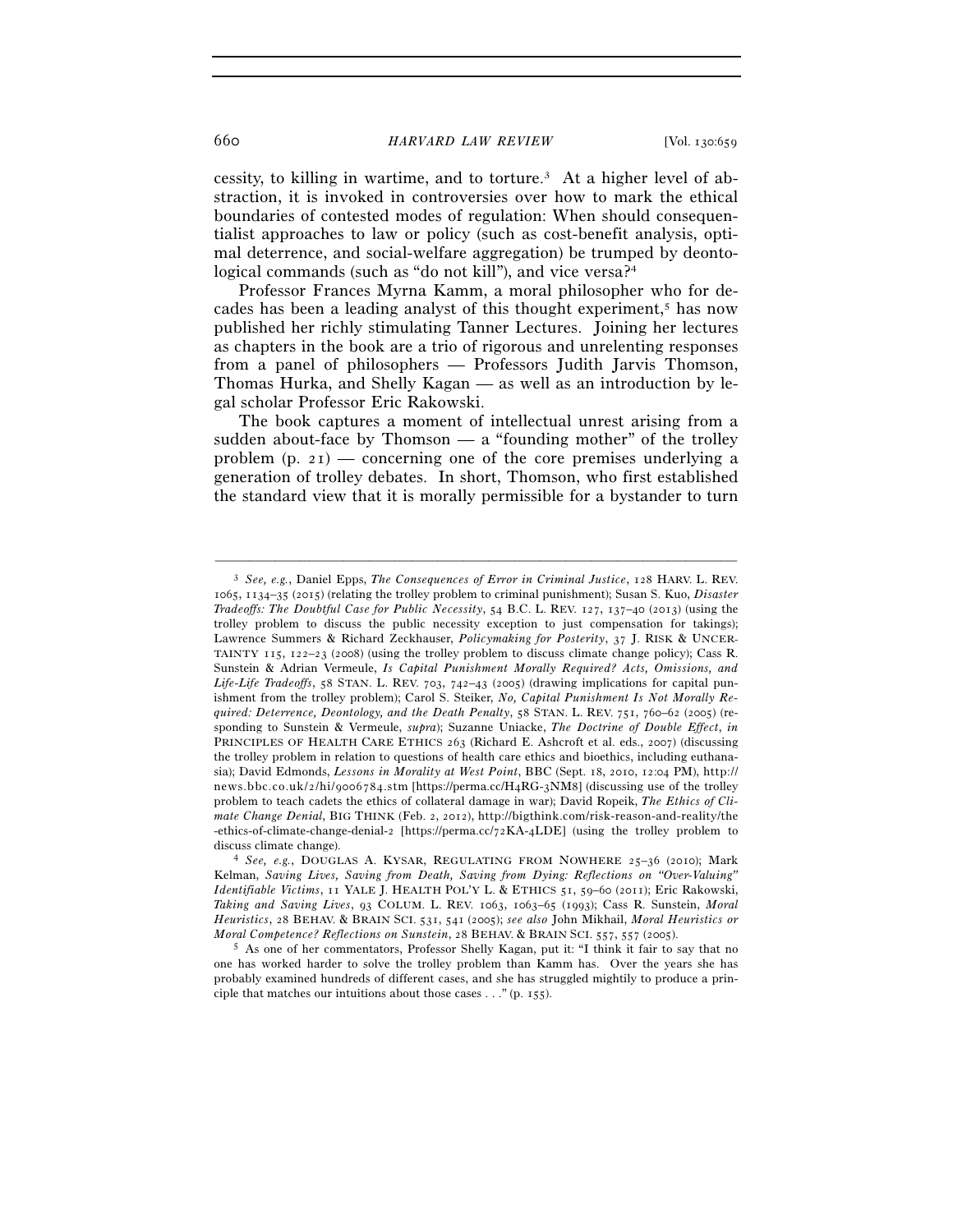660 *HARVARD LAW REVIEW* [Vol. 130:659

cessity, to killing in wartime, and to torture.3 At a higher level of abstraction, it is invoked in controversies over how to mark the ethical boundaries of contested modes of regulation: When should consequentialist approaches to law or policy (such as cost-benefit analysis, optimal deterrence, and social-welfare aggregation) be trumped by deontological commands (such as "do not kill"), and vice versa?<sup>4</sup>

Professor Frances Myrna Kamm, a moral philosopher who for decades has been a leading analyst of this thought experiment,<sup>5</sup> has now published her richly stimulating Tanner Lectures. Joining her lectures as chapters in the book are a trio of rigorous and unrelenting responses from a panel of philosophers — Professors Judith Jarvis Thomson, Thomas Hurka, and Shelly Kagan — as well as an introduction by legal scholar Professor Eric Rakowski.

The book captures a moment of intellectual unrest arising from a sudden about-face by Thomson — a "founding mother" of the trolley problem  $(p, 21)$  — concerning one of the core premises underlying a generation of trolley debates. In short, Thomson, who first established the standard view that it is morally permissible for a bystander to turn

<sup>3</sup> *See, e.g.*, Daniel Epps, *The Consequences of Error in Criminal Justice*, 128 HARV. L. REV. 1065, 1134–35 (2015) (relating the trolley problem to criminal punishment); Susan S. Kuo, *Disaster Tradeoffs: The Doubtful Case for Public Necessity*, 54 B.C. L. REV. 127, 137–40 (2013) (using the trolley problem to discuss the public necessity exception to just compensation for takings); Lawrence Summers & Richard Zeckhauser, *Policymaking for Posterity*, 37 J. RISK & UNCER-TAINTY 115, 122–23 (2008) (using the trolley problem to discuss climate change policy); Cass R. Sunstein & Adrian Vermeule, *Is Capital Punishment Morally Required? Acts, Omissions, and Life-Life Tradeoffs*, 58 STAN. L. REV. 703, 742–43 (2005) (drawing implications for capital punishment from the trolley problem); Carol S. Steiker, *No, Capital Punishment Is Not Morally Required: Deterrence, Deontology, and the Death Penalty*, 58 STAN. L. REV. 751, 760–62 (2005) (responding to Sunstein & Vermeule, *supra*); Suzanne Uniacke, *The Doctrine of Double Effect*, *in* PRINCIPLES OF HEALTH CARE ETHICS 263 (Richard E. Ashcroft et al. eds., 2007) (discussing the trolley problem in relation to questions of health care ethics and bioethics, including euthanasia); David Edmonds, Lessons in Morality at West Point, BBC (Sept. 18, 2010, 12:04 PM), http:// news.bbc.co.uk/2/hi/9006784.stm [https://perma.cc/H4RG-3NM8] (discussing use of the trolley problem to teach cadets the ethics of collateral damage in war); David Ropeik, *The Ethics of Climate Change Denial*, BIG THINK (Feb. 2, 2012), http://bigthink.com/risk-reason-and-reality/the -ethics-of-climate-change-denial-2 [https://perma.cc/72KA-4LDE] (using the trolley problem to discuss climate change). 4 *See, e.g.*, DOUGLAS A. KYSAR, REGULATING FROM NOWHERE <sup>25</sup>–36 (2010); Mark

Kelman, *Saving Lives, Saving from Death, Saving from Dying: Reflections on "Over-Valuing" Identifiable Victims*, 11 YALE J. HEALTH POL'Y L. & ETHICS 51, 59–60 (2011); Eric Rakowski, *Taking and Saving Lives*, 93 COLUM. L. REV. 1063, 1063–65 (1993); Cass R. Sunstein, *Moral Heuristics*, 28 BEHAV. & BRAIN SCI. 531, 541 (2005); *see also* John Mikhail, *Moral Heuristics or Moral Competence? Reflections on Sunstein*, 28 BEHAV. & BRAIN SCI. 557, 557 (2005).<br><sup>5</sup> As one of her commentators, Professor Shelly Kagan, put it: "I think it fair to say that no

one has worked harder to solve the trolley problem than Kamm has. Over the years she has probably examined hundreds of different cases, and she has struggled mightily to produce a principle that matches our intuitions about those cases . . ." (p. 155).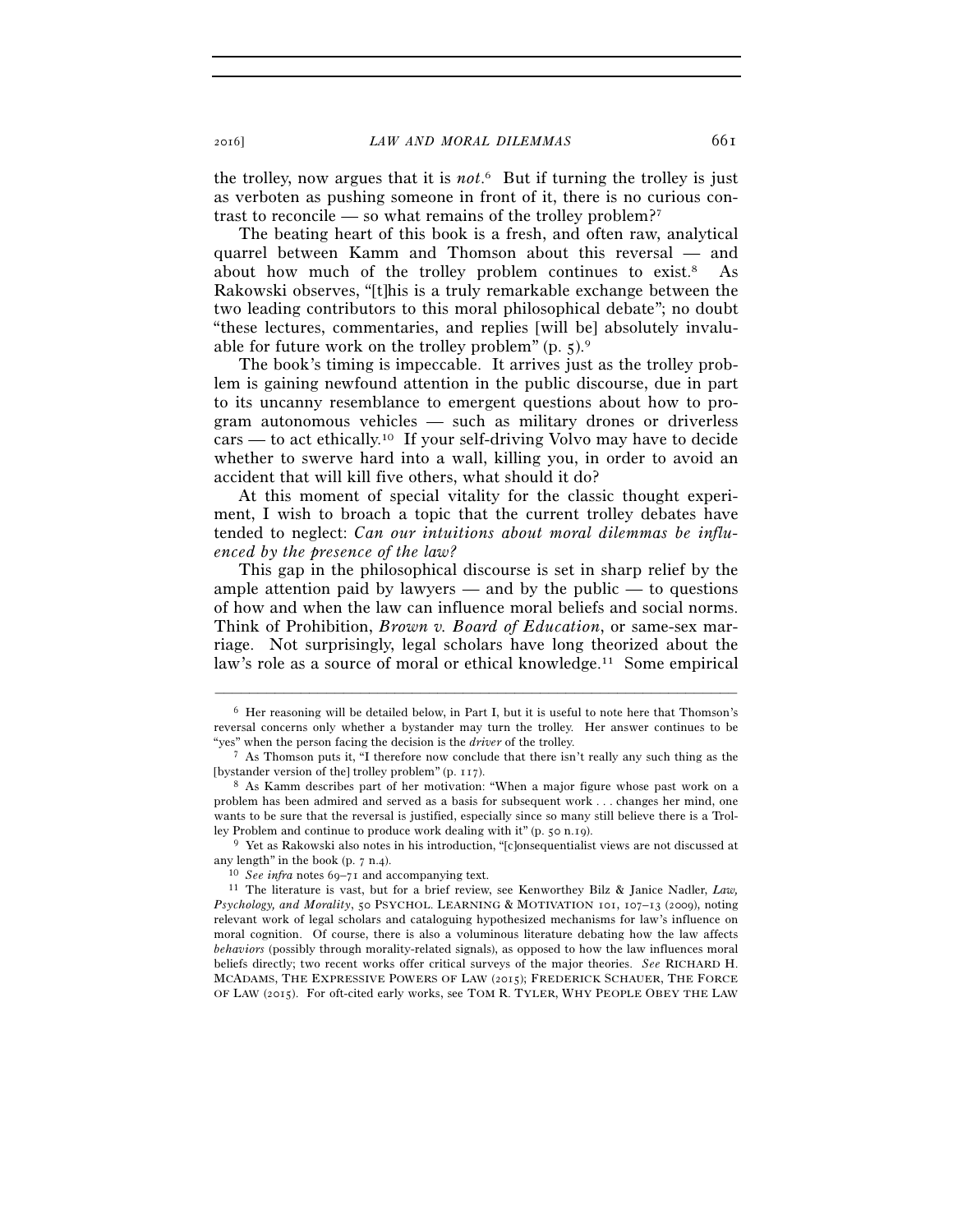the trolley, now argues that it is *not*. 6 But if turning the trolley is just as verboten as pushing someone in front of it, there is no curious contrast to reconcile — so what remains of the trolley problem?7

The beating heart of this book is a fresh, and often raw, analytical quarrel between Kamm and Thomson about this reversal — and about how much of the trolley problem continues to exist.8 As Rakowski observes, "[t]his is a truly remarkable exchange between the two leading contributors to this moral philosophical debate"; no doubt "these lectures, commentaries, and replies [will be] absolutely invaluable for future work on the trolley problem"  $(p, 5)$ .

The book's timing is impeccable. It arrives just as the trolley problem is gaining newfound attention in the public discourse, due in part to its uncanny resemblance to emergent questions about how to program autonomous vehicles — such as military drones or driverless cars — to act ethically.<sup>10</sup> If your self-driving Volvo may have to decide whether to swerve hard into a wall, killing you, in order to avoid an accident that will kill five others, what should it do?

At this moment of special vitality for the classic thought experiment, I wish to broach a topic that the current trolley debates have tended to neglect: *Can our intuitions about moral dilemmas be influenced by the presence of the law?*

This gap in the philosophical discourse is set in sharp relief by the ample attention paid by lawyers — and by the public — to questions of how and when the law can influence moral beliefs and social norms. Think of Prohibition, *Brown v. Board of Education*, or same-sex marriage. Not surprisingly, legal scholars have long theorized about the law's role as a source of moral or ethical knowledge.<sup>11</sup> Some empirical

–––––––––––––––––––––––––––––––––––––––––––––––––––––––––––––

any length" in the book (p. 7 n.4).<br><sup>10</sup> *See infra* notes 69–71 and accompanying text.<br><sup>11</sup> The literature is vast, but for a brief review, see Kenworthey Bilz & Janice Nadler, *Law*,

 $6$  Her reasoning will be detailed below, in Part I, but it is useful to note here that Thomson's reversal concerns only whether a bystander may turn the trolley. Her answer continues to be "yes" when the person facing the decision is the *driver* of the trolley. 7 As Thomson puts it, "I therefore now conclude that there isn't really any such thing as the

<sup>[</sup>bystander version of the] trolley problem" (p. 117). 8 As Kamm describes part of her motivation: "When a major figure whose past work on a

problem has been admired and served as a basis for subsequent work . . . changes her mind, one wants to be sure that the reversal is justified, especially since so many still believe there is a Trolley Problem and continue to produce work dealing with it" (p. 50 n.19). 9 Yet as Rakowski also notes in his introduction, "[c]onsequentialist views are not discussed at

*Psychology, and Morality*, 50 PSYCHOL. LEARNING & MOTIVATION 101, 107–13 (2009), noting relevant work of legal scholars and cataloguing hypothesized mechanisms for law's influence on moral cognition. Of course, there is also a voluminous literature debating how the law affects *behaviors* (possibly through morality-related signals), as opposed to how the law influences moral beliefs directly; two recent works offer critical surveys of the major theories. *See* RICHARD H. MCADAMS, THE EXPRESSIVE POWERS OF LAW (2015); FREDERICK SCHAUER, THE FORCE OF LAW (2015). For oft-cited early works, see TOM R. TYLER, WHY PEOPLE OBEY THE LAW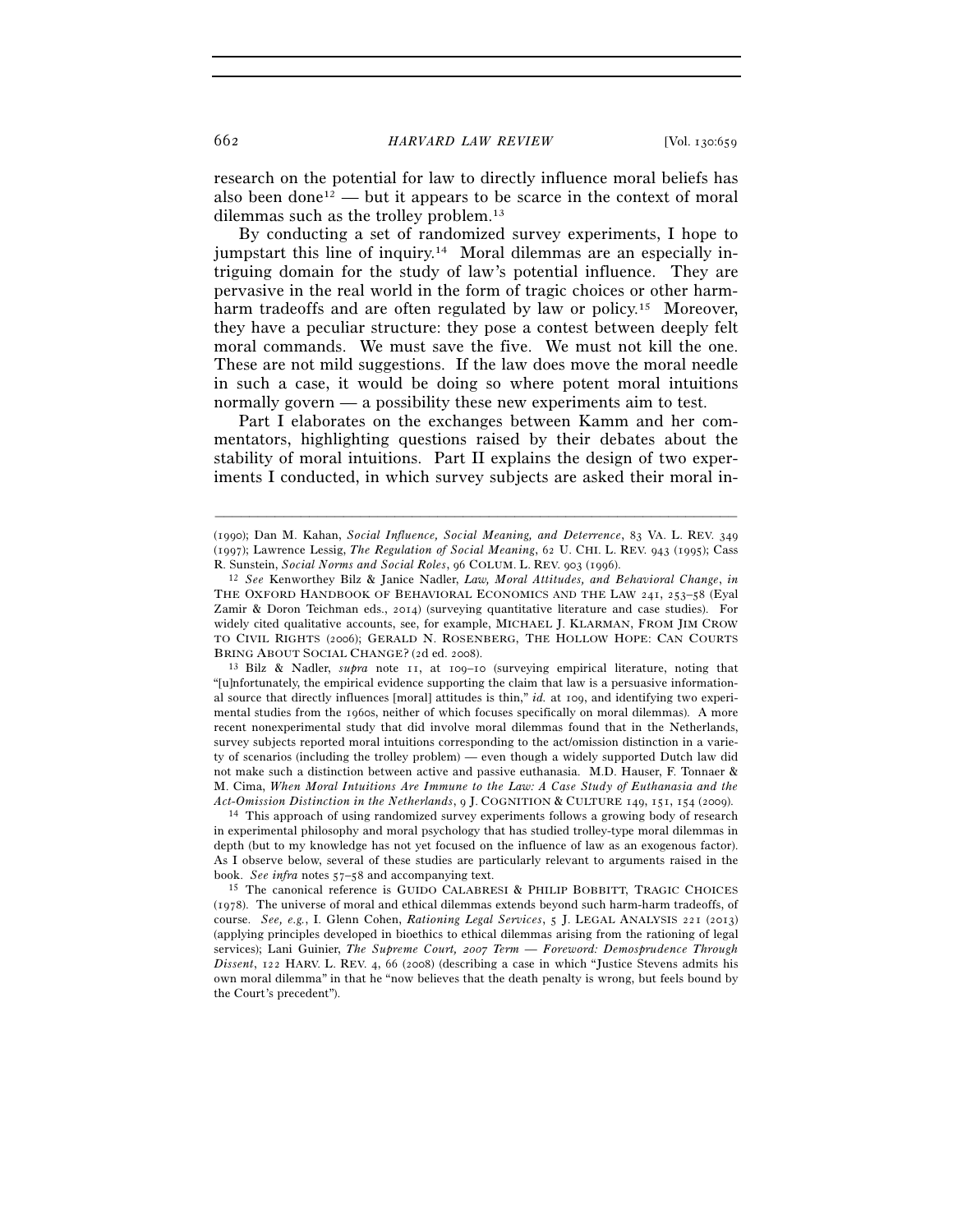research on the potential for law to directly influence moral beliefs has also been done<sup>12</sup> — but it appears to be scarce in the context of moral dilemmas such as the trolley problem.13

By conducting a set of randomized survey experiments, I hope to jumpstart this line of inquiry.14 Moral dilemmas are an especially intriguing domain for the study of law's potential influence. They are pervasive in the real world in the form of tragic choices or other harmharm tradeoffs and are often regulated by law or policy.<sup>15</sup> Moreover, they have a peculiar structure: they pose a contest between deeply felt moral commands. We must save the five. We must not kill the one. These are not mild suggestions. If the law does move the moral needle in such a case, it would be doing so where potent moral intuitions normally govern — a possibility these new experiments aim to test.

Part I elaborates on the exchanges between Kamm and her commentators, highlighting questions raised by their debates about the stability of moral intuitions. Part II explains the design of two experiments I conducted, in which survey subjects are asked their moral in-

–––––––––––––––––––––––––––––––––––––––––––––––––––––––––––––

"[u]nfortunately, the empirical evidence supporting the claim that law is a persuasive informational source that directly influences [moral] attitudes is thin," *id.* at 109, and identifying two experimental studies from the 1960s, neither of which focuses specifically on moral dilemmas). A more recent nonexperimental study that did involve moral dilemmas found that in the Netherlands, survey subjects reported moral intuitions corresponding to the act/omission distinction in a variety of scenarios (including the trolley problem) — even though a widely supported Dutch law did not make such a distinction between active and passive euthanasia. M.D. Hauser, F. Tonnaer & M. Cima, *When Moral Intuitions Are Immune to the Law: A Case Study of Euthanasia and the* 

*Act-Omission Distinction in the Netherlands*, 9 J. COGNITION & CULTURE <sup>149</sup>, 151, 154 (2009). 14 This approach of using randomized survey experiments follows a growing body of research in experimental philosophy and moral psychology that has studied trolley-type moral dilemmas in depth (but to my knowledge has not yet focused on the influence of law as an exogenous factor). As I observe below, several of these studies are particularly relevant to arguments raised in the book. *See infra* notes 57–58 and accompanying text.<br><sup>15</sup> The canonical reference is GUIDO CALABRESI & PHILIP BOBBITT, TRAGIC CHOICES

(1978). The universe of moral and ethical dilemmas extends beyond such harm-harm tradeoffs, of course. *See, e.g.*, I. Glenn Cohen, *Rationing Legal Services*, 5 J. LEGAL ANALYSIS 221 (2013) (applying principles developed in bioethics to ethical dilemmas arising from the rationing of legal services); Lani Guinier, *The Supreme Court, 2007 Term — Foreword: Demosprudence Through Dissent*, 122 HARV. L. REV. 4, 66 (2008) (describing a case in which "Justice Stevens admits his own moral dilemma" in that he "now believes that the death penalty is wrong, but feels bound by the Court's precedent").

<sup>(</sup>1990); Dan M. Kahan, *Social Influence, Social Meaning, and Deterrence*, 83 VA. L. REV. 349 (1997); Lawrence Lessig, *The Regulation of Social Meaning*, 62 U. CHI. L. REV. 943 (1995); Cass R. Sunstein, *Social Norms and Social Roles*, 96 COLUM. L. REV. 903 (1996). 12 *See* Kenworthey Bilz & Janice Nadler, *Law, Moral Attitudes, and Behavioral Change*, *in*

THE OXFORD HANDBOOK OF BEHAVIORAL ECONOMICS AND THE LAW 241, 253–58 (Eyal Zamir & Doron Teichman eds., 2014) (surveying quantitative literature and case studies). For widely cited qualitative accounts, see, for example, MICHAEL J. KLARMAN, FROM JIM CROW TO CIVIL RIGHTS (2006); GERALD N. ROSENBERG, THE HOLLOW HOPE: CAN COURTS BRING ABOUT SOCIAL CHANGE? (2d ed. 2008). 13 Bilz & Nadler, *supra* note 11, at 109–10 (surveying empirical literature, noting that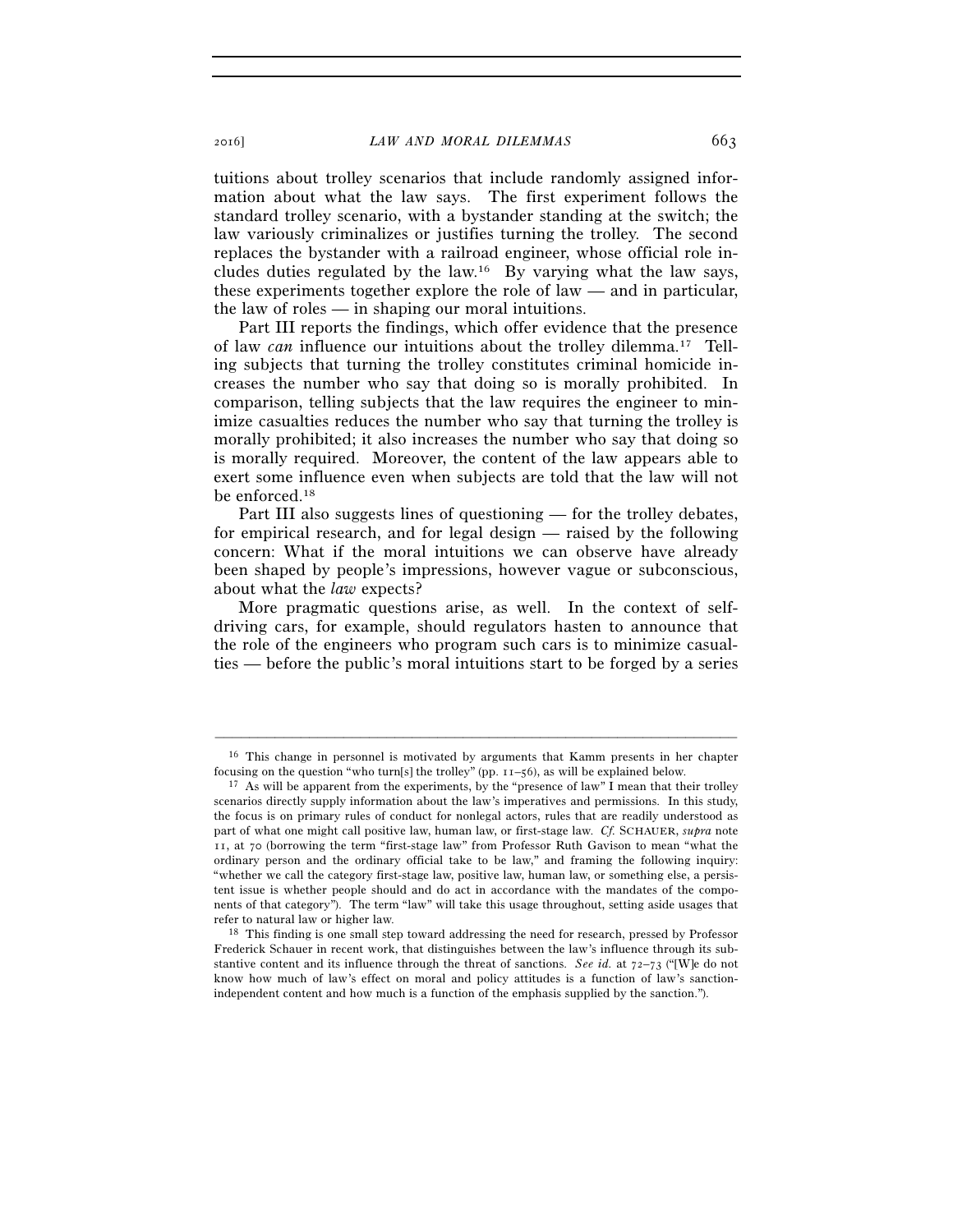tuitions about trolley scenarios that include randomly assigned information about what the law says. The first experiment follows the standard trolley scenario, with a bystander standing at the switch; the law variously criminalizes or justifies turning the trolley. The second replaces the bystander with a railroad engineer, whose official role includes duties regulated by the law.16 By varying what the law says, these experiments together explore the role of law — and in particular, the law of roles — in shaping our moral intuitions.

Part III reports the findings, which offer evidence that the presence of law *can* influence our intuitions about the trolley dilemma.17 Telling subjects that turning the trolley constitutes criminal homicide increases the number who say that doing so is morally prohibited. In comparison, telling subjects that the law requires the engineer to minimize casualties reduces the number who say that turning the trolley is morally prohibited; it also increases the number who say that doing so is morally required. Moreover, the content of the law appears able to exert some influence even when subjects are told that the law will not be enforced.18

Part III also suggests lines of questioning — for the trolley debates, for empirical research, and for legal design — raised by the following concern: What if the moral intuitions we can observe have already been shaped by people's impressions, however vague or subconscious, about what the *law* expects?

More pragmatic questions arise, as well. In the context of selfdriving cars, for example, should regulators hasten to announce that the role of the engineers who program such cars is to minimize casualties — before the public's moral intuitions start to be forged by a series

<sup>–––––––––––––––––––––––––––––––––––––––––––––––––––––––––––––</sup> 16 This change in personnel is motivated by arguments that Kamm presents in her chapter focusing on the question "who turn[s] the trolley" (pp.  $11-56$ ), as will be explained below.<br><sup>17</sup> As will be apparent from the experiments, by the "presence of law" I mean that their trolley

scenarios directly supply information about the law's imperatives and permissions. In this study, the focus is on primary rules of conduct for nonlegal actors, rules that are readily understood as part of what one might call positive law, human law, or first-stage law. *Cf.* SCHAUER, *supra* note 11, at 70 (borrowing the term "first-stage law" from Professor Ruth Gavison to mean "what the ordinary person and the ordinary official take to be law," and framing the following inquiry: "whether we call the category first-stage law, positive law, human law, or something else, a persistent issue is whether people should and do act in accordance with the mandates of the components of that category"). The term "law" will take this usage throughout, setting aside usages that refer to natural law or higher law. 18 This finding is one small step toward addressing the need for research, pressed by Professor

Frederick Schauer in recent work, that distinguishes between the law's influence through its substantive content and its influence through the threat of sanctions. *See id.* at 72–73 ("[W]e do not know how much of law's effect on moral and policy attitudes is a function of law's sanctionindependent content and how much is a function of the emphasis supplied by the sanction.").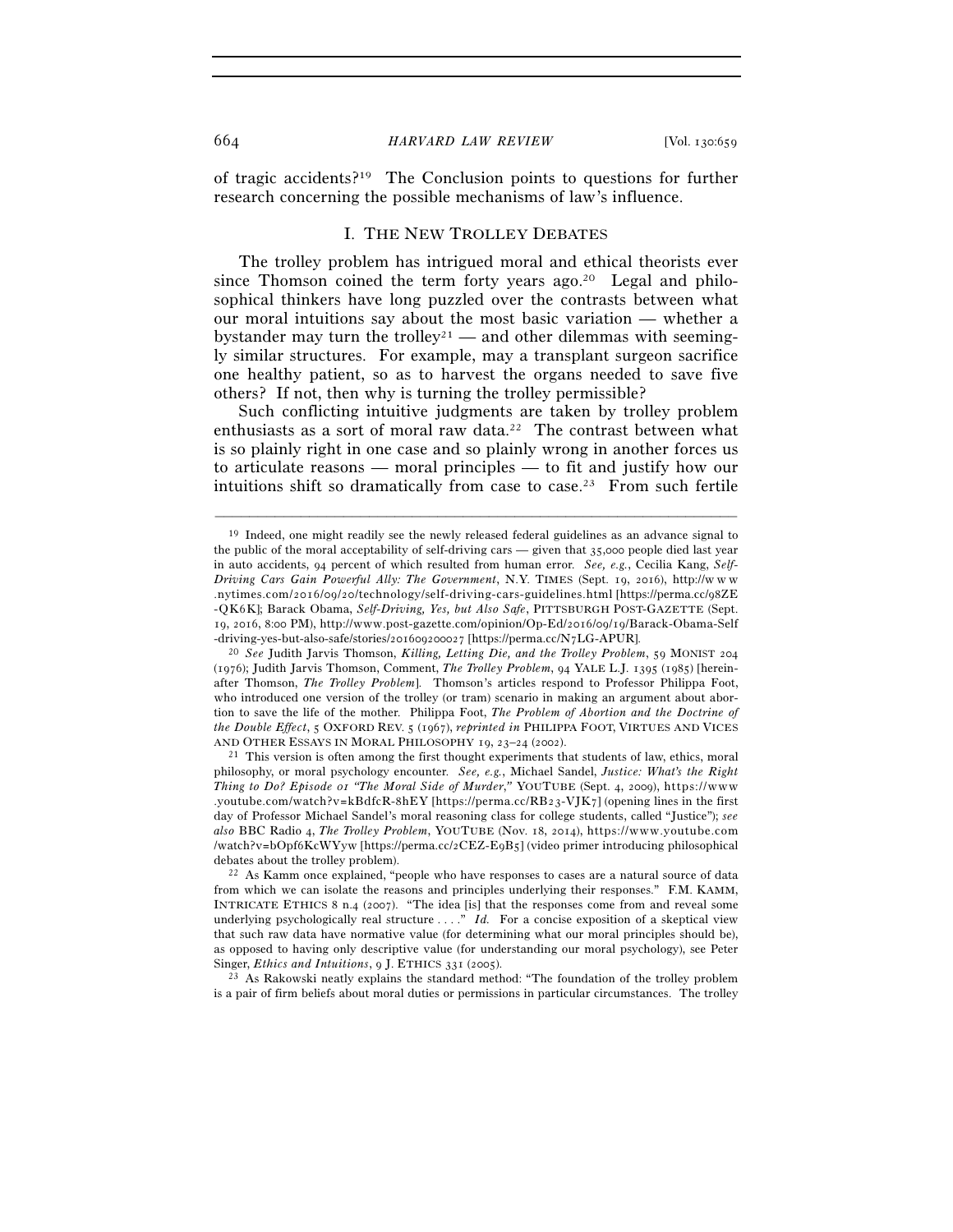of tragic accidents?19 The Conclusion points to questions for further research concerning the possible mechanisms of law's influence.

### I. THE NEW TROLLEY DEBATES

The trolley problem has intrigued moral and ethical theorists ever since Thomson coined the term forty years ago.<sup>20</sup> Legal and philosophical thinkers have long puzzled over the contrasts between what our moral intuitions say about the most basic variation — whether a bystander may turn the trolley<sup>21</sup> — and other dilemmas with seemingly similar structures. For example, may a transplant surgeon sacrifice one healthy patient, so as to harvest the organs needed to save five others? If not, then why is turning the trolley permissible?

Such conflicting intuitive judgments are taken by trolley problem enthusiasts as a sort of moral raw data.<sup>22</sup> The contrast between what is so plainly right in one case and so plainly wrong in another forces us to articulate reasons — moral principles — to fit and justify how our intuitions shift so dramatically from case to case.23 From such fertile

–––––––––––––––––––––––––––––––––––––––––––––––––––––––––––––

 $21$  This version is often among the first thought experiments that students of law, ethics, moral philosophy, or moral psychology encounter. *See, e.g.*, Michael Sandel, *Justice: What's the Right Thing to Do? Episode or "The Moral Side of Murder," YOUTUBE (Sept. 4, 2009), https://www* . youtube.com/watch?v=kBdfcR-8hEY [https://perma.cc/RB23-VJK7] (opening lines in the first day of Professor Michael Sandel's moral reasoning class for college students, called "Justice"); *see also* BBC Radio 4, *The Trolley Problem*, YOUTUBE (Nov. 18, 2014), https://www.youtube.com /watch?v=bOpf6KcWYyw [https://perma.cc/2CEZ-E9B5] (video primer introducing philosophical debates about the trolley problem).<br><sup>22</sup> As Kamm once explained, "people who have responses to cases are a natural source of data

is a pair of firm beliefs about moral duties or permissions in particular circumstances. The trolley

<sup>&</sup>lt;sup>19</sup> Indeed, one might readily see the newly released federal guidelines as an advance signal to the public of the moral acceptability of self-driving cars — given that 35,000 people died last year in auto accidents, 94 percent of which resulted from human error. *See, e.g.*, Cecilia Kang, *Self-Driving Cars Gain Powerful Ally: The Government*, N.Y. TIMES (Sept. 19, 2016), http://w w w .nytimes.com/2016/09/20/technology/self-driving-cars-guidelines.html [https://perma.cc/98ZE - Q K 6 K]; Barack Obama, *Self-Driving, Yes, but Also Safe*, PITTSBURGH POST-GAZETTE (Sept. 19, 2016, 8:00 PM), http://www.post-gazette.com/opinion/Op-Ed/2016/09/19/Barack-Obama-Self -driving-yes-but-also-safe/stories/201609200027 [https://perma.cc/N7LG-APUR]. 20 *See* Judith Jarvis Thomson, *Killing, Letting Die, and the Trolley Problem*, 59 MONIST <sup>204</sup>

<sup>(</sup>1976); Judith Jarvis Thomson, Comment, *The Trolley Problem*, 94 YALE L.J. 1395 (1985) [hereinafter Thomson, *The Trolley Problem*]. Thomson's articles respond to Professor Philippa Foot, who introduced one version of the trolley (or tram) scenario in making an argument about abortion to save the life of the mother. Philippa Foot, *The Problem of Abortion and the Doctrine of the Double Effect*, 5 OXFORD REV. 5 (1967), *reprinted in* PHILIPPA FOOT, VIRTUES AND VICES AND OTHER ESSAYS IN MORAL PHILOSOPHY 19, 23–24 (2002).

from which we can isolate the reasons and principles underlying their responses." F.M. KAMM, INTRICATE ETHICS 8 n.4 (2007). "The idea [is] that the responses come from and reveal some underlying psychologically real structure  $\dots$ ." *Id.* For a concise exposition of a skeptical view that such raw data have normative value (for determining what our moral principles should be), as opposed to having only descriptive value (for understanding our moral psychology), see Peter Singer, *Ethics and Intuitions*, 9 J. ETHICS 331 (2005).<br><sup>23</sup> As Rakowski neatly explains the standard method: "The foundation of the trolley problem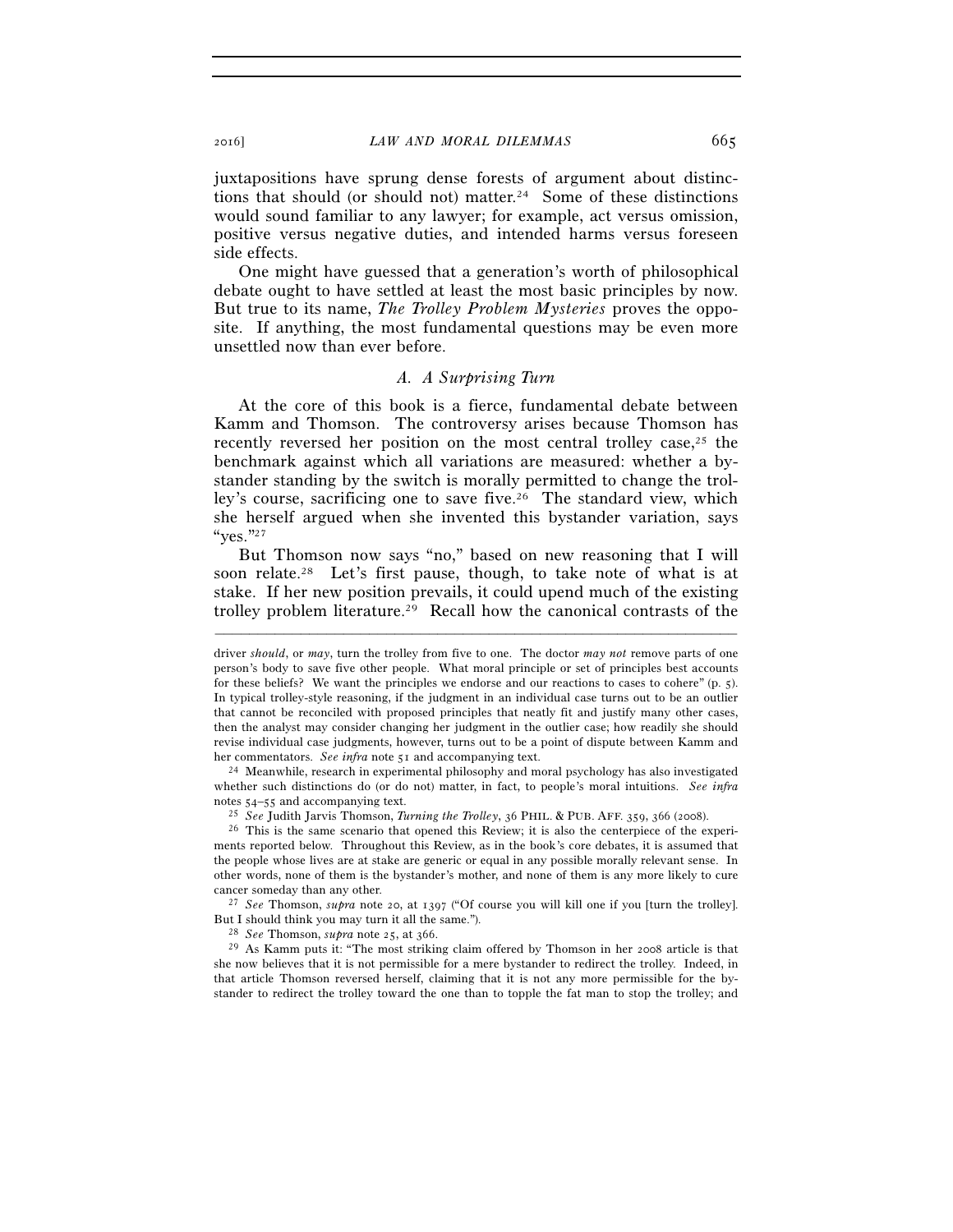juxtapositions have sprung dense forests of argument about distinctions that should (or should not) matter.<sup>24</sup> Some of these distinctions would sound familiar to any lawyer; for example, act versus omission, positive versus negative duties, and intended harms versus foreseen side effects.

One might have guessed that a generation's worth of philosophical debate ought to have settled at least the most basic principles by now. But true to its name, *The Trolley Problem Mysteries* proves the opposite. If anything, the most fundamental questions may be even more unsettled now than ever before.

## *A. A Surprising Turn*

At the core of this book is a fierce, fundamental debate between Kamm and Thomson. The controversy arises because Thomson has recently reversed her position on the most central trolley case, $2<sup>5</sup>$  the benchmark against which all variations are measured: whether a bystander standing by the switch is morally permitted to change the trolley's course, sacrificing one to save five.26 The standard view, which she herself argued when she invented this bystander variation, says "yes."27

But Thomson now says "no," based on new reasoning that I will soon relate.<sup>28</sup> Let's first pause, though, to take note of what is at stake. If her new position prevails, it could upend much of the existing trolley problem literature.29 Recall how the canonical contrasts of the

–––––––––––––––––––––––––––––––––––––––––––––––––––––––––––––

her commentators. *See infra* note 51 and accompanying text. 24 Meanwhile, research in experimental philosophy and moral psychology has also investigated whether such distinctions do (or do not) matter, in fact, to people's moral intuitions. *See infra* notes 54–55 and accompanying text.<br><sup>25</sup> See Judith Jarvis Thomson, *Turning the Trolley*, 36 PHIL. & PUB. AFF. 359, 366 (2008).<br><sup>26</sup> This is the same scenario that opened this Review; it is also the centerpiece of the expe

ments reported below. Throughout this Review, as in the book's core debates, it is assumed that the people whose lives are at stake are generic or equal in any possible morally relevant sense. In other words, none of them is the bystander's mother, and none of them is any more likely to cure cancer someday than any other. 27 *See* Thomson, *supra* note 20, at 1397 ("Of course you will kill one if you [turn the trolley].

But I should think you may turn it all the same."). 28 *See* Thomson, *supra* note 25, at 366. 29 As Kamm puts it: "The most striking claim offered by Thomson in her 2008 article is that

she now believes that it is not permissible for a mere bystander to redirect the trolley. Indeed, in that article Thomson reversed herself, claiming that it is not any more permissible for the bystander to redirect the trolley toward the one than to topple the fat man to stop the trolley; and

driver *should*, or *may*, turn the trolley from five to one. The doctor *may not* remove parts of one person's body to save five other people. What moral principle or set of principles best accounts for these beliefs? We want the principles we endorse and our reactions to cases to cohere" (p. 5). In typical trolley-style reasoning, if the judgment in an individual case turns out to be an outlier that cannot be reconciled with proposed principles that neatly fit and justify many other cases, then the analyst may consider changing her judgment in the outlier case; how readily she should revise individual case judgments, however, turns out to be a point of dispute between Kamm and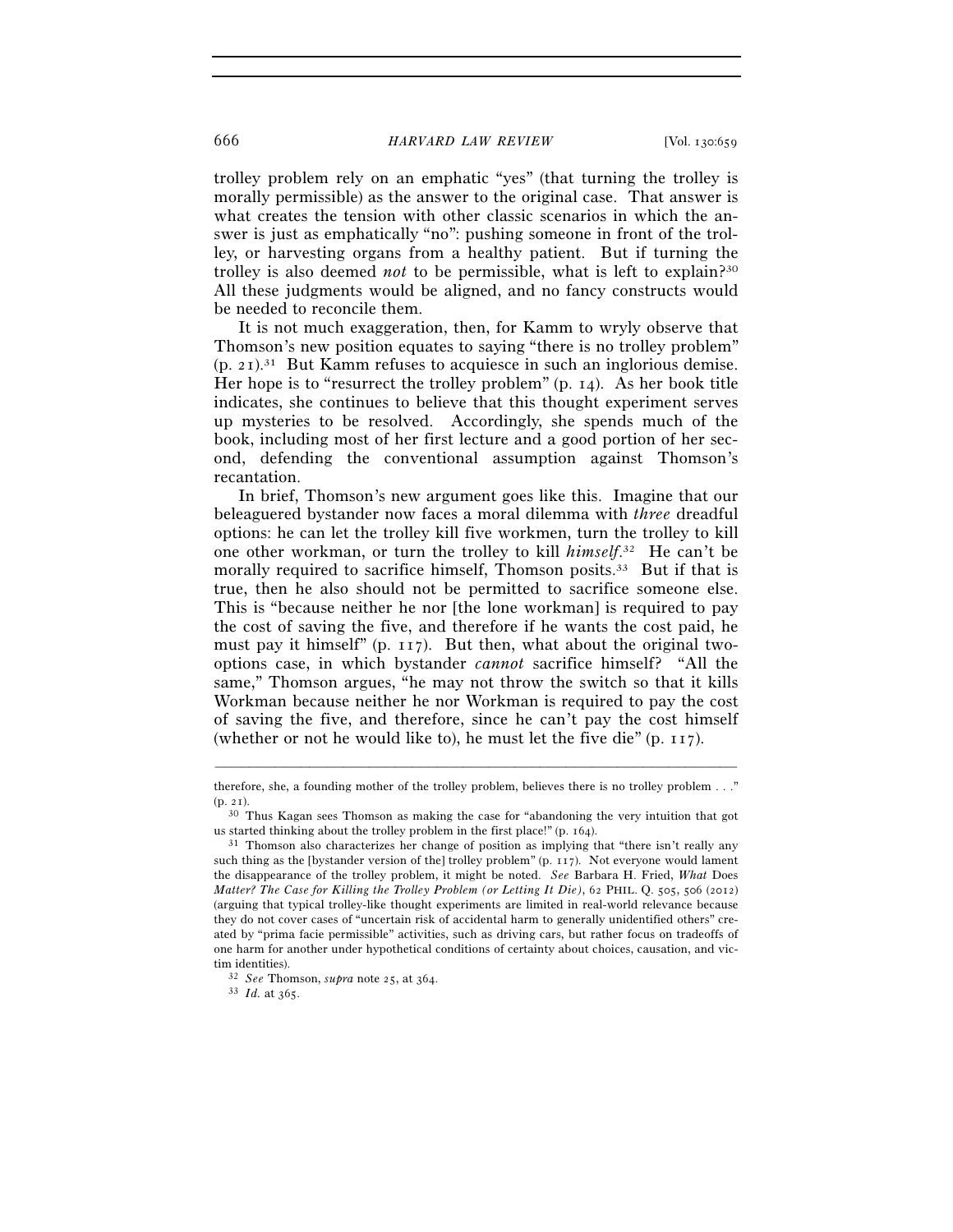### 666 *HARVARD LAW REVIEW* [Vol. 130:659

trolley problem rely on an emphatic "yes" (that turning the trolley is morally permissible) as the answer to the original case. That answer is what creates the tension with other classic scenarios in which the answer is just as emphatically "no": pushing someone in front of the trolley, or harvesting organs from a healthy patient. But if turning the trolley is also deemed *not* to be permissible, what is left to explain?30 All these judgments would be aligned, and no fancy constructs would be needed to reconcile them.

It is not much exaggeration, then, for Kamm to wryly observe that Thomson's new position equates to saying "there is no trolley problem"  $(p, 21)^{31}$  But Kamm refuses to acquiesce in such an inglorious demise. Her hope is to "resurrect the trolley problem" (p. 14). As her book title indicates, she continues to believe that this thought experiment serves up mysteries to be resolved. Accordingly, she spends much of the book, including most of her first lecture and a good portion of her second, defending the conventional assumption against Thomson's recantation.

In brief, Thomson's new argument goes like this. Imagine that our beleaguered bystander now faces a moral dilemma with *three* dreadful options: he can let the trolley kill five workmen, turn the trolley to kill one other workman, or turn the trolley to kill *himself*. 32 He can't be morally required to sacrifice himself, Thomson posits.33 But if that is true, then he also should not be permitted to sacrifice someone else. This is "because neither he nor [the lone workman] is required to pay the cost of saving the five, and therefore if he wants the cost paid, he must pay it himself" (p. 117). But then, what about the original twooptions case, in which bystander *cannot* sacrifice himself? "All the same," Thomson argues, "he may not throw the switch so that it kills Workman because neither he nor Workman is required to pay the cost of saving the five, and therefore, since he can't pay the cost himself (whether or not he would like to), he must let the five die" (p. 117).

<sup>–––––––––––––––––––––––––––––––––––––––––––––––––––––––––––––</sup> therefore, she, a founding mother of the trolley problem, believes there is no trolley problem . . ."  $(p, 21)$ .

<sup>&</sup>lt;sup>30</sup> Thus Kagan sees Thomson as making the case for "abandoning the very intuition that got us started thinking about the trolley problem in the first place!" (p. 164).<br> $31$  Thomson also characterizes her change of position as implying that "there isn't really any

such thing as the [bystander version of the] trolley problem" (p. 117). Not everyone would lament the disappearance of the trolley problem, it might be noted. *See* Barbara H. Fried, *What* Does *Matter? The Case for Killing the Trolley Problem (or Letting It Die)*, 62 PHIL. Q. 505, 506 (2012) (arguing that typical trolley-like thought experiments are limited in real-world relevance because they do not cover cases of "uncertain risk of accidental harm to generally unidentified others" created by "prima facie permissible" activities, such as driving cars, but rather focus on tradeoffs of one harm for another under hypothetical conditions of certainty about choices, causation, and victim identities). 32 *See* Thomson, *supra* note 25, at 364. 33 *Id.* at 365.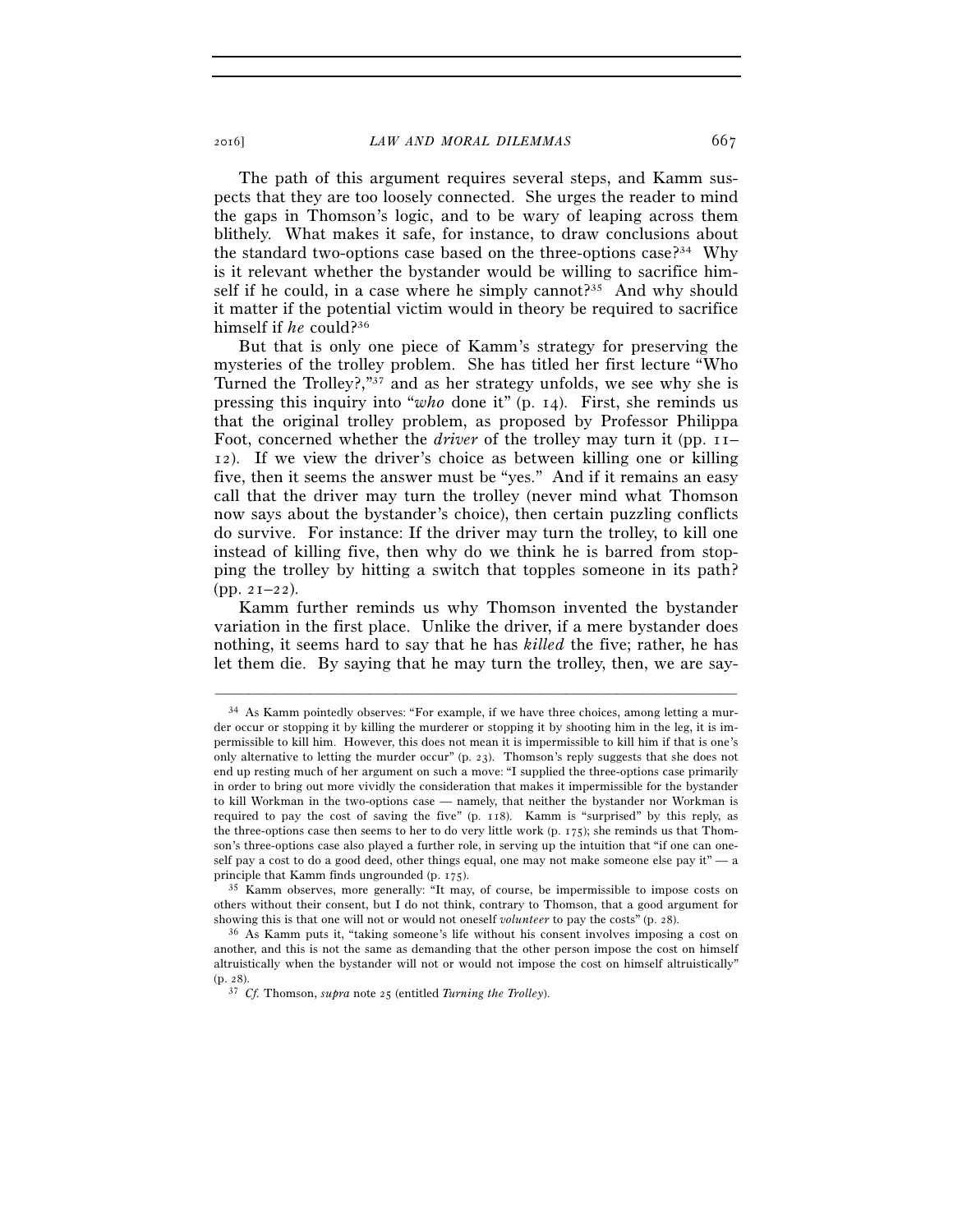The path of this argument requires several steps, and Kamm suspects that they are too loosely connected. She urges the reader to mind the gaps in Thomson's logic, and to be wary of leaping across them blithely. What makes it safe, for instance, to draw conclusions about the standard two-options case based on the three-options case?<sup>34</sup> Why is it relevant whether the bystander would be willing to sacrifice himself if he could, in a case where he simply cannot?<sup>35</sup> And why should it matter if the potential victim would in theory be required to sacrifice himself if *he* could?36

But that is only one piece of Kamm's strategy for preserving the mysteries of the trolley problem. She has titled her first lecture "Who Turned the Trolley?,"37 and as her strategy unfolds, we see why she is pressing this inquiry into "*who* done it" (p. 14). First, she reminds us that the original trolley problem, as proposed by Professor Philippa Foot, concerned whether the *driver* of the trolley may turn it (pp. 11– 12). If we view the driver's choice as between killing one or killing five, then it seems the answer must be "yes." And if it remains an easy call that the driver may turn the trolley (never mind what Thomson now says about the bystander's choice), then certain puzzling conflicts do survive. For instance: If the driver may turn the trolley, to kill one instead of killing five, then why do we think he is barred from stopping the trolley by hitting a switch that topples someone in its path? (pp. 21–22).

Kamm further reminds us why Thomson invented the bystander variation in the first place. Unlike the driver, if a mere bystander does nothing, it seems hard to say that he has *killed* the five; rather, he has let them die. By saying that he may turn the trolley, then, we are say-

<sup>34</sup> As Kamm pointedly observes: "For example, if we have three choices, among letting a murder occur or stopping it by killing the murderer or stopping it by shooting him in the leg, it is impermissible to kill him. However, this does not mean it is impermissible to kill him if that is one's only alternative to letting the murder occur" (p. 23). Thomson's reply suggests that she does not end up resting much of her argument on such a move: "I supplied the three-options case primarily in order to bring out more vividly the consideration that makes it impermissible for the bystander to kill Workman in the two-options case — namely, that neither the bystander nor Workman is required to pay the cost of saving the five" (p. 118). Kamm is "surprised" by this reply, as the three-options case then seems to her to do very little work (p. 175); she reminds us that Thomson's three-options case also played a further role, in serving up the intuition that "if one can oneself pay a cost to do a good deed, other things equal, one may not make someone else pay it" — a principle that Kamm finds ungrounded (p. 175).<br><sup>35</sup> Kamm observes, more generally: "It may, of course, be impermissible to impose costs on

others without their consent, but I do not think, contrary to Thomson, that a good argument for showing this is that one will not or would not oneself *volunteer* to pay the costs" (p. 28).<br><sup>36</sup> As Kamm puts it, "taking someone's life without his consent involves imposing a cost on

another, and this is not the same as demanding that the other person impose the cost on himself altruistically when the bystander will not or would not impose the cost on himself altruistically" (p. 28). 37 *Cf.* Thomson, *supra* note 25 (entitled *Turning the Trolley*).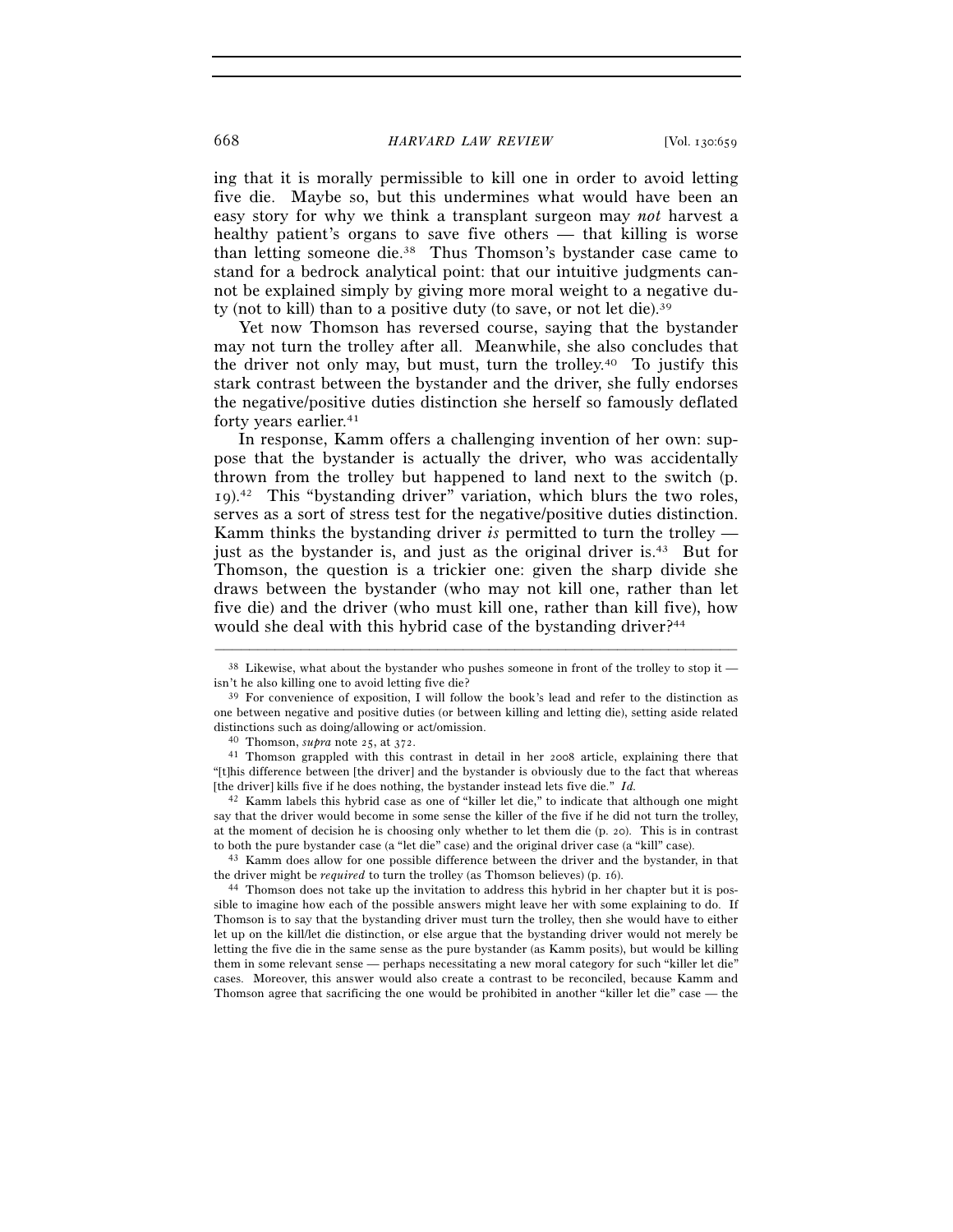ing that it is morally permissible to kill one in order to avoid letting five die. Maybe so, but this undermines what would have been an easy story for why we think a transplant surgeon may *not* harvest a healthy patient's organs to save five others — that killing is worse than letting someone die.38 Thus Thomson's bystander case came to stand for a bedrock analytical point: that our intuitive judgments cannot be explained simply by giving more moral weight to a negative duty (not to kill) than to a positive duty (to save, or not let die).39

Yet now Thomson has reversed course, saying that the bystander may not turn the trolley after all. Meanwhile, she also concludes that the driver not only may, but must, turn the trolley.40 To justify this stark contrast between the bystander and the driver, she fully endorses the negative/positive duties distinction she herself so famously deflated forty years earlier.<sup>41</sup>

In response, Kamm offers a challenging invention of her own: suppose that the bystander is actually the driver, who was accidentally thrown from the trolley but happened to land next to the switch (p. 19).42 This "bystanding driver" variation, which blurs the two roles, serves as a sort of stress test for the negative/positive duties distinction. Kamm thinks the bystanding driver *is* permitted to turn the trolley just as the bystander is, and just as the original driver is.43 But for Thomson, the question is a trickier one: given the sharp divide she draws between the bystander (who may not kill one, rather than let five die) and the driver (who must kill one, rather than kill five), how would she deal with this hybrid case of the bystanding driver?<sup>44</sup>

<sup>43</sup> Kamm does allow for one possible difference between the driver and the bystander, in that the driver might be *required* to turn the trolley (as Thomson believes) (p. 16).<br><sup>44</sup> Thomson does not take up the invitation to address this hybrid in her chapter but it is pos-

sible to imagine how each of the possible answers might leave her with some explaining to do. If Thomson is to say that the bystanding driver must turn the trolley, then she would have to either let up on the kill/let die distinction, or else argue that the bystanding driver would not merely be letting the five die in the same sense as the pure bystander (as Kamm posits), but would be killing them in some relevant sense — perhaps necessitating a new moral category for such "killer let die" cases. Moreover, this answer would also create a contrast to be reconciled, because Kamm and Thomson agree that sacrificing the one would be prohibited in another "killer let die" case — the

<sup>–––––––––––––––––––––––––––––––––––––––––––––––––––––––––––––</sup> <sup>38</sup> Likewise, what about the bystander who pushes someone in front of the trolley to stop it — isn't he also killing one to avoid letting five die?

 $39$  For convenience of exposition, I will follow the book's lead and refer to the distinction as one between negative and positive duties (or between killing and letting die), setting aside related distinctions such as doing/allowing or act/omission.<br><sup>40</sup> Thomson, *supra* note 25, at 372.<br><sup>41</sup> Thomson grappled with this contrast in detail in her 2008 article, explaining there that

<sup>&</sup>quot;[t]his difference between [the driver] and the bystander is obviously due to the fact that whereas [the driver] kills five if he does nothing, the bystander instead lets five die." *Id.*

<sup>42</sup> Kamm labels this hybrid case as one of "killer let die," to indicate that although one might say that the driver would become in some sense the killer of the five if he did not turn the trolley, at the moment of decision he is choosing only whether to let them die (p. 20). This is in contrast to both the pure bystander case (a "let die" case) and the original driver case (a "kill" case).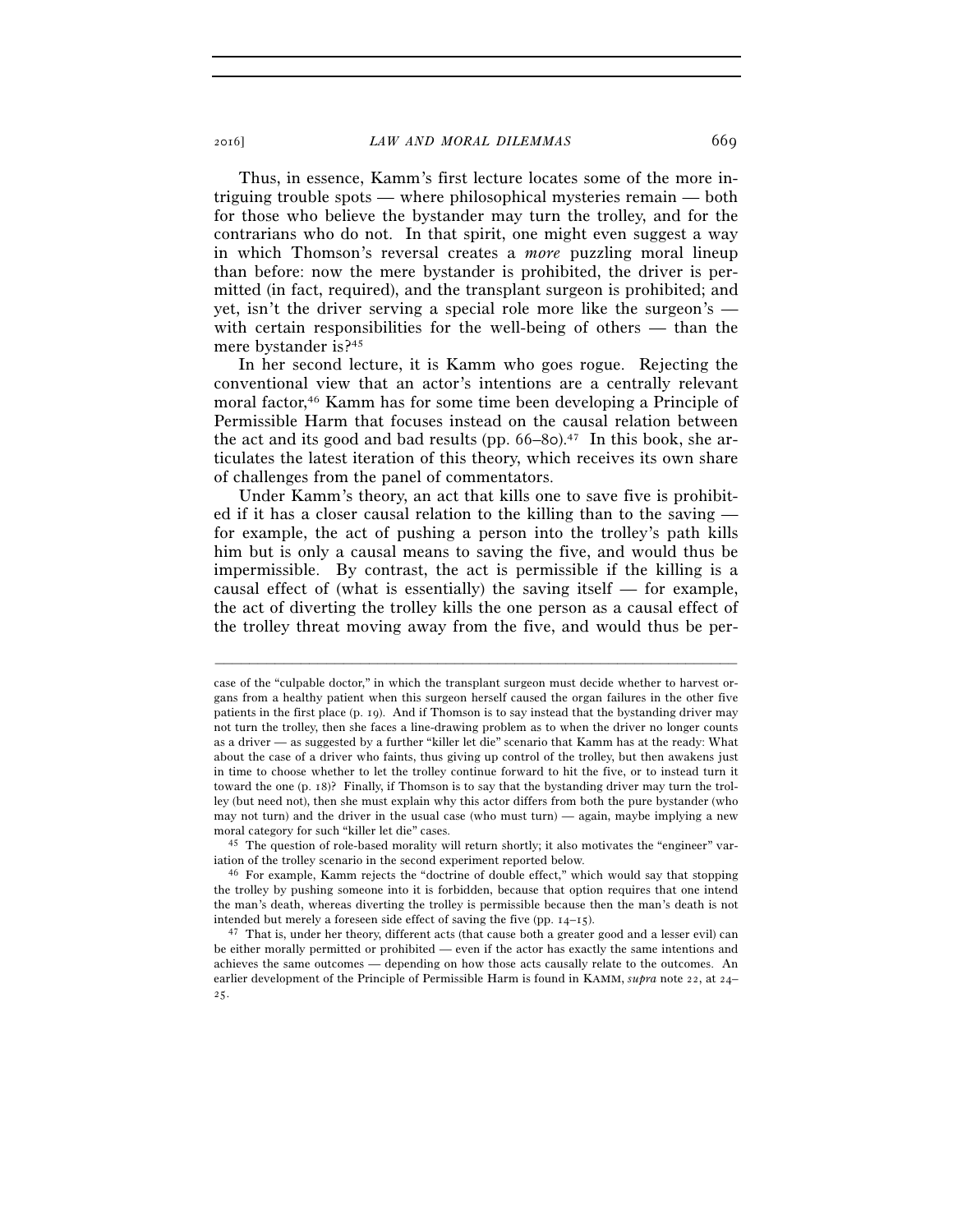Thus, in essence, Kamm's first lecture locates some of the more intriguing trouble spots — where philosophical mysteries remain — both for those who believe the bystander may turn the trolley, and for the contrarians who do not. In that spirit, one might even suggest a way in which Thomson's reversal creates a *more* puzzling moral lineup than before: now the mere bystander is prohibited, the driver is permitted (in fact, required), and the transplant surgeon is prohibited; and yet, isn't the driver serving a special role more like the surgeon's with certain responsibilities for the well-being of others — than the mere bystander is?45

In her second lecture, it is Kamm who goes rogue. Rejecting the conventional view that an actor's intentions are a centrally relevant moral factor,46 Kamm has for some time been developing a Principle of Permissible Harm that focuses instead on the causal relation between the act and its good and bad results (pp.  $66-8$ o).<sup>47</sup> In this book, she articulates the latest iteration of this theory, which receives its own share of challenges from the panel of commentators.

Under Kamm's theory, an act that kills one to save five is prohibited if it has a closer causal relation to the killing than to the saving for example, the act of pushing a person into the trolley's path kills him but is only a causal means to saving the five, and would thus be impermissible. By contrast, the act is permissible if the killing is a causal effect of (what is essentially) the saving itself — for example, the act of diverting the trolley kills the one person as a causal effect of the trolley threat moving away from the five, and would thus be per-

case of the "culpable doctor," in which the transplant surgeon must decide whether to harvest organs from a healthy patient when this surgeon herself caused the organ failures in the other five patients in the first place (p. 19). And if Thomson is to say instead that the bystanding driver may not turn the trolley, then she faces a line-drawing problem as to when the driver no longer counts as a driver — as suggested by a further "killer let die" scenario that Kamm has at the ready: What about the case of a driver who faints, thus giving up control of the trolley, but then awakens just in time to choose whether to let the trolley continue forward to hit the five, or to instead turn it toward the one (p. 18)? Finally, if Thomson is to say that the bystanding driver may turn the trolley (but need not), then she must explain why this actor differs from both the pure bystander (who may not turn) and the driver in the usual case (who must turn) — again, maybe implying a new moral category for such "killer let die" cases.<br><sup>45</sup> The question of role-based morality will return shortly; it also motivates the "engineer" var-

iation of the trolley scenario in the second experiment reported below.<br><sup>46</sup> For example, Kamm rejects the "doctrine of double effect," which would say that stopping

the trolley by pushing someone into it is forbidden, because that option requires that one intend the man's death, whereas diverting the trolley is permissible because then the man's death is not intended but merely a foreseen side effect of saving the five (pp. 14–15). 47 That is, under her theory, different acts (that cause both a greater good and a lesser evil) can

be either morally permitted or prohibited — even if the actor has exactly the same intentions and achieves the same outcomes — depending on how those acts causally relate to the outcomes. An earlier development of the Principle of Permissible Harm is found in KAMM, *supra* note 22, at 24– 25.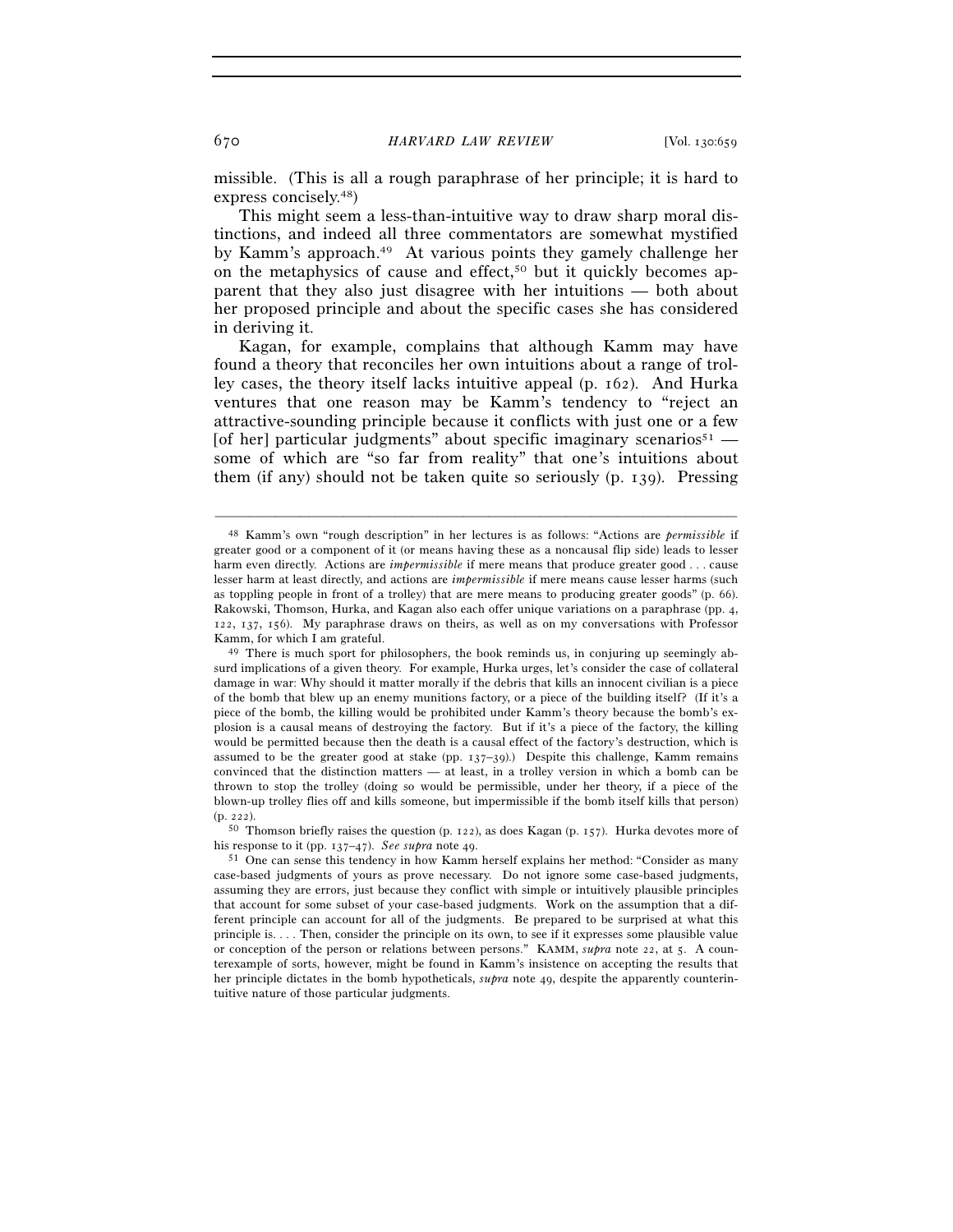missible. (This is all a rough paraphrase of her principle; it is hard to express concisely.48)

This might seem a less-than-intuitive way to draw sharp moral distinctions, and indeed all three commentators are somewhat mystified by Kamm's approach.49 At various points they gamely challenge her on the metaphysics of cause and effect,<sup>50</sup> but it quickly becomes apparent that they also just disagree with her intuitions — both about her proposed principle and about the specific cases she has considered in deriving it.

Kagan, for example, complains that although Kamm may have found a theory that reconciles her own intuitions about a range of trolley cases, the theory itself lacks intuitive appeal (p. 162). And Hurka ventures that one reason may be Kamm's tendency to "reject an attractive-sounding principle because it conflicts with just one or a few [of her] particular judgments" about specific imaginary scenarios<sup>51</sup> some of which are "so far from reality" that one's intuitions about them (if any) should not be taken quite so seriously (p. 139). Pressing

<sup>48</sup> Kamm's own "rough description" in her lectures is as follows: "Actions are *permissible* if greater good or a component of it (or means having these as a noncausal flip side) leads to lesser harm even directly. Actions are *impermissible* if mere means that produce greater good . . . cause lesser harm at least directly, and actions are *impermissible* if mere means cause lesser harms (such as toppling people in front of a trolley) that are mere means to producing greater goods" (p. 66). Rakowski, Thomson, Hurka, and Kagan also each offer unique variations on a paraphrase (pp. 4, 122, 137, 156). My paraphrase draws on theirs, as well as on my conversations with Professor Kamm, for which I am grateful.

<sup>&</sup>lt;sup>49</sup> There is much sport for philosophers, the book reminds us, in conjuring up seemingly absurd implications of a given theory. For example, Hurka urges, let's consider the case of collateral damage in war: Why should it matter morally if the debris that kills an innocent civilian is a piece of the bomb that blew up an enemy munitions factory, or a piece of the building itself? (If it's a piece of the bomb, the killing would be prohibited under Kamm's theory because the bomb's explosion is a causal means of destroying the factory. But if it's a piece of the factory, the killing would be permitted because then the death is a causal effect of the factory's destruction, which is assumed to be the greater good at stake (pp.  $137-39$ ).) Despite this challenge, Kamm remains convinced that the distinction matters — at least, in a trolley version in which a bomb can be thrown to stop the trolley (doing so would be permissible, under her theory, if a piece of the blown-up trolley flies off and kills someone, but impermissible if the bomb itself kills that person)

<sup>(</sup>p. 222).<br> $50$  Thomson briefly raises the question (p. 122), as does Kagan (p. 157). Hurka devotes more of

his response to it (pp. 137–47). *See supra* note 49. <sup>51</sup> One can sense this tendency in how Kamm herself explains her method: "Consider as many case-based judgments of yours as prove necessary. Do not ignore some case-based judgments, assuming they are errors, just because they conflict with simple or intuitively plausible principles that account for some subset of your case-based judgments. Work on the assumption that a different principle can account for all of the judgments. Be prepared to be surprised at what this principle is. . . . Then, consider the principle on its own, to see if it expresses some plausible value or conception of the person or relations between persons." KAMM, *supra* note 22, at 5. A counterexample of sorts, however, might be found in Kamm's insistence on accepting the results that her principle dictates in the bomb hypotheticals, *supra* note 49, despite the apparently counterintuitive nature of those particular judgments.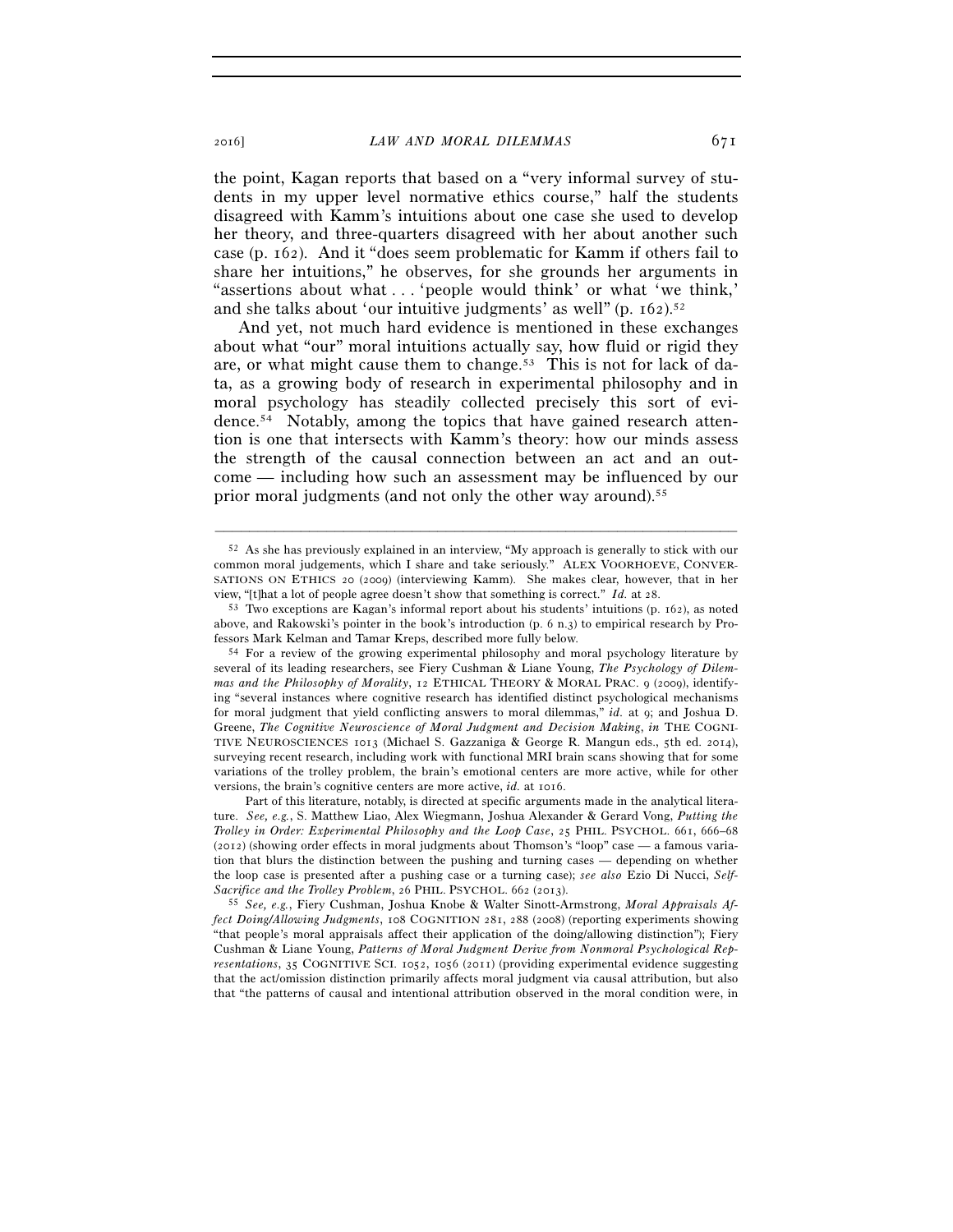the point, Kagan reports that based on a "very informal survey of students in my upper level normative ethics course," half the students disagreed with Kamm's intuitions about one case she used to develop her theory, and three-quarters disagreed with her about another such case (p. 162). And it "does seem problematic for Kamm if others fail to share her intuitions," he observes, for she grounds her arguments in "assertions about what . . . 'people would think' or what 'we think,' and she talks about 'our intuitive judgments' as well" (p. 162).52

And yet, not much hard evidence is mentioned in these exchanges about what "our" moral intuitions actually say, how fluid or rigid they are, or what might cause them to change.<sup>53</sup> This is not for lack of data, as a growing body of research in experimental philosophy and in moral psychology has steadily collected precisely this sort of evidence.54 Notably, among the topics that have gained research attention is one that intersects with Kamm's theory: how our minds assess the strength of the causal connection between an act and an outcome — including how such an assessment may be influenced by our prior moral judgments (and not only the other way around).<sup>55</sup>

<sup>52</sup> As she has previously explained in an interview, "My approach is generally to stick with our common moral judgements, which I share and take seriously." ALEX VOORHOEVE, CONVER-SATIONS ON ETHICS 20 (2009) (interviewing Kamm). She makes clear, however, that in her

view, "[t]hat a lot of people agree doesn't show that something is correct." *Id.* at 28.<br><sup>53</sup> Two exceptions are Kagan's informal report about his students' intuitions (p. 162), as noted above, and Rakowski's pointer in the book's introduction (p. 6 n.3) to empirical research by Professors Mark Kelman and Tamar Kreps, described more fully below. 54 For a review of the growing experimental philosophy and moral psychology literature by

several of its leading researchers, see Fiery Cushman & Liane Young, *The Psychology of Dilemmas and the Philosophy of Morality*, 12 ETHICAL THEORY & MORAL PRAC. 9 (2009), identifying "several instances where cognitive research has identified distinct psychological mechanisms for moral judgment that yield conflicting answers to moral dilemmas," *id.* at 9; and Joshua D. Greene, *The Cognitive Neuroscience of Moral Judgment and Decision Making*, *in* THE COGNI-TIVE NEUROSCIENCES 1013 (Michael S. Gazzaniga & George R. Mangun eds., 5th ed. 2014), surveying recent research, including work with functional MRI brain scans showing that for some variations of the trolley problem, the brain's emotional centers are more active, while for other versions, the brain's cognitive centers are more active, *id.* at 1016.

Part of this literature, notably, is directed at specific arguments made in the analytical literature. *See, e.g.*, S. Matthew Liao, Alex Wiegmann, Joshua Alexander & Gerard Vong, *Putting the Trolley in Order: Experimental Philosophy and the Loop Case*, 25 PHIL. PSYCHOL. 661, 666–68 (2012) (showing order effects in moral judgments about Thomson's "loop" case — a famous variation that blurs the distinction between the pushing and turning cases — depending on whether the loop case is presented after a pushing case or a turning case); *see also* Ezio Di Nucci, *Self-Sacrifice and the Trolley Problem*, 26 PHIL. PSYCHOL. 662 (2013). 55 *See, e.g.*, Fiery Cushman, Joshua Knobe & Walter Sinott-Armstrong, *Moral Appraisals Af-*

*fect Doing/Allowing Judgments*, 108 COGNITION 281, 288 (2008) (reporting experiments showing "that people's moral appraisals affect their application of the doing/allowing distinction"); Fiery Cushman & Liane Young, *Patterns of Moral Judgment Derive from Nonmoral Psychological Representations*, 35 COGNITIVE SCI. 1052, 1056 (2011) (providing experimental evidence suggesting that the act/omission distinction primarily affects moral judgment via causal attribution, but also that "the patterns of causal and intentional attribution observed in the moral condition were, in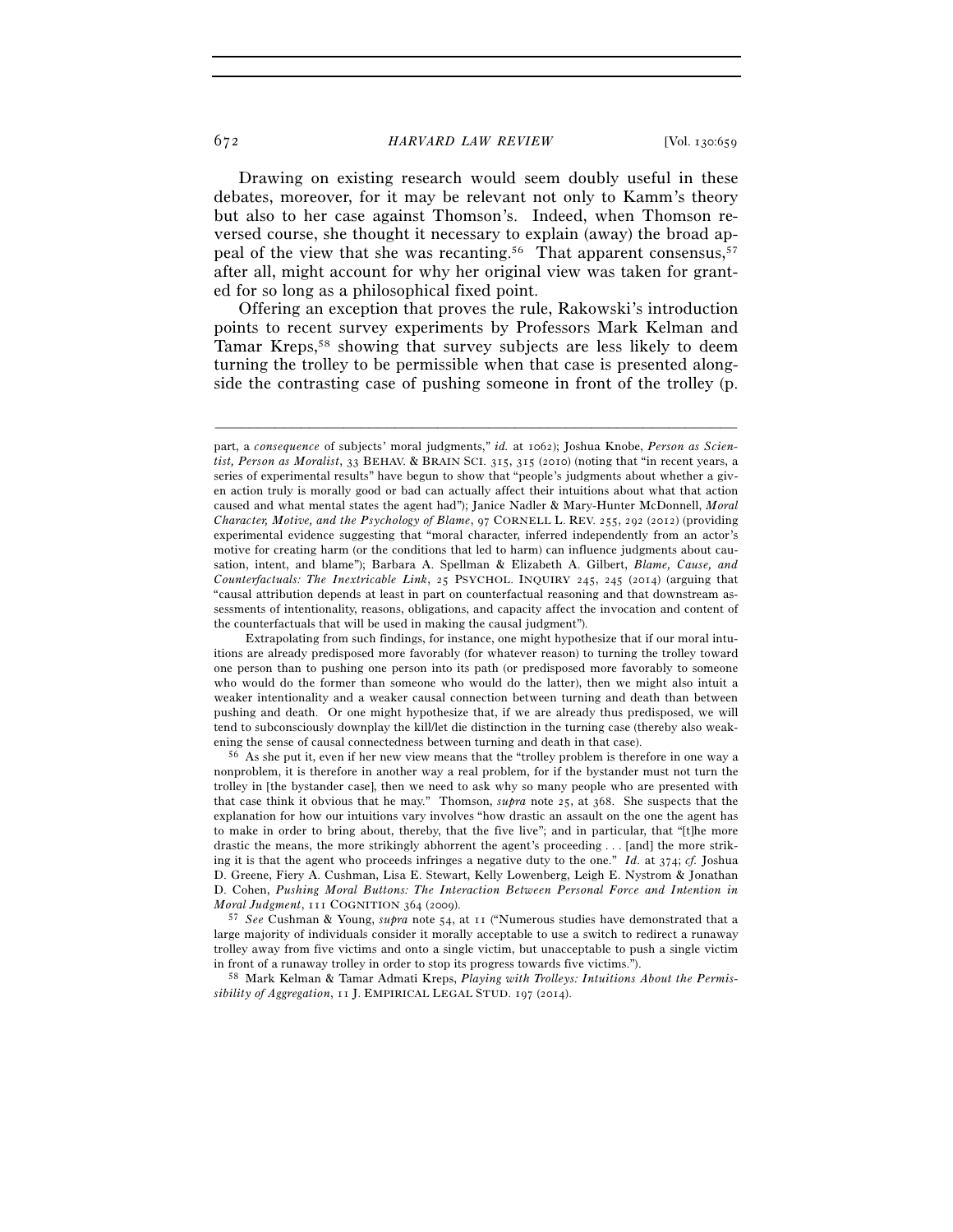672 *HARVARD LAW REVIEW* [Vol. 130:659

Drawing on existing research would seem doubly useful in these debates, moreover, for it may be relevant not only to Kamm's theory but also to her case against Thomson's. Indeed, when Thomson reversed course, she thought it necessary to explain (away) the broad appeal of the view that she was recanting.<sup>56</sup> That apparent consensus,<sup>57</sup> after all, might account for why her original view was taken for granted for so long as a philosophical fixed point.

Offering an exception that proves the rule, Rakowski's introduction points to recent survey experiments by Professors Mark Kelman and Tamar Kreps,<sup>58</sup> showing that survey subjects are less likely to deem turning the trolley to be permissible when that case is presented alongside the contrasting case of pushing someone in front of the trolley (p.

part, a *consequence* of subjects' moral judgments," *id.* at 1062); Joshua Knobe, *Person as Scientist, Person as Moralist*, 33 BEHAV. & BRAIN SCI. 315, 315 (2010) (noting that "in recent years, a series of experimental results" have begun to show that "people's judgments about whether a given action truly is morally good or bad can actually affect their intuitions about what that action caused and what mental states the agent had"); Janice Nadler & Mary-Hunter McDonnell, *Moral Character, Motive, and the Psychology of Blame*, 97 CORNELL L. REV. 255, 292 (2012) (providing experimental evidence suggesting that "moral character, inferred independently from an actor's motive for creating harm (or the conditions that led to harm) can influence judgments about causation, intent, and blame"); Barbara A. Spellman & Elizabeth A. Gilbert, *Blame, Cause, and Counterfactuals: The Inextricable Link*, 25 PSYCHOL. INQUIRY 245, 245 (2014) (arguing that "causal attribution depends at least in part on counterfactual reasoning and that downstream assessments of intentionality, reasons, obligations, and capacity affect the invocation and content of the counterfactuals that will be used in making the causal judgment").

Extrapolating from such findings, for instance, one might hypothesize that if our moral intuitions are already predisposed more favorably (for whatever reason) to turning the trolley toward one person than to pushing one person into its path (or predisposed more favorably to someone who would do the former than someone who would do the latter), then we might also intuit a weaker intentionality and a weaker causal connection between turning and death than between pushing and death. Or one might hypothesize that, if we are already thus predisposed, we will tend to subconsciously downplay the kill/let die distinction in the turning case (thereby also weakening the sense of causal connectedness between turning and death in that case). 56 As she put it, even if her new view means that the "trolley problem is therefore in one way a

nonproblem, it is therefore in another way a real problem, for if the bystander must not turn the trolley in [the bystander case], then we need to ask why so many people who are presented with that case think it obvious that he may." Thomson, *supra* note 25, at 368. She suspects that the explanation for how our intuitions vary involves "how drastic an assault on the one the agent has to make in order to bring about, thereby, that the five live"; and in particular, that "[t]he more drastic the means, the more strikingly abhorrent the agent's proceeding . . . [and] the more striking it is that the agent who proceeds infringes a negative duty to the one." *Id.* at 374; *cf.* Joshua D. Greene, Fiery A. Cushman, Lisa E. Stewart, Kelly Lowenberg, Leigh E. Nystrom & Jonathan D. Cohen, *Pushing Moral Buttons: The Interaction Between Personal Force and Intention in Moral Judgment*, 111 COGNITION 364 (2009).

<sup>&</sup>lt;sup>57</sup> See Cushman & Young, *supra* note 54, at 11 ("Numerous studies have demonstrated that a large majority of individuals consider it morally acceptable to use a switch to redirect a runaway trolley away from five victims and onto a single victim, but unacceptable to push a single victim in front of a runaway trolley in order to stop its progress towards five victims."). 58 Mark Kelman & Tamar Admati Kreps, *Playing with Trolleys: Intuitions About the Permis-*

*sibility of Aggregation*, 11 J. EMPIRICAL LEGAL STUD. 197 (2014).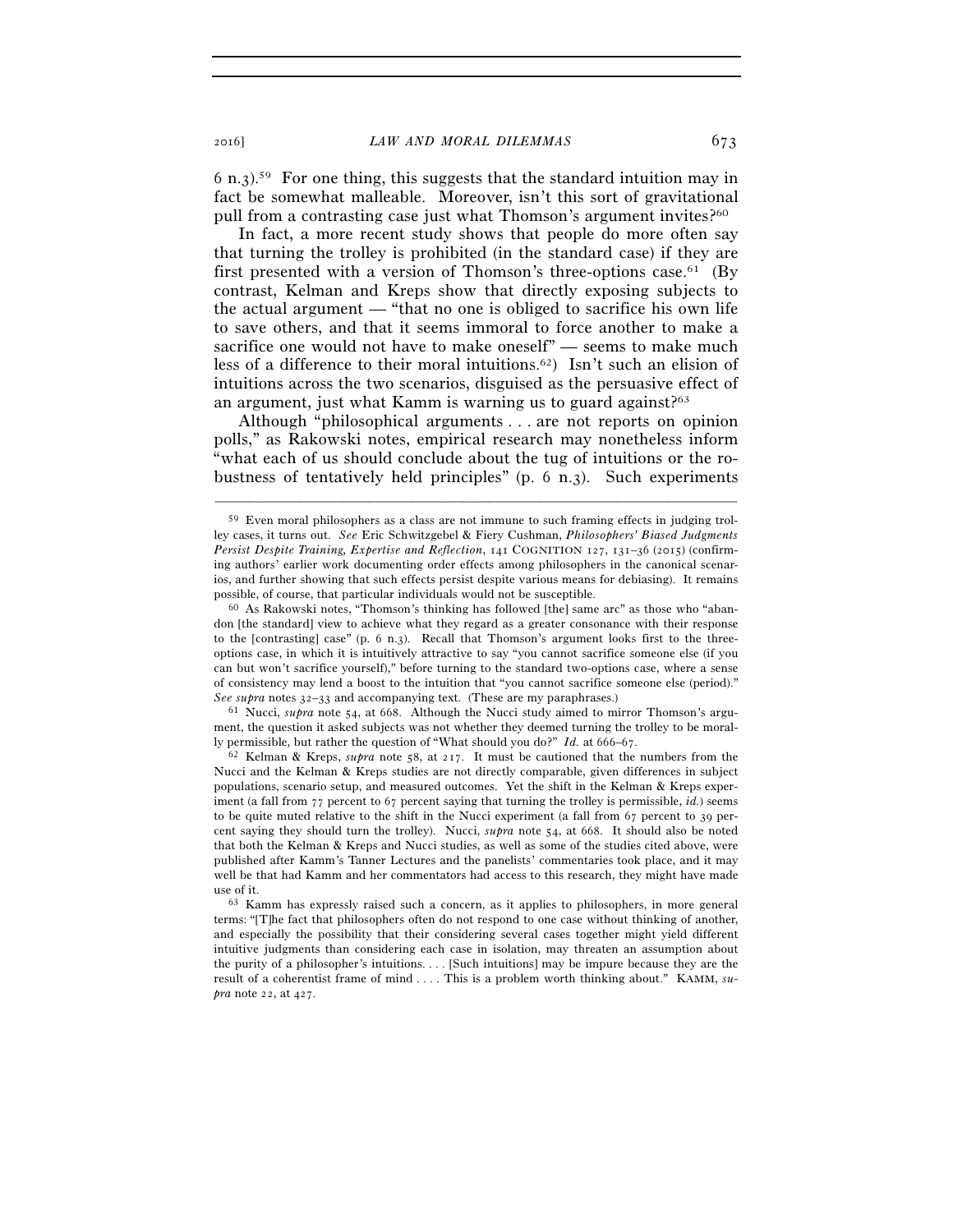$6$  n.3).<sup>59</sup> For one thing, this suggests that the standard intuition may in fact be somewhat malleable. Moreover, isn't this sort of gravitational pull from a contrasting case just what Thomson's argument invites?<sup>60</sup>

In fact, a more recent study shows that people do more often say that turning the trolley is prohibited (in the standard case) if they are first presented with a version of Thomson's three-options case.<sup>61</sup> (By contrast, Kelman and Kreps show that directly exposing subjects to the actual argument — "that no one is obliged to sacrifice his own life to save others, and that it seems immoral to force another to make a sacrifice one would not have to make oneself" — seems to make much less of a difference to their moral intuitions.62) Isn't such an elision of intuitions across the two scenarios, disguised as the persuasive effect of an argument, just what Kamm is warning us to guard against?<sup>63</sup>

Although "philosophical arguments . . . are not reports on opinion polls," as Rakowski notes, empirical research may nonetheless inform "what each of us should conclude about the tug of intuitions or the robustness of tentatively held principles" (p. 6 n.3). Such experiments

–––––––––––––––––––––––––––––––––––––––––––––––––––––––––––––

*See supra* notes 32–33 and accompanying text. (These are my paraphrases.) 61 Nucci, *supra* note 54, at 668. Although the Nucci study aimed to mirror Thomson's argument, the question it asked subjects was not whether they deemed turning the trolley to be morally permissible, but rather the question of "What should you do?" *Id.* at 666–67. 62 Kelman & Kreps, *supra* note 58, at 217. It must be cautioned that the numbers from the

Nucci and the Kelman & Kreps studies are not directly comparable, given differences in subject populations, scenario setup, and measured outcomes. Yet the shift in the Kelman & Kreps experiment (a fall from 77 percent to 67 percent saying that turning the trolley is permissible, *id.*) seems to be quite muted relative to the shift in the Nucci experiment (a fall from 67 percent to 39 percent saying they should turn the trolley). Nucci, *supra* note 54, at 668. It should also be noted that both the Kelman & Kreps and Nucci studies, as well as some of the studies cited above, were published after Kamm's Tanner Lectures and the panelists' commentaries took place, and it may well be that had Kamm and her commentators had access to this research, they might have made use of it.

<sup>59</sup> Even moral philosophers as a class are not immune to such framing effects in judging trolley cases, it turns out. *See* Eric Schwitzgebel & Fiery Cushman, *Philosophers' Biased Judgments Persist Despite Training, Expertise and Reflection*, 141 COGNITION 127, 131–36 (2015) (confirming authors' earlier work documenting order effects among philosophers in the canonical scenarios, and further showing that such effects persist despite various means for debiasing). It remains possible, of course, that particular individuals would not be susceptible.<br><sup>60</sup> As Rakowski notes, "Thomson's thinking has followed [the] same arc" as those who "aban-

don [the standard] view to achieve what they regard as a greater consonance with their response to the [contrasting] case" (p. 6 n.3). Recall that Thomson's argument looks first to the threeoptions case, in which it is intuitively attractive to say "you cannot sacrifice someone else (if you can but won't sacrifice yourself)," before turning to the standard two-options case, where a sense of consistency may lend a boost to the intuition that "you cannot sacrifice someone else (period)."

 <sup>63</sup> Kamm has expressly raised such a concern, as it applies to philosophers, in more general terms: "[T]he fact that philosophers often do not respond to one case without thinking of another, and especially the possibility that their considering several cases together might yield different intuitive judgments than considering each case in isolation, may threaten an assumption about the purity of a philosopher's intuitions. . . . [Such intuitions] may be impure because they are the result of a coherentist frame of mind . . . . This is a problem worth thinking about." KAMM, *supra* note 22, at 427.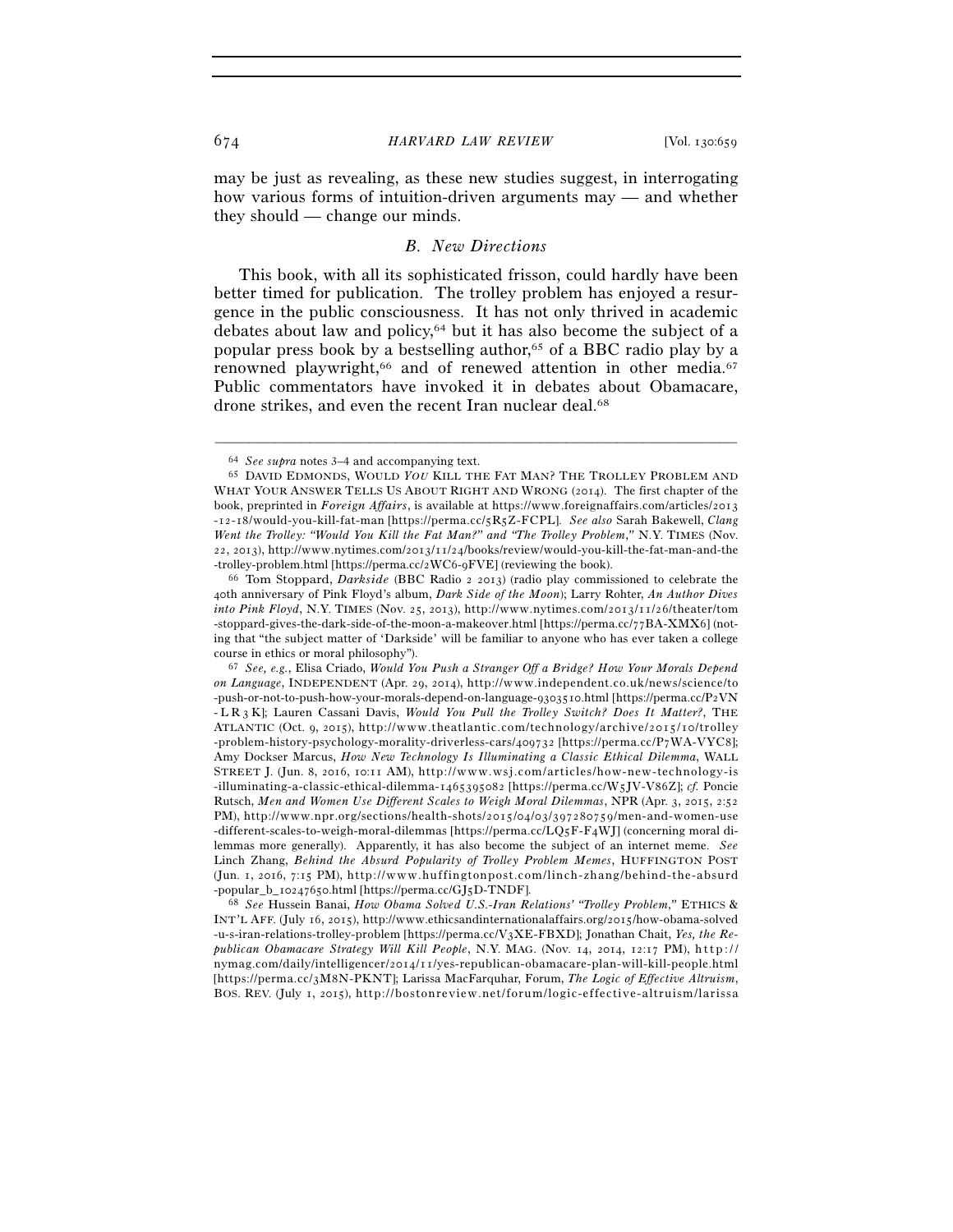may be just as revealing, as these new studies suggest, in interrogating how various forms of intuition-driven arguments may — and whether they should — change our minds.

### *B. New Directions*

This book, with all its sophisticated frisson, could hardly have been better timed for publication. The trolley problem has enjoyed a resurgence in the public consciousness. It has not only thrived in academic debates about law and policy,64 but it has also become the subject of a popular press book by a bestselling author,65 of a BBC radio play by a renowned playwright,<sup>66</sup> and of renewed attention in other media.<sup>67</sup> Public commentators have invoked it in debates about Obamacare, drone strikes, and even the recent Iran nuclear deal.<sup>68</sup>

–––––––––––––––––––––––––––––––––––––––––––––––––––––––––––––

-popular\_b\_10247650.html [https://perma.cc/GJ5D-TNDF]. 68 *See* Hussein Banai, *How Obama Solved U.S.-Iran Relations' "Trolley Problem*,*"* ETHICS & INT'L AFF. (July 16, 2015), http://www.ethicsandinternationalaffairs.org/2015/how-obama-solved -u-s-iran-relations-trolley-problem [https://perma.cc/V3XE-FBXD]; Jonathan Chait, *Yes, the Re*publican Obamacare Strategy Will Kill People, N.Y. MAG. (Nov. 14, 2014, 12:17 PM), http:// nymag.com/daily/intelligencer/2014/11/yes-republican-obamacare-plan-will-kill-people.html [https://perma.cc/3M8N-PKNT]; Larissa MacFarquhar, Forum, *The Logic of Effective Altruism*, BOS. REV. (July 1, 2015), http://bostonreview.net/forum/logic-effective-altruism/larissa

<sup>64</sup> *See supra* notes 3–4 and accompanying text. 65 DAVID EDMONDS, WOULD *YOU* KILL THE FAT MAN? THE TROLLEY PROBLEM AND WHAT YOUR ANSWER TELLS US ABOUT RIGHT AND WRONG (2014). The first chapter of the book, preprinted in *Foreign Affairs*, is available at https://www.foreignaffairs.com/articles/2013 -12-18/would-you-kill-fat-man [https://perma.cc/5R5Z-FCPL]. See also Sarah Bakewell, Clang *Went the Trolley: "Would You Kill the Fat Man?" and "The Trolley Problem*,*"* N.Y. TIMES (Nov.  $22, 2013$ ), http://www.nytimes.com/ $2013/11/24/books/review/would-vou-kill-the-fat-man-and-the$ -trolley-problem.html [https://perma.cc/2WC6-9FVE] (reviewing the book). 66 Tom Stoppard, *Darkside* (BBC Radio <sup>2</sup> <sup>2013</sup>) (radio play commissioned to celebrate the

<sup>40</sup>th anniversary of Pink Floyd's album, *Dark Side of the Moon*); Larry Rohter, *An Author Dives into Pink Floyd*, N.Y. TIMES (Nov. 25, 2013), http://www.nytimes.com/2013/11/26/theater/tom -stoppard-gives-the-dark-side-of-the-moon-a-makeover.html [https://perma.cc/77BA-XMX6] (noting that "the subject matter of 'Darkside' will be familiar to anyone who has ever taken a college course in ethics or moral philosophy").

<sup>&</sup>lt;sup>67</sup> See, e.g., Elisa Criado, *Would You Push a Stranger Off a Bridge? How Your Morals Depend on Language*, INDEPENDENT (Apr. 29, 2014), http://www.independent.co.uk/news/science/to -push-or-not-to-push-how-your-morals-depend-on-language-9303510.html [https://perma.cc/P2VN - L R 3 K]; Lauren Cassani Davis, *Would You Pull the Trolley Switch? Does It Matter?*, THE ATLANTIC (Oct. 9, 2015), http://www.theatlantic.com/technology/archive/2015/10/trolley -problem-history-psychology-morality-driverless-cars/409732 [https://perma.cc/P7WA-VYC8]; Amy Dockser Marcus, *How New Technology Is Illuminating a Classic Ethical Dilemma*, WALL STREET J. (Jun. 8, 2016, 10:11 AM), http://www.wsj.com/articles/how-new-technology-is -illuminating-a-classic-ethical-dilemma-1465395082 [https://perma.cc/W5JV-V86Z]; cf. Poncie Rutsch, *Men and Women Use Different Scales to Weigh Moral Dilemmas*, NPR (Apr. 3, 2015, 2:52 PM), http://www.npr.org/sections/health-shots/2015/04/03/397280759/men-and-women-use -different-scales-to-weigh-moral-dilemmas [https://perma.cc/LQ5F-F4WJ] (concerning moral dilemmas more generally). Apparently, it has also become the subject of an internet meme. *See* Linch Zhang, *Behind the Absurd Popularity of Trolley Problem Memes*, HUFFINGTON POST (Jun. 1, 2016, 7:15 PM), http://www.huffingtonpost.com/linch-zhang/behind-the-absurd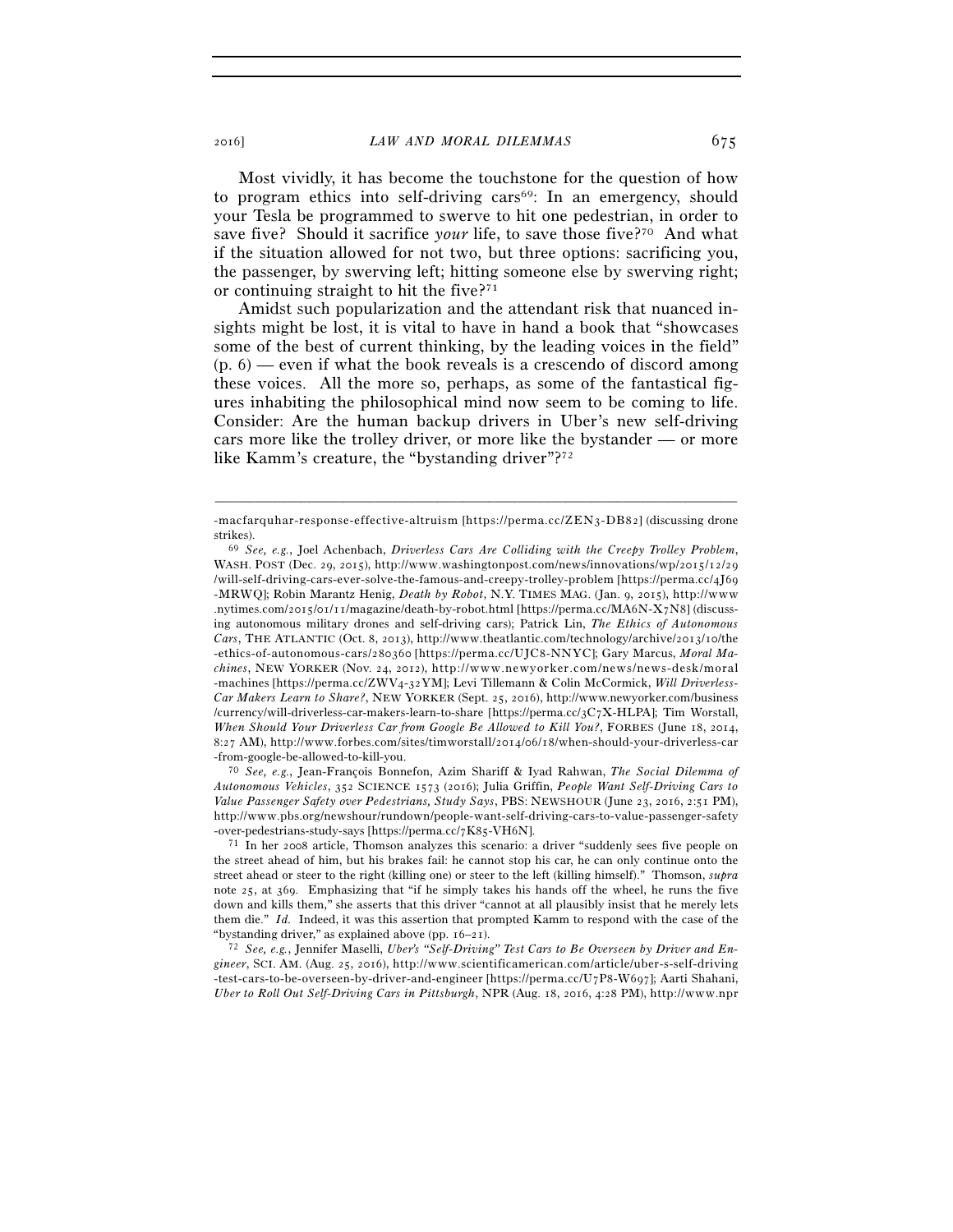Most vividly, it has become the touchstone for the question of how to program ethics into self-driving cars<sup>69</sup>: In an emergency, should your Tesla be programmed to swerve to hit one pedestrian, in order to save five? Should it sacrifice *your* life, to save those five?<sup>70</sup> And what if the situation allowed for not two, but three options: sacrificing you, the passenger, by swerving left; hitting someone else by swerving right; or continuing straight to hit the five?71

Amidst such popularization and the attendant risk that nuanced insights might be lost, it is vital to have in hand a book that "showcases some of the best of current thinking, by the leading voices in the field"  $(p, 6)$  — even if what the book reveals is a crescendo of discord among these voices. All the more so, perhaps, as some of the fantastical figures inhabiting the philosophical mind now seem to be coming to life. Consider: Are the human backup drivers in Uber's new self-driving cars more like the trolley driver, or more like the bystander — or more like Kamm's creature, the "bystanding driver"?72

-from-google-be-allowed-to-kill-you. 70 *See, e.g.*, Jean-François Bonnefon, Azim Shariff & Iyad Rahwan, *The Social Dilemma of Autonomous Vehicles*, 352 SCIENCE 1573 (2016); Julia Griffin, *People Want Self-Driving Cars to Value Passenger Safety over Pedestrians, Study Says*, PBS: NEWSHOUR (June 23, 2016, 2:51 PM), http://www.pbs.org/newshour/rundown/people-want-self-driving-cars-to-value-passenger-safety -over-pedestrians-study-says [https://perma.cc/7K85-VH6N]. 71 In her 2008 article, Thomson analyzes this scenario: a driver "suddenly sees five people on

the street ahead of him, but his brakes fail: he cannot stop his car, he can only continue onto the street ahead or steer to the right (killing one) or steer to the left (killing himself)." Thomson, *supra* note 25, at 369. Emphasizing that "if he simply takes his hands off the wheel, he runs the five down and kills them," she asserts that this driver "cannot at all plausibly insist that he merely lets them die." *Id.* Indeed, it was this assertion that prompted Kamm to respond with the case of the "bystanding driver," as explained above (pp. 16–21). 72 *See, e.g.*, Jennifer Maselli, *Uber's "Self-Driving" Test Cars to Be Overseen by Driver and En-*

*gineer*, SCI. AM. (Aug. 25, 2016), http://www.scientificamerican.com/article/uber-s-self-driving  $- test-cars-to-be-overseen-by-driven-order-order- and engineer [https://perma.c/U7P8-W697];$  Aarti Shahani, *Uber to Roll Out Self-Driving Cars in Pittsburgh*, NPR (Aug. 18, 2016, 4:28 PM), http://www.npr

<sup>–––––––––––––––––––––––––––––––––––––––––––––––––––––––––––––</sup> -macfarquhar-response-effective-altruism [https://perma.cc/ZEN3-DB82] (discussing drone strikes). 69 *See, e.g.*, Joel Achenbach, *Driverless Cars Are Colliding with the Creepy Trolley Problem*,

WASH. POST (Dec. 29, 2015), http://www.washingtonpost.com/news/innovations/wp/2015/12/29 /will-self-driving-cars-ever-solve-the-famous-and-creepy-trolley-problem [https://perma.cc/4]69 - MRWQ]; Robin Marantz Henig, Death by Robot, N.Y. TIMES MAG. (Jan. 9, 2015), http://www .nytimes.com/2015/01/11/magazine/death-by-robot.html [https://perma.cc/MA6N-X7N8] (discussing autonomous military drones and self-driving cars); Patrick Lin, *The Ethics of Autonomous Cars*, THE ATLANTIC (Oct. 8, 2013), http://www.theatlantic.com/technology/archive/2013/10/the -ethics-of-autonomous-cars/280360 [https://perma.cc/UJC8-NNYC]; Gary Marcus, *Moral Machines*, NEW YORKER (Nov. 24, 2012), http://www.newyorker.com/news/news-desk/moral -machines [https://perma.cc/ZWV4-32YM]; Levi Tillemann & Colin McCormick, *Will Driverless-Car Makers Learn to Share?*, NEW YORKER (Sept. 25, 2016), http://www.newyorker.com/business /currency/will-driverless-car-makers-learn-to-share [https://perma.cc/3C7X-HLPA]; Tim Worstall, *When Should Your Driverless Car from Google Be Allowed to Kill You?*, FORBES (June 18, 2014, 8:27 AM), http://www.forbes.com/sites/timworstall/2014/06/18/when-should-your-driverless-car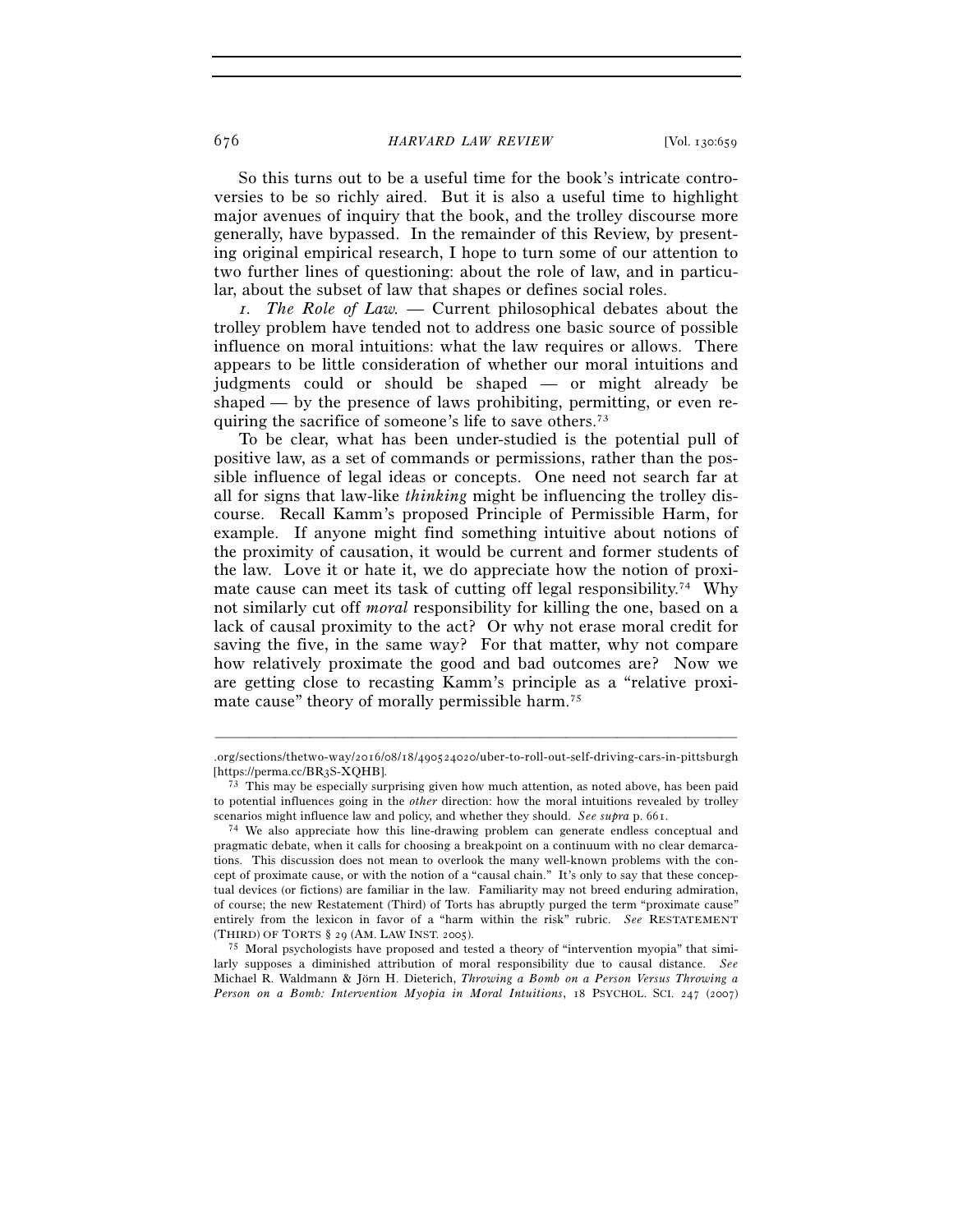### 676 *HARVARD LAW REVIEW* [Vol. 130:659

So this turns out to be a useful time for the book's intricate controversies to be so richly aired. But it is also a useful time to highlight major avenues of inquiry that the book, and the trolley discourse more generally, have bypassed. In the remainder of this Review, by presenting original empirical research, I hope to turn some of our attention to two further lines of questioning: about the role of law, and in particular, about the subset of law that shapes or defines social roles.

*1. The Role of Law. —* Current philosophical debates about the trolley problem have tended not to address one basic source of possible influence on moral intuitions: what the law requires or allows. There appears to be little consideration of whether our moral intuitions and judgments could or should be shaped — or might already be shaped — by the presence of laws prohibiting, permitting, or even requiring the sacrifice of someone's life to save others.73

To be clear, what has been under-studied is the potential pull of positive law, as a set of commands or permissions, rather than the possible influence of legal ideas or concepts. One need not search far at all for signs that law-like *thinking* might be influencing the trolley discourse. Recall Kamm's proposed Principle of Permissible Harm, for example. If anyone might find something intuitive about notions of the proximity of causation, it would be current and former students of the law. Love it or hate it, we do appreciate how the notion of proximate cause can meet its task of cutting off legal responsibility.<sup>74</sup> Why not similarly cut off *moral* responsibility for killing the one, based on a lack of causal proximity to the act? Or why not erase moral credit for saving the five, in the same way? For that matter, why not compare how relatively proximate the good and bad outcomes are? Now we are getting close to recasting Kamm's principle as a "relative proximate cause" theory of morally permissible harm.<sup>75</sup>

<sup>–––––––––––––––––––––––––––––––––––––––––––––––––––––––––––––</sup>  $\frac{\log\left(\frac{1}{2}n\right)}{\log\left(\frac{1}{2}n\right)}$  . or g/sections/thet wo-way/2016/08/18/490524020/uber-to-roll-out-self-driving-cars-in-pitts burgh [https://perma.cc/BR3S-XQHB]. 73 This may be especially surprising given how much attention, as noted above, has been paid

to potential influences going in the *other* direction: how the moral intuitions revealed by trolley

scenarios might influence law and policy, and whether they should. *See supra* p. 661.<br><sup>74</sup> We also appreciate how this line-drawing problem can generate endless conceptual and pragmatic debate, when it calls for choosing a breakpoint on a continuum with no clear demarcations. This discussion does not mean to overlook the many well-known problems with the concept of proximate cause, or with the notion of a "causal chain." It's only to say that these conceptual devices (or fictions) are familiar in the law. Familiarity may not breed enduring admiration, of course; the new Restatement (Third) of Torts has abruptly purged the term "proximate cause" entirely from the lexicon in favor of a "harm within the risk" rubric. *See* RESTATEMENT (THIRD) OF TORTS § 29 (AM. LAW INST. 2005).<br><sup>75</sup> Moral psychologists have proposed and tested a theory of "intervention myopia" that simi-

larly supposes a diminished attribution of moral responsibility due to causal distance. *See* Michael R. Waldmann & Jörn H. Dieterich, *Throwing a Bomb on a Person Versus Throwing a Person on a Bomb: Intervention Myopia in Moral Intuitions*, 18 PSYCHOL. SCI. 247 (2007)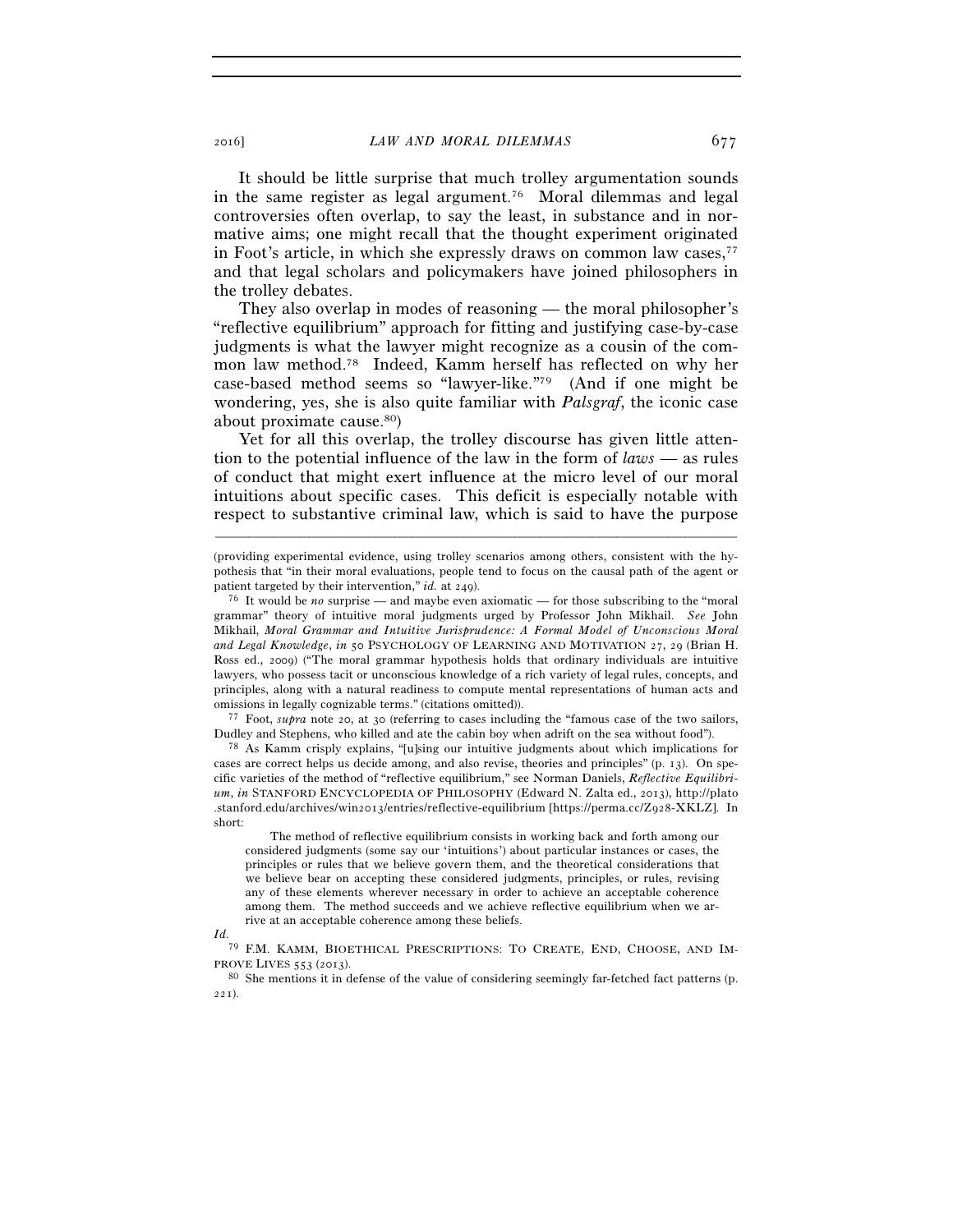It should be little surprise that much trolley argumentation sounds in the same register as legal argument.76 Moral dilemmas and legal controversies often overlap, to say the least, in substance and in normative aims; one might recall that the thought experiment originated in Foot's article, in which she expressly draws on common law cases,<sup>77</sup> and that legal scholars and policymakers have joined philosophers in the trolley debates.

They also overlap in modes of reasoning — the moral philosopher's "reflective equilibrium" approach for fitting and justifying case-by-case judgments is what the lawyer might recognize as a cousin of the common law method.78 Indeed, Kamm herself has reflected on why her case-based method seems so "lawyer-like."79 (And if one might be wondering, yes, she is also quite familiar with *Palsgraf*, the iconic case about proximate cause.80)

Yet for all this overlap, the trolley discourse has given little attention to the potential influence of the law in the form of *laws* — as rules of conduct that might exert influence at the micro level of our moral intuitions about specific cases. This deficit is especially notable with respect to substantive criminal law, which is said to have the purpose

–––––––––––––––––––––––––––––––––––––––––––––––––––––––––––––

Dudley and Stephens, who killed and ate the cabin boy when adrift on the sea without food"). <sup>78</sup> As Kamm crisply explains, "[u]sing our intuitive judgments about which implications for

cases are correct helps us decide among, and also revise, theories and principles" (p. 13). On specific varieties of the method of "reflective equilibrium," see Norman Daniels, *Reflective Equilibrium*, *in* STANFORD ENCYCLOPEDIA OF PHILOSOPHY (Edward N. Zalta ed., 2013), http://plato .stanford.edu/archives/win2013/entries/reflective-equilibrium [https://perma.cc/Z928-XKLZ]. In short:

 The method of reflective equilibrium consists in working back and forth among our considered judgments (some say our 'intuitions') about particular instances or cases, the principles or rules that we believe govern them, and the theoretical considerations that we believe bear on accepting these considered judgments, principles, or rules, revising any of these elements wherever necessary in order to achieve an acceptable coherence among them. The method succeeds and we achieve reflective equilibrium when we arrive at an acceptable coherence among these beliefs.

*Id.*

79 F.M. KAMM, BIOETHICAL PRESCRIPTIONS: TO CREATE, END, CHOOSE, AND IM-PROVE LIVES <sup>553</sup> (2013). 80 She mentions it in defense of the value of considering seemingly far-fetched fact patterns (p.

221).

<sup>(</sup>providing experimental evidence, using trolley scenarios among others, consistent with the hypothesis that "in their moral evaluations, people tend to focus on the causal path of the agent or patient targeted by their intervention," *id.* at 249).<br><sup>76</sup> It would be *no* surprise — and maybe even axiomatic — for those subscribing to the "moral"

grammar" theory of intuitive moral judgments urged by Professor John Mikhail. *See* John Mikhail, *Moral Grammar and Intuitive Jurisprudence: A Formal Model of Unconscious Moral and Legal Knowledge*, *in* 50 PSYCHOLOGY OF LEARNING AND MOTIVATION 27, 29 (Brian H. Ross ed., 2009) ("The moral grammar hypothesis holds that ordinary individuals are intuitive lawyers, who possess tacit or unconscious knowledge of a rich variety of legal rules, concepts, and principles, along with a natural readiness to compute mental representations of human acts and omissions in legally cognizable terms." (citations omitted)). 77 Foot, *supra* note 20, at 30 (referring to cases including the "famous case of the two sailors,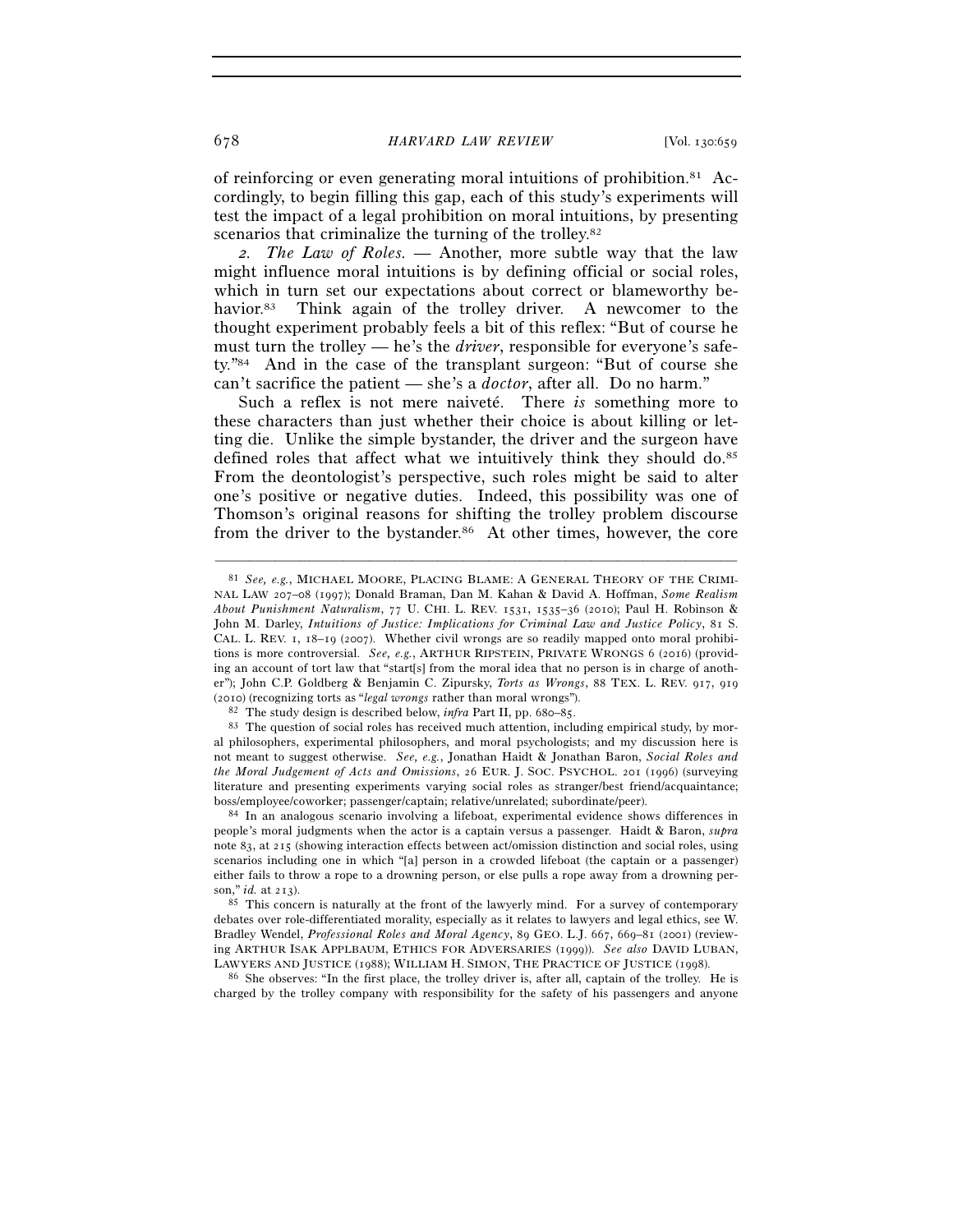of reinforcing or even generating moral intuitions of prohibition.81 Accordingly, to begin filling this gap, each of this study's experiments will test the impact of a legal prohibition on moral intuitions, by presenting scenarios that criminalize the turning of the trolley.<sup>82</sup>

*2. The Law of Roles. —* Another, more subtle way that the law might influence moral intuitions is by defining official or social roles, which in turn set our expectations about correct or blameworthy behavior.<sup>83</sup> Think again of the trolley driver. A newcomer to the thought experiment probably feels a bit of this reflex: "But of course he must turn the trolley — he's the *driver*, responsible for everyone's safety."84 And in the case of the transplant surgeon: "But of course she can't sacrifice the patient — she's a *doctor*, after all. Do no harm."

Such a reflex is not mere naiveté. There *is* something more to these characters than just whether their choice is about killing or letting die. Unlike the simple bystander, the driver and the surgeon have defined roles that affect what we intuitively think they should do.<sup>85</sup> From the deontologist's perspective, such roles might be said to alter one's positive or negative duties. Indeed, this possibility was one of Thomson's original reasons for shifting the trolley problem discourse from the driver to the bystander.<sup>86</sup> At other times, however, the core

–––––––––––––––––––––––––––––––––––––––––––––––––––––––––––––

charged by the trolley company with responsibility for the safety of his passengers and anyone

<sup>81</sup> *See, e.g.*, MICHAEL MOORE, PLACING BLAME: A GENERAL THEORY OF THE CRIMI-NAL LAW 207–08 (1997); Donald Braman, Dan M. Kahan & David A. Hoffman, *Some Realism About Punishment Naturalism*, 77 U. CHI. L. REV. 1531, 1535–36 (2010); Paul H. Robinson & John M. Darley, *Intuitions of Justice: Implications for Criminal Law and Justice Policy*, 81 S. CAL. L. REV. 1, 18–19 (2007). Whether civil wrongs are so readily mapped onto moral prohibitions is more controversial. *See, e.g.*, ARTHUR RIPSTEIN, PRIVATE WRONGS 6 (2016) (providing an account of tort law that "start[s] from the moral idea that no person is in charge of another"); John C.P. Goldberg & Benjamin C. Zipursky, *Torts as Wrongs*, 88 TEX. L. REV. 917, 919 (2010) (recognizing torts as *"legal wrongs* rather than moral wrongs").<br><sup>82</sup> The study design is described below, *infra* Part II, pp. 680–85.<br><sup>83</sup> The question of social roles has received much attention, including empi

al philosophers, experimental philosophers, and moral psychologists; and my discussion here is not meant to suggest otherwise. *See, e.g.*, Jonathan Haidt & Jonathan Baron, *Social Roles and the Moral Judgement of Acts and Omissions*, 26 EUR. J. SOC. PSYCHOL. 201 (1996) (surveying literature and presenting experiments varying social roles as stranger/best friend/acquaintance; boss/employee/coworker; passenger/captain; relative/unrelated; subordinate/peer). 84 In an analogous scenario involving a lifeboat, experimental evidence shows differences in

people's moral judgments when the actor is a captain versus a passenger. Haidt & Baron, *supra* note 83, at 215 (showing interaction effects between act/omission distinction and social roles, using scenarios including one in which "[a] person in a crowded lifeboat (the captain or a passenger) either fails to throw a rope to a drowning person, or else pulls a rope away from a drowning person," *id.* at 213).<br><sup>85</sup> This concern is naturally at the front of the lawyerly mind. For a survey of contemporary

debates over role-differentiated morality, especially as it relates to lawyers and legal ethics, see W. Bradley Wendel, *Professional Roles and Moral Agency*, 89 GEO. L.J. 667, 669–81 (2001) (reviewing ARTHUR ISAK APPLBAUM, ETHICS FOR ADVERSARIES (1999)). *See also* DAVID LUBAN, LAWYERS AND JUSTICE (1988); WILLIAM H. SIMON, THE PRACTICE OF JUSTICE (1998).<br><sup>86</sup> She observes: "In the first place, the trolley driver is, after all, captain of the trolley. He is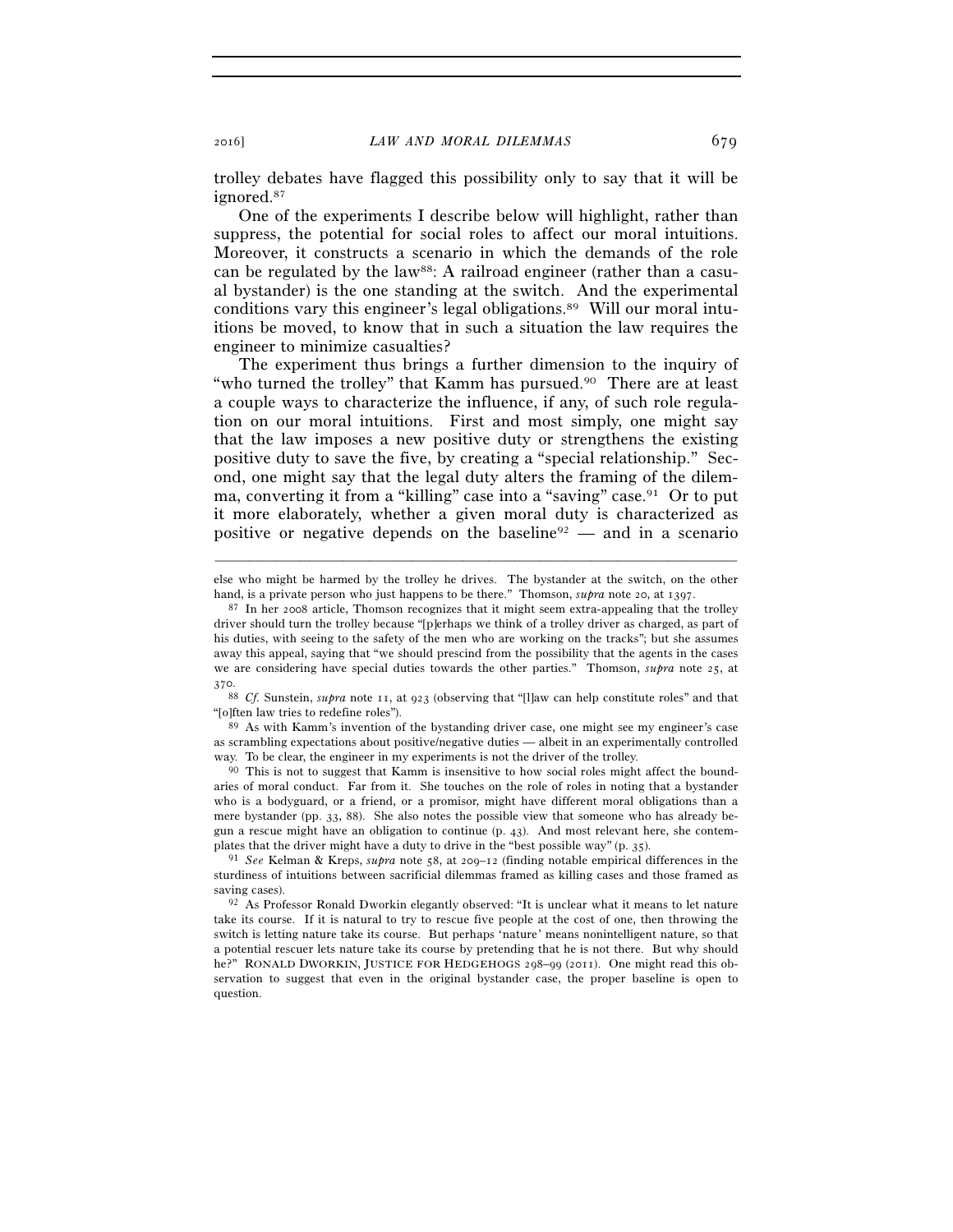trolley debates have flagged this possibility only to say that it will be ignored.87

One of the experiments I describe below will highlight, rather than suppress, the potential for social roles to affect our moral intuitions. Moreover, it constructs a scenario in which the demands of the role can be regulated by the law<sup>88</sup>: A railroad engineer (rather than a casual bystander) is the one standing at the switch. And the experimental conditions vary this engineer's legal obligations.89 Will our moral intuitions be moved, to know that in such a situation the law requires the engineer to minimize casualties?

The experiment thus brings a further dimension to the inquiry of "who turned the trolley" that Kamm has pursued.<sup>90</sup> There are at least a couple ways to characterize the influence, if any, of such role regulation on our moral intuitions. First and most simply, one might say that the law imposes a new positive duty or strengthens the existing positive duty to save the five, by creating a "special relationship." Second, one might say that the legal duty alters the framing of the dilemma, converting it from a "killing" case into a "saving" case.<sup>91</sup> Or to put it more elaborately, whether a given moral duty is characterized as positive or negative depends on the baseline<sup>92</sup> — and in a scenario

88 *Cf.* Sunstein, *supra* note 11, at 923 (observing that "[l]aw can help constitute roles" and that "[o]ften law tries to redefine roles"). 89 As with Kamm's invention of the bystanding driver case, one might see my engineer's case

as scrambling expectations about positive/negative duties — albeit in an experimentally controlled way. To be clear, the engineer in my experiments is not the driver of the trolley.

<sup>90</sup> This is not to suggest that Kamm is insensitive to how social roles might affect the boundaries of moral conduct. Far from it. She touches on the role of roles in noting that a bystander who is a bodyguard, or a friend, or a promisor, might have different moral obligations than a mere bystander (pp. 33, 88). She also notes the possible view that someone who has already begun a rescue might have an obligation to continue (p. 43). And most relevant here, she contem-<br>plates that the driver might have a duty to drive in the "best possible way" (p. 35).

<sup>–––––––––––––––––––––––––––––––––––––––––––––––––––––––––––––</sup> else who might be harmed by the trolley he drives. The bystander at the switch, on the other hand, is a private person who just happens to be there." Thomson, *supra* note 20, at 1397.<br><sup>87</sup> In her 2008 article, Thomson recognizes that it might seem extra-appealing that the trolley

driver should turn the trolley because "[p]erhaps we think of a trolley driver as charged, as part of his duties, with seeing to the safety of the men who are working on the tracks"; but she assumes away this appeal, saying that "we should prescind from the possibility that the agents in the cases we are considering have special duties towards the other parties." Thomson, *supra* note 25, at 370.

<sup>&</sup>lt;sup>91</sup> See Kelman & Kreps, *supra* note 58, at 209–12 (finding notable empirical differences in the sturdiness of intuitions between sacrificial dilemmas framed as killing cases and those framed as saving cases). 92 As Professor Ronald Dworkin elegantly observed: "It is unclear what it means to let nature

take its course. If it is natural to try to rescue five people at the cost of one, then throwing the switch is letting nature take its course. But perhaps 'nature' means nonintelligent nature, so that a potential rescuer lets nature take its course by pretending that he is not there. But why should he?" RONALD DWORKIN, JUSTICE FOR HEDGEHOGS 298–99 (2011). One might read this observation to suggest that even in the original bystander case, the proper baseline is open to question.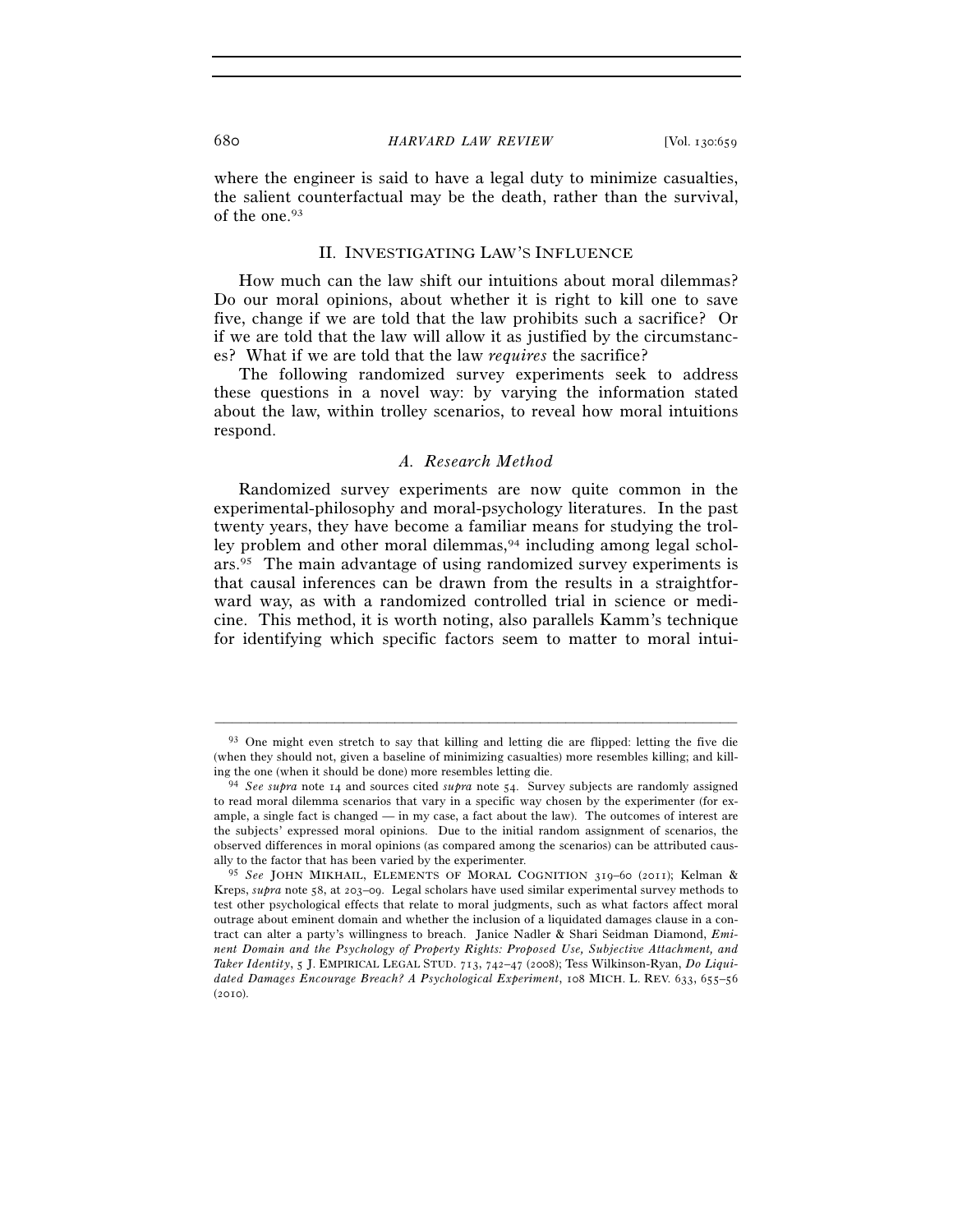### 680 *HARVARD LAW REVIEW* [Vol. 130:659

where the engineer is said to have a legal duty to minimize casualties, the salient counterfactual may be the death, rather than the survival, of the one.93

### II. INVESTIGATING LAW'S INFLUENCE

How much can the law shift our intuitions about moral dilemmas? Do our moral opinions, about whether it is right to kill one to save five, change if we are told that the law prohibits such a sacrifice? Or if we are told that the law will allow it as justified by the circumstances? What if we are told that the law *requires* the sacrifice?

The following randomized survey experiments seek to address these questions in a novel way: by varying the information stated about the law, within trolley scenarios, to reveal how moral intuitions respond.

## *A. Research Method*

Randomized survey experiments are now quite common in the experimental-philosophy and moral-psychology literatures. In the past twenty years, they have become a familiar means for studying the trolley problem and other moral dilemmas,<sup>94</sup> including among legal scholars.95 The main advantage of using randomized survey experiments is that causal inferences can be drawn from the results in a straightforward way, as with a randomized controlled trial in science or medicine. This method, it is worth noting, also parallels Kamm's technique for identifying which specific factors seem to matter to moral intui-

<sup>93</sup> One might even stretch to say that killing and letting die are flipped: letting the five die (when they should not, given a baseline of minimizing casualties) more resembles killing; and killing the one (when it should be done) more resembles letting die. 94 *See supra* note 14 and sources cited *supra* note 54. Survey subjects are randomly assigned

to read moral dilemma scenarios that vary in a specific way chosen by the experimenter (for example, a single fact is changed — in my case, a fact about the law). The outcomes of interest are the subjects' expressed moral opinions. Due to the initial random assignment of scenarios, the observed differences in moral opinions (as compared among the scenarios) can be attributed causally to the factor that has been varied by the experimenter.

<sup>95</sup> *See* JOHN MIKHAIL, ELEMENTS OF MORAL COGNITION 319–60 (2011); Kelman & Kreps, *supra* note 58, at 203–09. Legal scholars have used similar experimental survey methods to test other psychological effects that relate to moral judgments, such as what factors affect moral outrage about eminent domain and whether the inclusion of a liquidated damages clause in a contract can alter a party's willingness to breach. Janice Nadler & Shari Seidman Diamond, *Eminent Domain and the Psychology of Property Rights: Proposed Use, Subjective Attachment, and Taker Identity*, 5 J. EMPIRICAL LEGAL STUD. 713, 742–47 (2008); Tess Wilkinson-Ryan, *Do Liquidated Damages Encourage Breach? A Psychological Experiment*, 108 MICH. L. REV. 633, 655–56  $(2010)$ .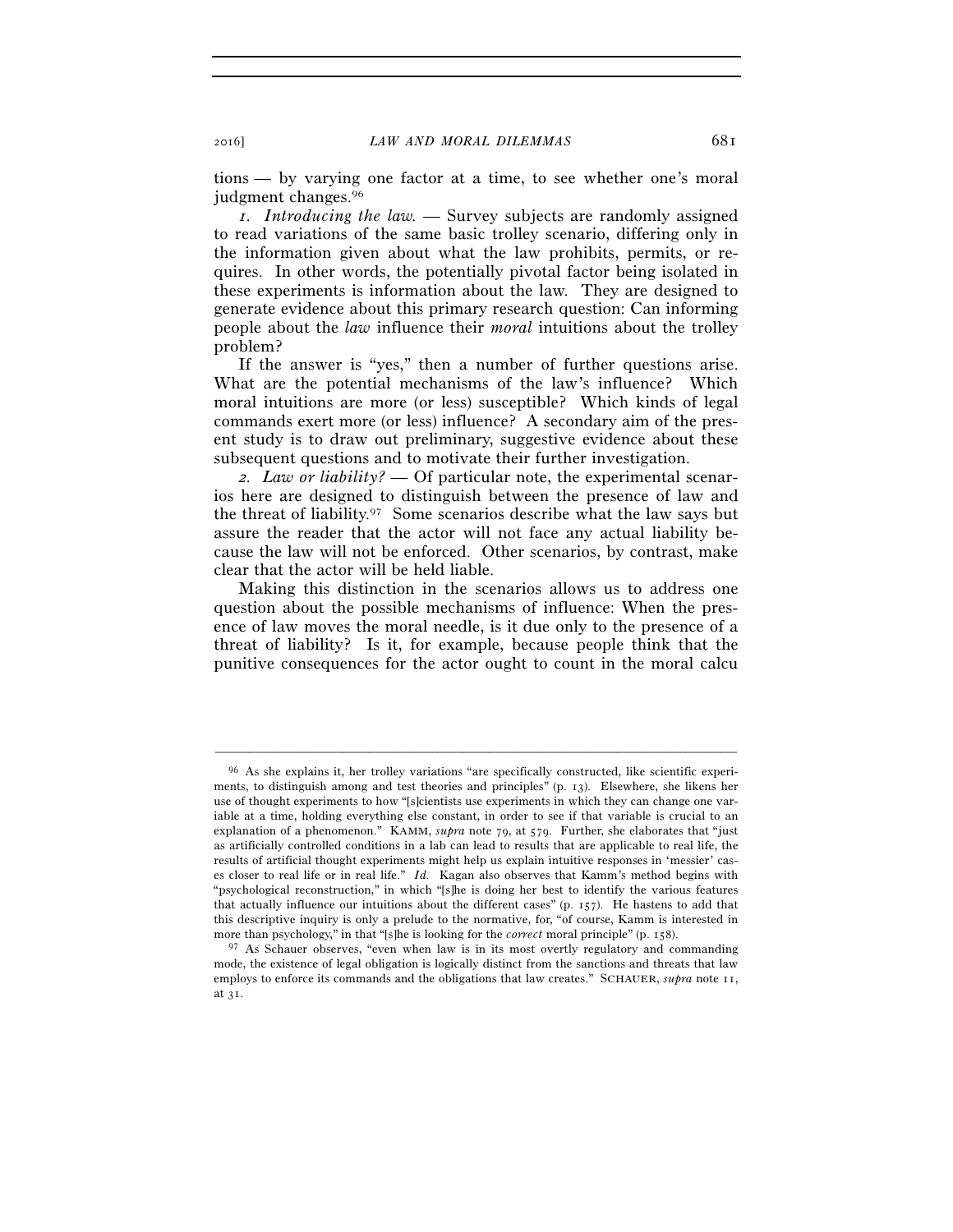tions — by varying one factor at a time, to see whether one's moral judgment changes.96

*1. Introducing the law. —* Survey subjects are randomly assigned to read variations of the same basic trolley scenario, differing only in the information given about what the law prohibits, permits, or requires. In other words, the potentially pivotal factor being isolated in these experiments is information about the law. They are designed to generate evidence about this primary research question: Can informing people about the *law* influence their *moral* intuitions about the trolley problem?

If the answer is "yes," then a number of further questions arise. What are the potential mechanisms of the law's influence? Which moral intuitions are more (or less) susceptible? Which kinds of legal commands exert more (or less) influence? A secondary aim of the present study is to draw out preliminary, suggestive evidence about these subsequent questions and to motivate their further investigation.

*2. Law or liability? —* Of particular note, the experimental scenarios here are designed to distinguish between the presence of law and the threat of liability.97 Some scenarios describe what the law says but assure the reader that the actor will not face any actual liability because the law will not be enforced. Other scenarios, by contrast, make clear that the actor will be held liable.

Making this distinction in the scenarios allows us to address one question about the possible mechanisms of influence: When the presence of law moves the moral needle, is it due only to the presence of a threat of liability? Is it, for example, because people think that the punitive consequences for the actor ought to count in the moral calcu

<sup>96</sup> As she explains it, her trolley variations "are specifically constructed, like scientific experiments, to distinguish among and test theories and principles" (p. 13). Elsewhere, she likens her use of thought experiments to how "[s]cientists use experiments in which they can change one variable at a time, holding everything else constant, in order to see if that variable is crucial to an explanation of a phenomenon." KAMM, *supra* note 79, at 579. Further, she elaborates that "just as artificially controlled conditions in a lab can lead to results that are applicable to real life, the results of artificial thought experiments might help us explain intuitive responses in 'messier' cases closer to real life or in real life." *Id.* Kagan also observes that Kamm's method begins with "psychological reconstruction," in which "[s]he is doing her best to identify the various features that actually influence our intuitions about the different cases" (p. 157). He hastens to add that this descriptive inquiry is only a prelude to the normative, for, "of course, Kamm is interested in more than psychology," in that "[s]he is looking for the *correct* moral principle" (p. 158).

<sup>&</sup>lt;sup>97</sup> As Schauer observes, "even when law is in its most overtly regulatory and commanding mode, the existence of legal obligation is logically distinct from the sanctions and threats that law employs to enforce its commands and the obligations that law creates." SCHAUER, *supra* note 11, at 31.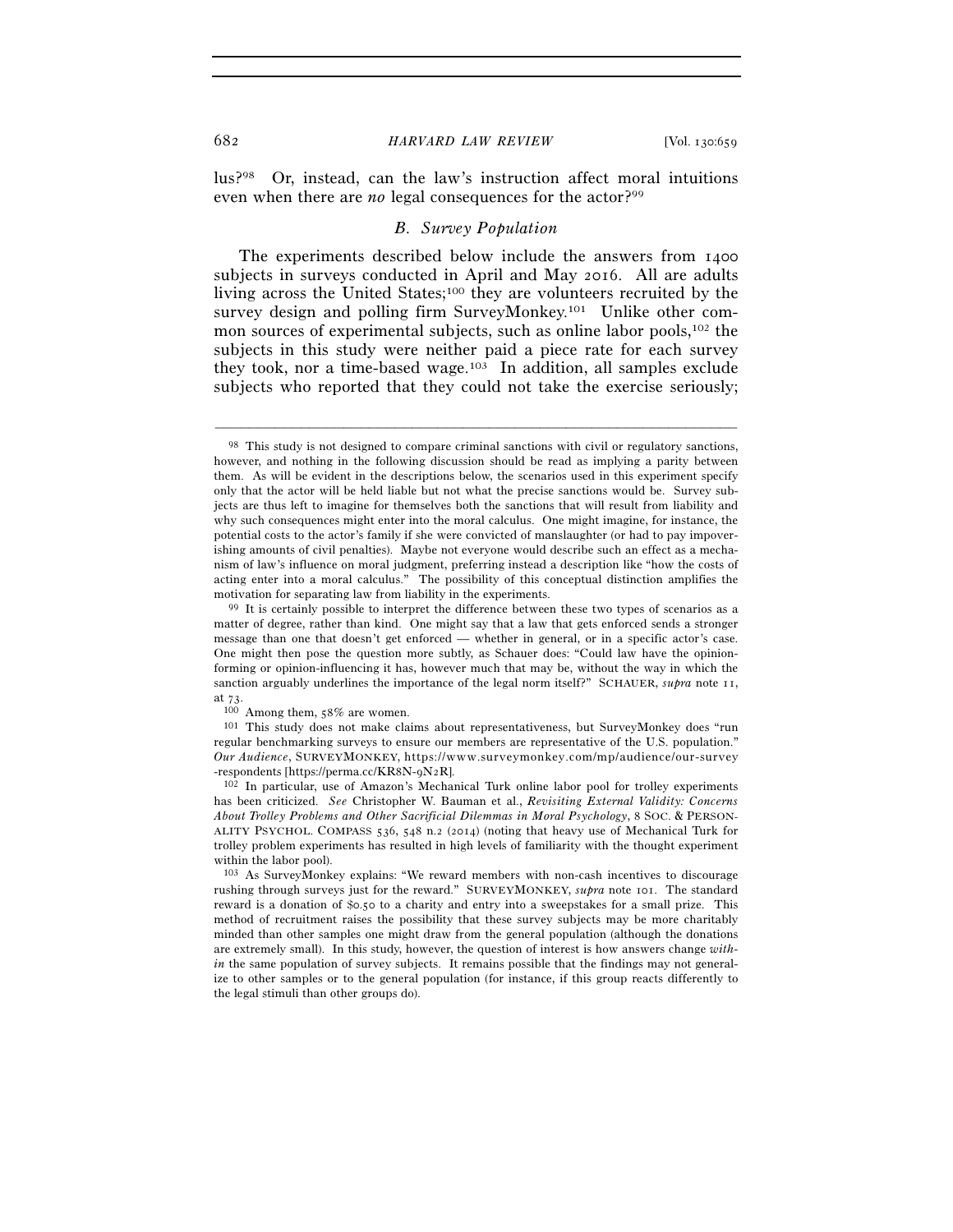lus?98 Or, instead, can the law's instruction affect moral intuitions even when there are *no* legal consequences for the actor?<sup>99</sup>

#### *B. Survey Population*

The experiments described below include the answers from 1400 subjects in surveys conducted in April and May 2016. All are adults living across the United States;100 they are volunteers recruited by the survey design and polling firm SurveyMonkey.<sup>101</sup> Unlike other common sources of experimental subjects, such as online labor pools,<sup>102</sup> the subjects in this study were neither paid a piece rate for each survey they took, nor a time-based wage.103 In addition, all samples exclude subjects who reported that they could not take the exercise seriously;

–––––––––––––––––––––––––––––––––––––––––––––––––––––––––––––

regular benchmarking surveys to ensure our members are representative of the U.S. population." *Our Audience*, SURVEYMONKEY, https://www.surveymonkey.com/mp/audience/our-survey -respondents [https://perma.cc/KR8N-9N2R]. 102 In particular, use of Amazon's Mechanical Turk online labor pool for trolley experiments

has been criticized. *See* Christopher W. Bauman et al., *Revisiting External Validity: Concerns About Trolley Problems and Other Sacrificial Dilemmas in Moral Psychology*, 8 SOC. & PERSON-ALITY PSYCHOL. COMPASS 536, 548 n.2 (2014) (noting that heavy use of Mechanical Turk for trolley problem experiments has resulted in high levels of familiarity with the thought experiment within the labor pool).

<sup>&</sup>lt;sup>98</sup> This study is not designed to compare criminal sanctions with civil or regulatory sanctions, however, and nothing in the following discussion should be read as implying a parity between them. As will be evident in the descriptions below, the scenarios used in this experiment specify only that the actor will be held liable but not what the precise sanctions would be. Survey subjects are thus left to imagine for themselves both the sanctions that will result from liability and why such consequences might enter into the moral calculus. One might imagine, for instance, the potential costs to the actor's family if she were convicted of manslaughter (or had to pay impoverishing amounts of civil penalties). Maybe not everyone would describe such an effect as a mechanism of law's influence on moral judgment, preferring instead a description like "how the costs of acting enter into a moral calculus." The possibility of this conceptual distinction amplifies the motivation for separating law from liability in the experiments.<br><sup>99</sup> It is certainly possible to interpret the difference between these two types of scenarios as a

matter of degree, rather than kind. One might say that a law that gets enforced sends a stronger message than one that doesn't get enforced — whether in general, or in a specific actor's case. One might then pose the question more subtly, as Schauer does: "Could law have the opinionforming or opinion-influencing it has, however much that may be, without the way in which the sanction arguably underlines the importance of the legal norm itself?" SCHAUER, *supra* note 11, at 73. 100 Among them, 58% are women. 101 This study does not make claims about representativeness, but SurveyMonkey does "run

<sup>103</sup> As SurveyMonkey explains: "We reward members with non-cash incentives to discourage rushing through surveys just for the reward." SURVEYMONKEY, *supra* note 101. The standard reward is a donation of \$0.50 to a charity and entry into a sweepstakes for a small prize. This method of recruitment raises the possibility that these survey subjects may be more charitably minded than other samples one might draw from the general population (although the donations are extremely small). In this study, however, the question of interest is how answers change *within* the same population of survey subjects. It remains possible that the findings may not generalize to other samples or to the general population (for instance, if this group reacts differently to the legal stimuli than other groups do).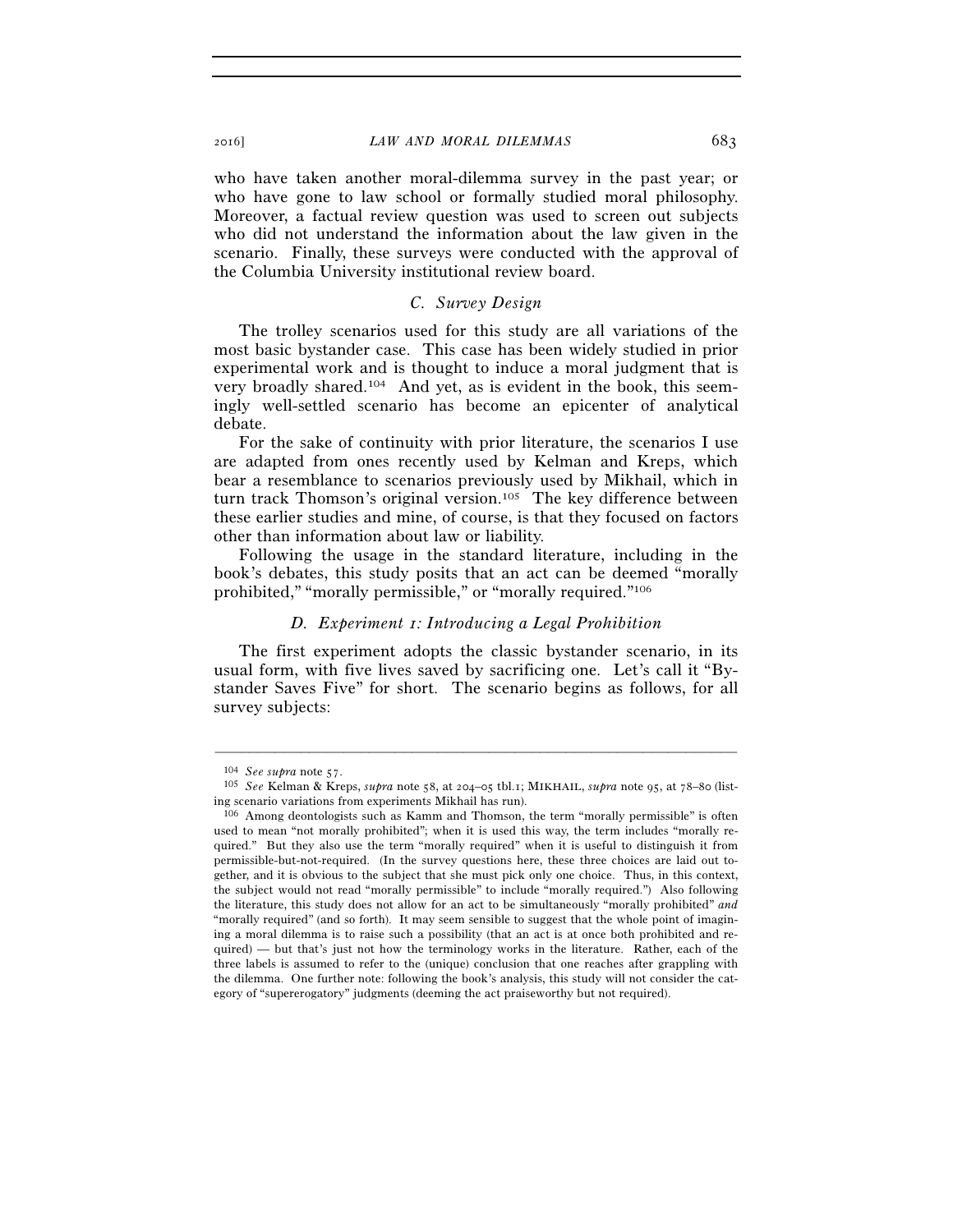who have taken another moral-dilemma survey in the past year; or who have gone to law school or formally studied moral philosophy. Moreover, a factual review question was used to screen out subjects who did not understand the information about the law given in the scenario. Finally, these surveys were conducted with the approval of the Columbia University institutional review board.

## *C. Survey Design*

The trolley scenarios used for this study are all variations of the most basic bystander case. This case has been widely studied in prior experimental work and is thought to induce a moral judgment that is very broadly shared.104 And yet, as is evident in the book, this seemingly well-settled scenario has become an epicenter of analytical debate.

For the sake of continuity with prior literature, the scenarios I use are adapted from ones recently used by Kelman and Kreps, which bear a resemblance to scenarios previously used by Mikhail, which in turn track Thomson's original version.105 The key difference between these earlier studies and mine, of course, is that they focused on factors other than information about law or liability.

Following the usage in the standard literature, including in the book's debates, this study posits that an act can be deemed "morally prohibited," "morally permissible," or "morally required."106

### *D. Experiment 1: Introducing a Legal Prohibition*

The first experiment adopts the classic bystander scenario, in its usual form, with five lives saved by sacrificing one. Let's call it "Bystander Saves Five" for short. The scenario begins as follows, for all survey subjects:

<sup>104</sup> *See supra* note 57. 105 *See* Kelman & Kreps, *supra* note 58, at 204–05 tbl.1; MIKHAIL, *supra* note 95, at 78–80 (listing scenario variations from experiments Mikhail has run).

<sup>106</sup> Among deontologists such as Kamm and Thomson, the term "morally permissible" is often used to mean "not morally prohibited"; when it is used this way, the term includes "morally required." But they also use the term "morally required" when it is useful to distinguish it from permissible-but-not-required. (In the survey questions here, these three choices are laid out together, and it is obvious to the subject that she must pick only one choice. Thus, in this context, the subject would not read "morally permissible" to include "morally required.") Also following the literature, this study does not allow for an act to be simultaneously "morally prohibited" *and* "morally required" (and so forth). It may seem sensible to suggest that the whole point of imagining a moral dilemma is to raise such a possibility (that an act is at once both prohibited and required) — but that's just not how the terminology works in the literature. Rather, each of the three labels is assumed to refer to the (unique) conclusion that one reaches after grappling with the dilemma. One further note: following the book's analysis, this study will not consider the category of "supererogatory" judgments (deeming the act praiseworthy but not required).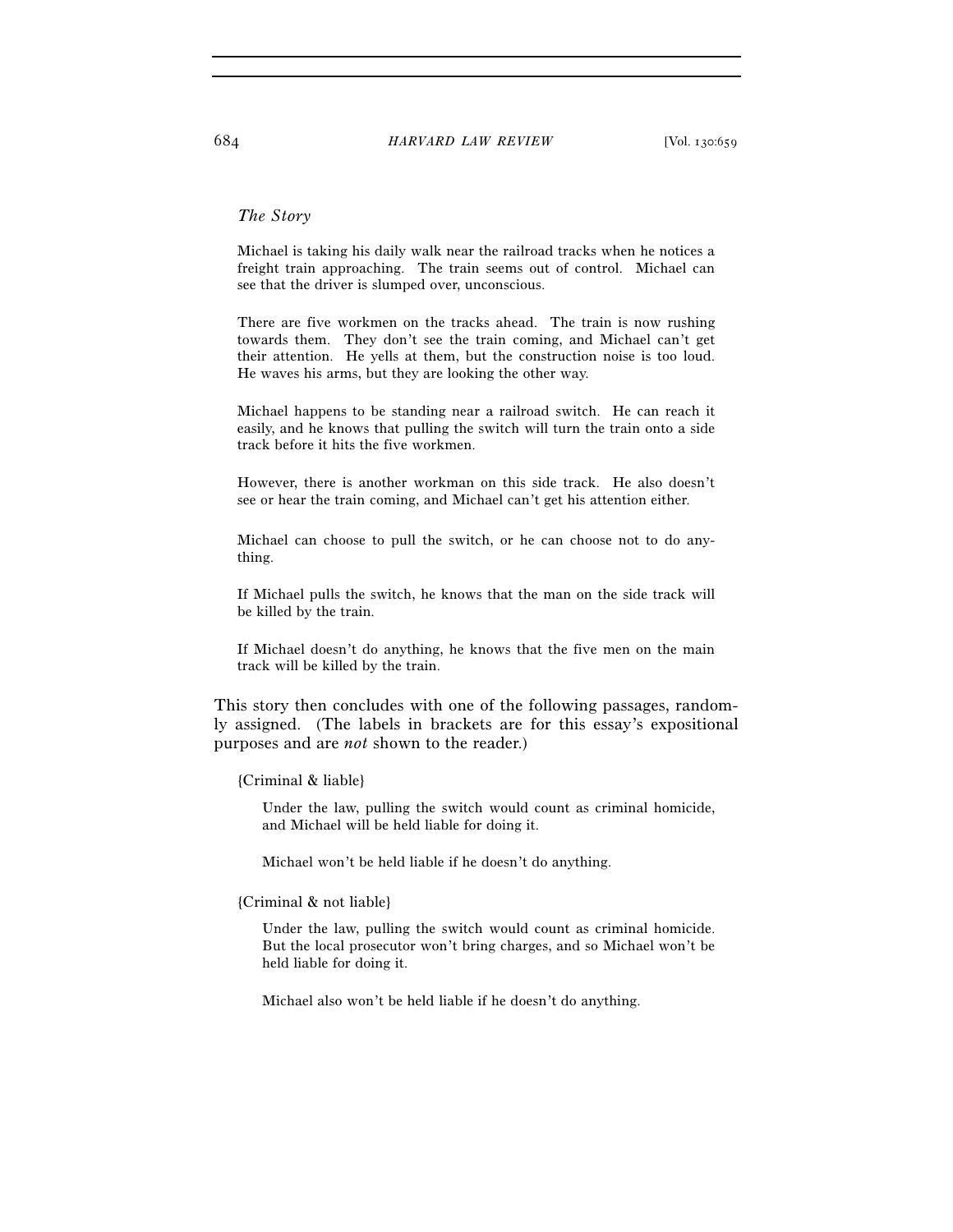### *The Story*

Michael is taking his daily walk near the railroad tracks when he notices a freight train approaching. The train seems out of control. Michael can see that the driver is slumped over, unconscious.

There are five workmen on the tracks ahead. The train is now rushing towards them. They don't see the train coming, and Michael can't get their attention. He yells at them, but the construction noise is too loud. He waves his arms, but they are looking the other way.

Michael happens to be standing near a railroad switch. He can reach it easily, and he knows that pulling the switch will turn the train onto a side track before it hits the five workmen.

However, there is another workman on this side track. He also doesn't see or hear the train coming, and Michael can't get his attention either.

Michael can choose to pull the switch, or he can choose not to do anything.

If Michael pulls the switch, he knows that the man on the side track will be killed by the train.

If Michael doesn't do anything, he knows that the five men on the main track will be killed by the train.

This story then concludes with one of the following passages, randomly assigned. (The labels in brackets are for this essay's expositional purposes and are *not* shown to the reader.)

### {Criminal & liable}

Under the law, pulling the switch would count as criminal homicide, and Michael will be held liable for doing it.

Michael won't be held liable if he doesn't do anything.

#### {Criminal & not liable}

Under the law, pulling the switch would count as criminal homicide. But the local prosecutor won't bring charges, and so Michael won't be held liable for doing it.

Michael also won't be held liable if he doesn't do anything.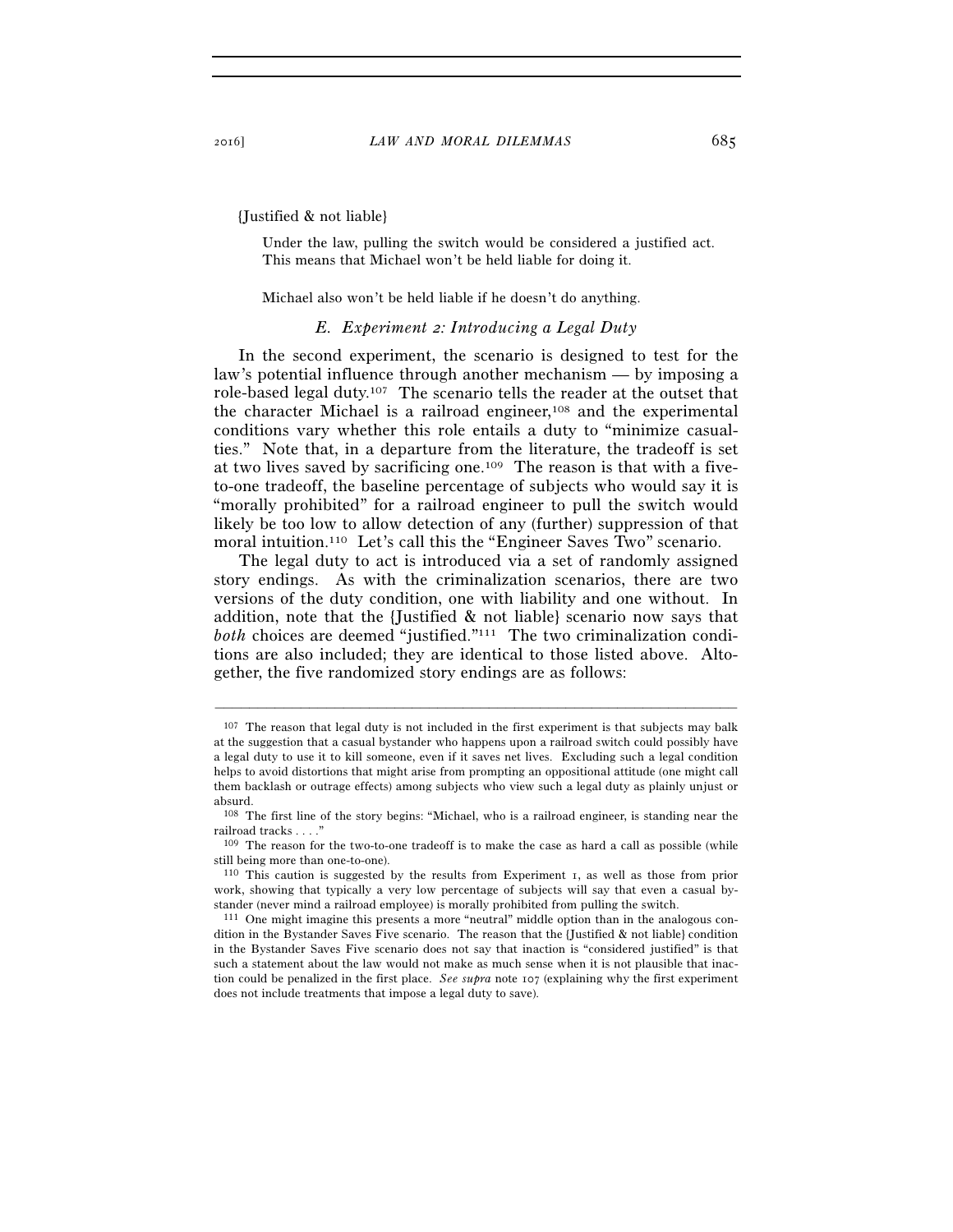{Justified & not liable}

Under the law, pulling the switch would be considered a justified act. This means that Michael won't be held liable for doing it.

Michael also won't be held liable if he doesn't do anything.

### *E. Experiment 2: Introducing a Legal Duty*

In the second experiment, the scenario is designed to test for the law's potential influence through another mechanism — by imposing a role-based legal duty.107 The scenario tells the reader at the outset that the character Michael is a railroad engineer,<sup>108</sup> and the experimental conditions vary whether this role entails a duty to "minimize casualties." Note that, in a departure from the literature, the tradeoff is set at two lives saved by sacrificing one.109 The reason is that with a fiveto-one tradeoff, the baseline percentage of subjects who would say it is "morally prohibited" for a railroad engineer to pull the switch would likely be too low to allow detection of any (further) suppression of that moral intuition.<sup>110</sup> Let's call this the "Engineer Saves Two" scenario.

The legal duty to act is introduced via a set of randomly assigned story endings. As with the criminalization scenarios, there are two versions of the duty condition, one with liability and one without. In addition, note that the {Justified & not liable} scenario now says that *both* choices are deemed "justified."<sup>111</sup> The two criminalization conditions are also included; they are identical to those listed above. Altogether, the five randomized story endings are as follows:

<sup>&</sup>lt;sup>107</sup> The reason that legal duty is not included in the first experiment is that subjects may balk at the suggestion that a casual bystander who happens upon a railroad switch could possibly have a legal duty to use it to kill someone, even if it saves net lives. Excluding such a legal condition helps to avoid distortions that might arise from prompting an oppositional attitude (one might call them backlash or outrage effects) among subjects who view such a legal duty as plainly unjust or absurd.

<sup>108</sup> The first line of the story begins: "Michael, who is a railroad engineer, is standing near the railroad tracks . . . ."

<sup>109</sup> The reason for the two-to-one tradeoff is to make the case as hard a call as possible (while still being more than one-to-one).

<sup>110</sup> This caution is suggested by the results from Experiment 1, as well as those from prior work, showing that typically a very low percentage of subjects will say that even a casual bystander (never mind a railroad employee) is morally prohibited from pulling the switch.<br><sup>111</sup> One might imagine this presents a more "neutral" middle option than in the analogous con-

dition in the Bystander Saves Five scenario. The reason that the {Justified & not liable} condition in the Bystander Saves Five scenario does not say that inaction is "considered justified" is that such a statement about the law would not make as much sense when it is not plausible that inaction could be penalized in the first place. *See supra* note 107 (explaining why the first experiment does not include treatments that impose a legal duty to save).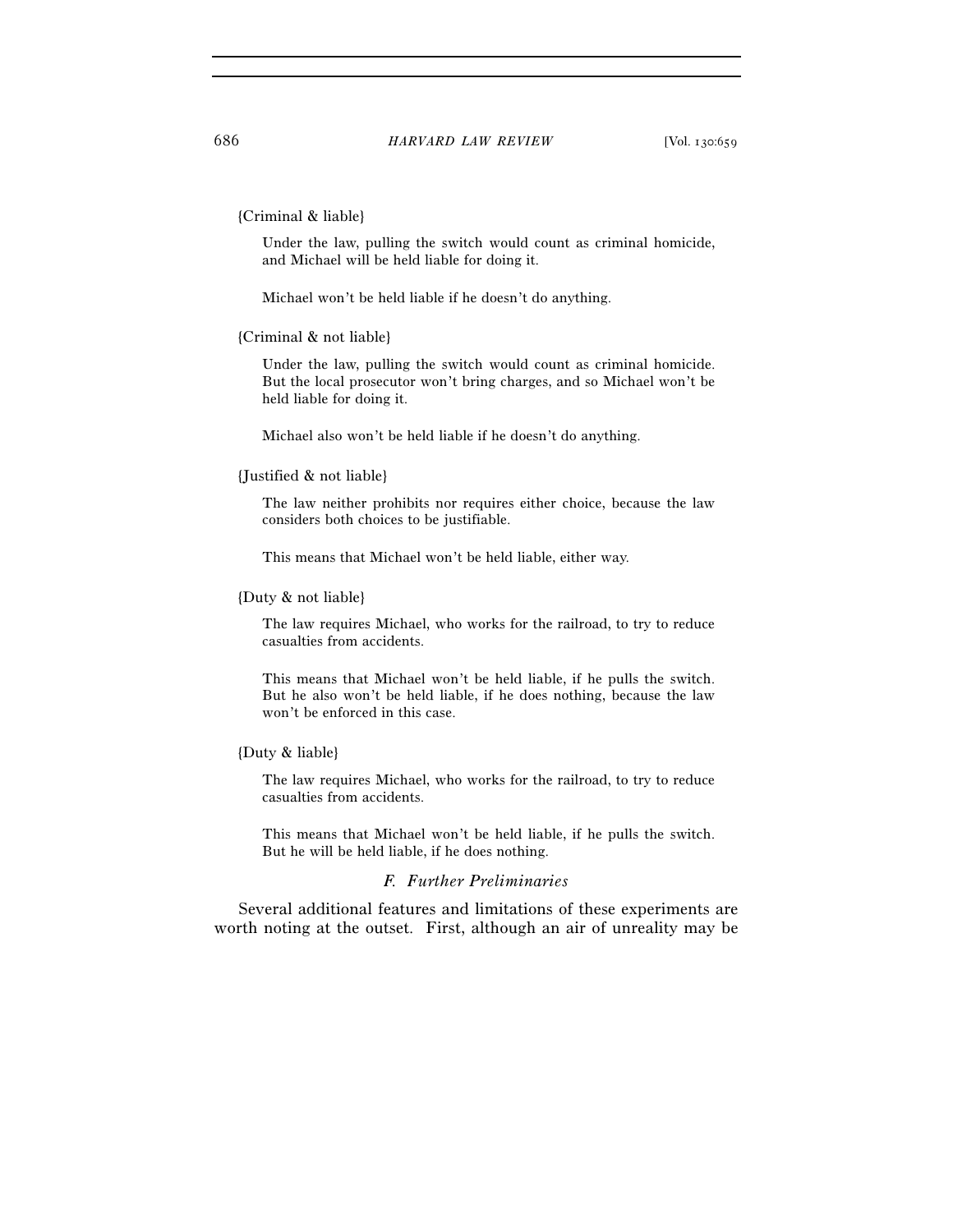### {Criminal & liable}

Under the law, pulling the switch would count as criminal homicide, and Michael will be held liable for doing it.

Michael won't be held liable if he doesn't do anything.

#### {Criminal & not liable}

Under the law, pulling the switch would count as criminal homicide. But the local prosecutor won't bring charges, and so Michael won't be held liable for doing it.

Michael also won't be held liable if he doesn't do anything.

#### {Justified & not liable}

The law neither prohibits nor requires either choice, because the law considers both choices to be justifiable.

This means that Michael won't be held liable, either way.

#### {Duty & not liable}

The law requires Michael, who works for the railroad, to try to reduce casualties from accidents.

This means that Michael won't be held liable, if he pulls the switch. But he also won't be held liable, if he does nothing, because the law won't be enforced in this case.

## {Duty & liable}

The law requires Michael, who works for the railroad, to try to reduce casualties from accidents.

This means that Michael won't be held liable, if he pulls the switch. But he will be held liable, if he does nothing.

## *F. Further Preliminaries*

Several additional features and limitations of these experiments are worth noting at the outset. First, although an air of unreality may be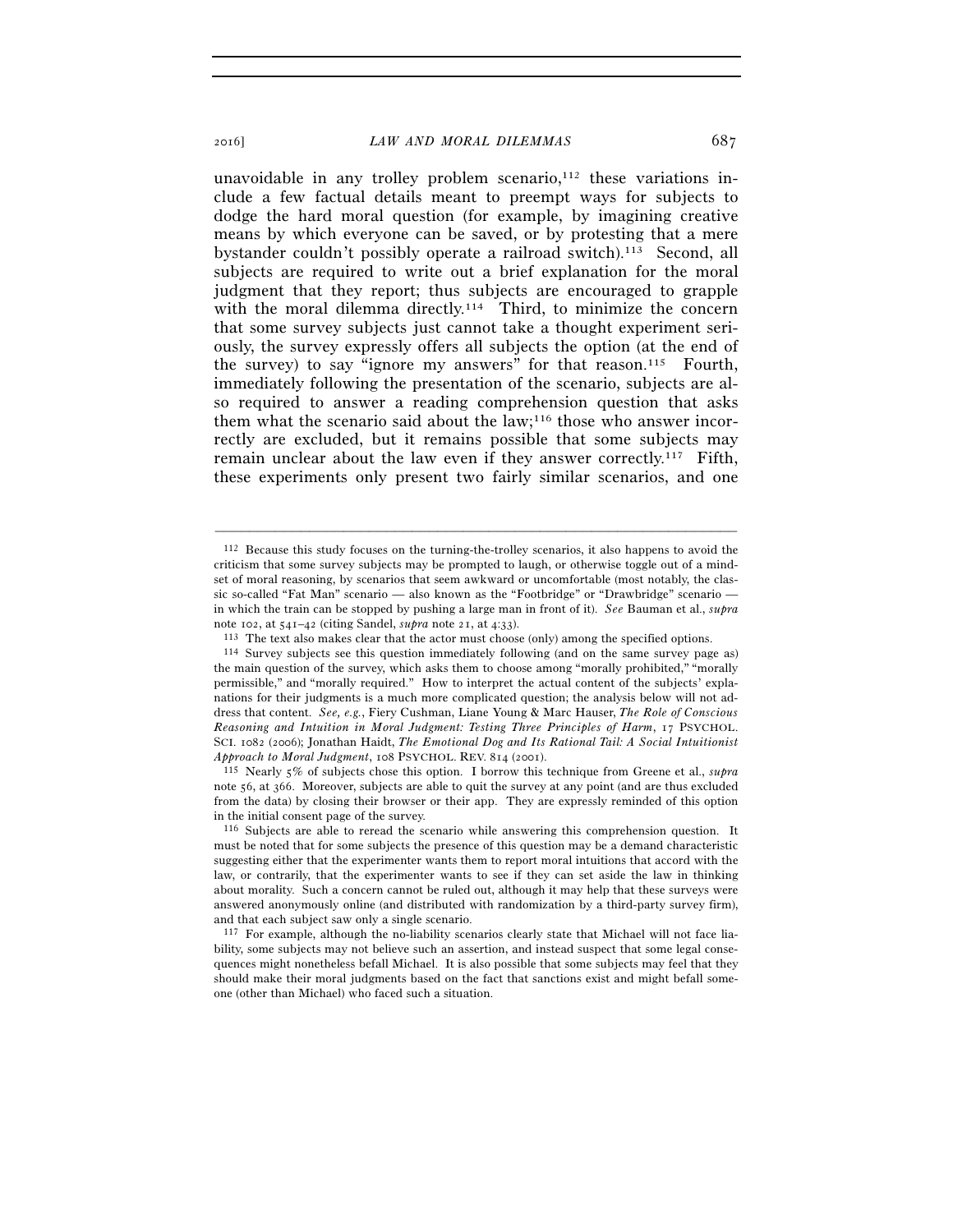unavoidable in any trolley problem scenario, $112$  these variations include a few factual details meant to preempt ways for subjects to dodge the hard moral question (for example, by imagining creative means by which everyone can be saved, or by protesting that a mere bystander couldn't possibly operate a railroad switch).113 Second, all subjects are required to write out a brief explanation for the moral judgment that they report; thus subjects are encouraged to grapple with the moral dilemma directly.<sup>114</sup> Third, to minimize the concern that some survey subjects just cannot take a thought experiment seriously, the survey expressly offers all subjects the option (at the end of the survey) to say "ignore my answers" for that reason.<sup>115</sup> Fourth, immediately following the presentation of the scenario, subjects are also required to answer a reading comprehension question that asks them what the scenario said about the  $law$ ;<sup>116</sup> those who answer incorrectly are excluded, but it remains possible that some subjects may remain unclear about the law even if they answer correctly.<sup>117</sup> Fifth, these experiments only present two fairly similar scenarios, and one

–––––––––––––––––––––––––––––––––––––––––––––––––––––––––––––

note 56, at 366. Moreover, subjects are able to quit the survey at any point (and are thus excluded from the data) by closing their browser or their app. They are expressly reminded of this option in the initial consent page of the survey.

<sup>112</sup> Because this study focuses on the turning-the-trolley scenarios, it also happens to avoid the criticism that some survey subjects may be prompted to laugh, or otherwise toggle out of a mindset of moral reasoning, by scenarios that seem awkward or uncomfortable (most notably, the classic so-called "Fat Man" scenario — also known as the "Footbridge" or "Drawbridge" scenario in which the train can be stopped by pushing a large man in front of it). *See* Bauman et al., *supra* note 102, at 541–42 (citing Sandel, *supra* note 21, at 4:33).<br><sup>113</sup> The text also makes clear that the actor must choose (only) among the specified options.<br><sup>114</sup> Survey subjects see this question immediately following (a

the main question of the survey, which asks them to choose among "morally prohibited," "morally permissible," and "morally required." How to interpret the actual content of the subjects' explanations for their judgments is a much more complicated question; the analysis below will not address that content. *See, e.g.*, Fiery Cushman, Liane Young & Marc Hauser, *The Role of Conscious Reasoning and Intuition in Moral Judgment: Testing Three Principles of Harm*, 17 PSYCHOL. SCI. 1082 (2006); Jonathan Haidt, *The Emotional Dog and Its Rational Tail: A Social Intuitionist Approach to Moral Judgment*, 108 PSYCHOL. REV. 814 (2001). 115 Nearly 5% of subjects chose this option. I borrow this technique from Greene et al., *supra*

<sup>116</sup> Subjects are able to reread the scenario while answering this comprehension question. It must be noted that for some subjects the presence of this question may be a demand characteristic suggesting either that the experimenter wants them to report moral intuitions that accord with the law, or contrarily, that the experimenter wants to see if they can set aside the law in thinking about morality. Such a concern cannot be ruled out, although it may help that these surveys were answered anonymously online (and distributed with randomization by a third-party survey firm), and that each subject saw only a single scenario.

<sup>117</sup> For example, although the no-liability scenarios clearly state that Michael will not face liability, some subjects may not believe such an assertion, and instead suspect that some legal consequences might nonetheless befall Michael. It is also possible that some subjects may feel that they should make their moral judgments based on the fact that sanctions exist and might befall someone (other than Michael) who faced such a situation.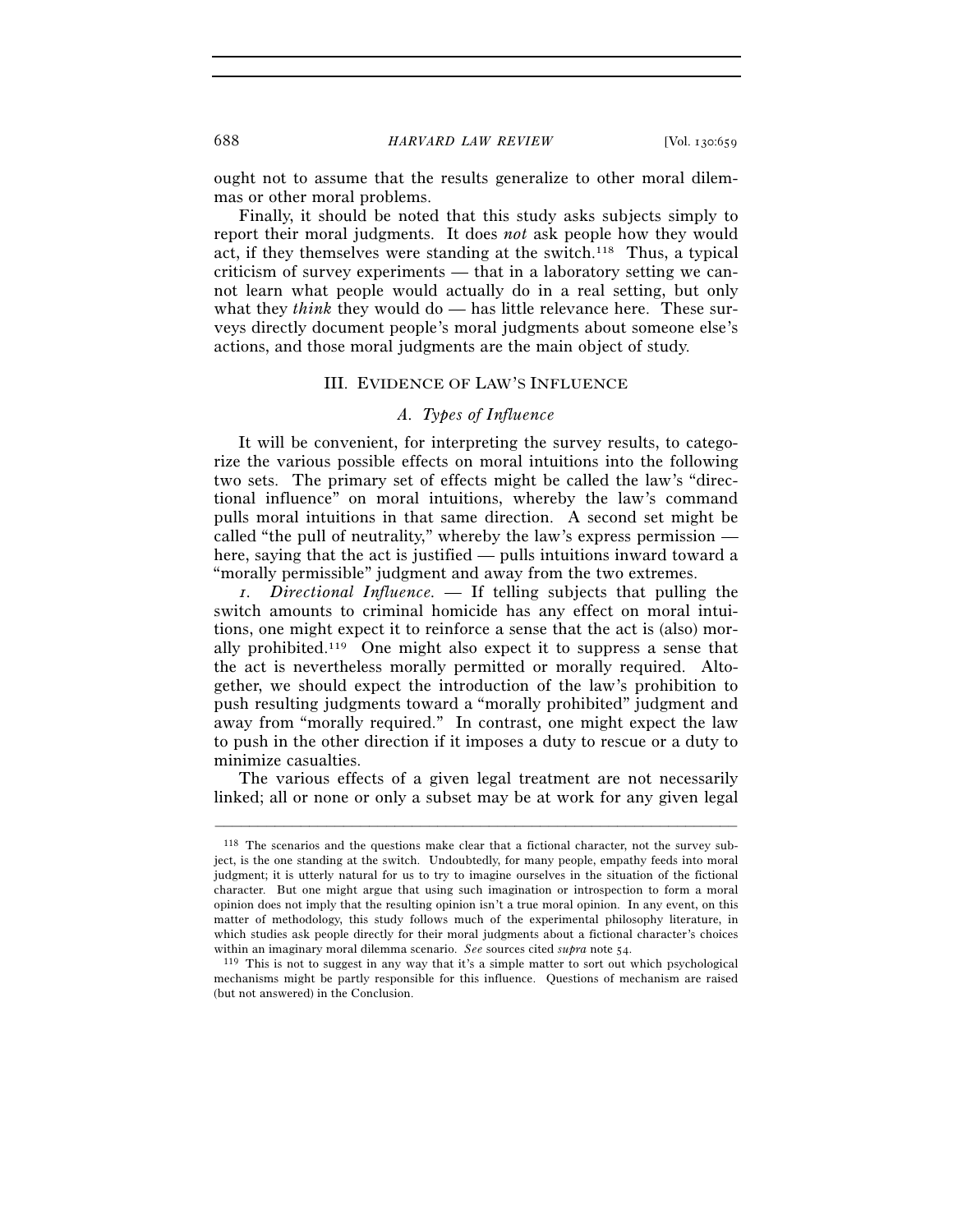### 688 *HARVARD LAW REVIEW* [Vol. 130:659

ought not to assume that the results generalize to other moral dilemmas or other moral problems.

Finally, it should be noted that this study asks subjects simply to report their moral judgments. It does *not* ask people how they would act, if they themselves were standing at the switch.118 Thus, a typical criticism of survey experiments — that in a laboratory setting we cannot learn what people would actually do in a real setting, but only what they *think* they would do — has little relevance here. These surveys directly document people's moral judgments about someone else's actions, and those moral judgments are the main object of study.

### III. EVIDENCE OF LAW'S INFLUENCE

### *A. Types of Influence*

It will be convenient, for interpreting the survey results, to categorize the various possible effects on moral intuitions into the following two sets. The primary set of effects might be called the law's "directional influence" on moral intuitions, whereby the law's command pulls moral intuitions in that same direction. A second set might be called "the pull of neutrality," whereby the law's express permission here, saying that the act is justified — pulls intuitions inward toward a "morally permissible" judgment and away from the two extremes.

*1. Directional Influence. —* If telling subjects that pulling the switch amounts to criminal homicide has any effect on moral intuitions, one might expect it to reinforce a sense that the act is (also) morally prohibited.119 One might also expect it to suppress a sense that the act is nevertheless morally permitted or morally required. Altogether, we should expect the introduction of the law's prohibition to push resulting judgments toward a "morally prohibited" judgment and away from "morally required." In contrast, one might expect the law to push in the other direction if it imposes a duty to rescue or a duty to minimize casualties.

The various effects of a given legal treatment are not necessarily linked; all or none or only a subset may be at work for any given legal

<sup>118</sup> The scenarios and the questions make clear that a fictional character, not the survey subject, is the one standing at the switch. Undoubtedly, for many people, empathy feeds into moral judgment; it is utterly natural for us to try to imagine ourselves in the situation of the fictional character. But one might argue that using such imagination or introspection to form a moral opinion does not imply that the resulting opinion isn't a true moral opinion. In any event, on this matter of methodology, this study follows much of the experimental philosophy literature, in which studies ask people directly for their moral judgments about a fictional character's choices within an imaginary moral dilemma scenario. *See* sources cited *supra* note 54.<br><sup>119</sup> This is not to suggest in any way that it's a simple matter to sort out which psychological

mechanisms might be partly responsible for this influence. Questions of mechanism are raised (but not answered) in the Conclusion.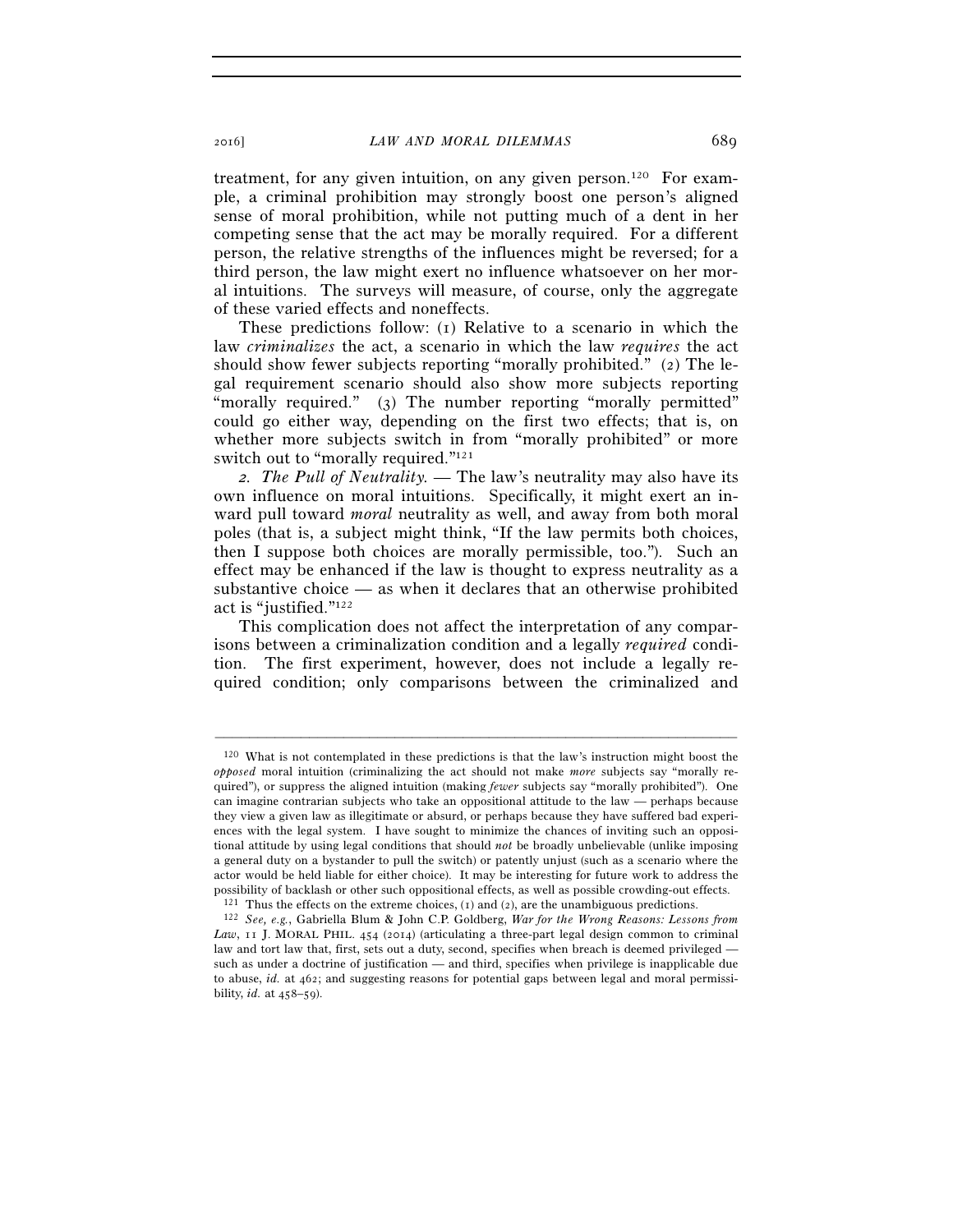treatment, for any given intuition, on any given person.<sup>120</sup> For example, a criminal prohibition may strongly boost one person's aligned sense of moral prohibition, while not putting much of a dent in her competing sense that the act may be morally required. For a different person, the relative strengths of the influences might be reversed; for a third person, the law might exert no influence whatsoever on her moral intuitions. The surveys will measure, of course, only the aggregate of these varied effects and noneffects.

These predictions follow: (1) Relative to a scenario in which the law *criminalizes* the act, a scenario in which the law *requires* the act should show fewer subjects reporting "morally prohibited." (2) The legal requirement scenario should also show more subjects reporting "morally required." (3) The number reporting "morally permitted" could go either way, depending on the first two effects; that is, on whether more subjects switch in from "morally prohibited" or more switch out to "morally required."121

*2. The Pull of Neutrality. —* The law's neutrality may also have its own influence on moral intuitions. Specifically, it might exert an inward pull toward *moral* neutrality as well, and away from both moral poles (that is, a subject might think, "If the law permits both choices, then I suppose both choices are morally permissible, too."). Such an effect may be enhanced if the law is thought to express neutrality as a substantive choice — as when it declares that an otherwise prohibited act is "justified."122

This complication does not affect the interpretation of any comparisons between a criminalization condition and a legally *required* condition. The first experiment, however, does not include a legally required condition; only comparisons between the criminalized and

<sup>120</sup> What is not contemplated in these predictions is that the law's instruction might boost the *opposed* moral intuition (criminalizing the act should not make *more* subjects say "morally required"), or suppress the aligned intuition (making *fewer* subjects say "morally prohibited"). One can imagine contrarian subjects who take an oppositional attitude to the law — perhaps because they view a given law as illegitimate or absurd, or perhaps because they have suffered bad experiences with the legal system. I have sought to minimize the chances of inviting such an oppositional attitude by using legal conditions that should *not* be broadly unbelievable (unlike imposing a general duty on a bystander to pull the switch) or patently unjust (such as a scenario where the actor would be held liable for either choice). It may be interesting for future work to address the possibility of backlash or other such oppositional effects, as well as possible crowding-out effects.<br><sup>121</sup> Thus the effects on the extreme choices, (1) and (2), are the unambiguous predictions.<br><sup>122</sup> See, e.g., Gabriella

Law, 11 J. MORAL PHIL. 454 (2014) (articulating a three-part legal design common to criminal law and tort law that, first, sets out a duty, second, specifies when breach is deemed privileged such as under a doctrine of justification — and third, specifies when privilege is inapplicable due to abuse, *id.* at 462; and suggesting reasons for potential gaps between legal and moral permissibility, *id.* at 458–59).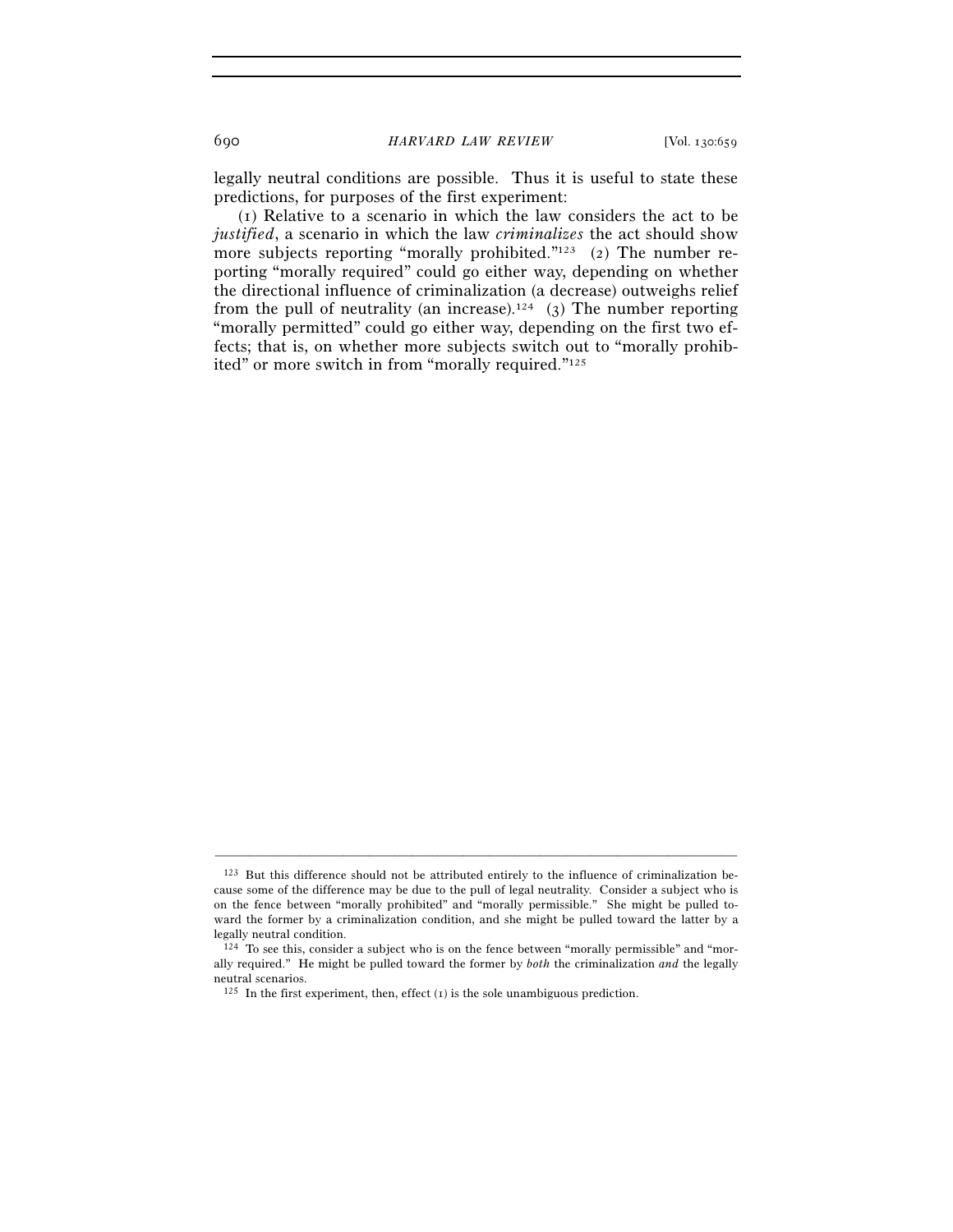legally neutral conditions are possible. Thus it is useful to state these predictions, for purposes of the first experiment:

(1) Relative to a scenario in which the law considers the act to be *justified*, a scenario in which the law *criminalizes* the act should show more subjects reporting "morally prohibited."<sup>123</sup> (2) The number reporting "morally required" could go either way, depending on whether the directional influence of criminalization (a decrease) outweighs relief from the pull of neutrality (an increase).<sup>124</sup> (3) The number reporting "morally permitted" could go either way, depending on the first two effects; that is, on whether more subjects switch out to "morally prohibited" or more switch in from "morally required."125

<sup>123</sup> But this difference should not be attributed entirely to the influence of criminalization because some of the difference may be due to the pull of legal neutrality. Consider a subject who is on the fence between "morally prohibited" and "morally permissible." She might be pulled toward the former by a criminalization condition, and she might be pulled toward the latter by a legally neutral condition.

<sup>&</sup>lt;sup>124</sup> To see this, consider a subject who is on the fence between "morally permissible" and "morally required." He might be pulled toward the former by *both* the criminalization *and* the legally neutral scenarios.

 $125$  In the first experiment, then, effect (1) is the sole unambiguous prediction.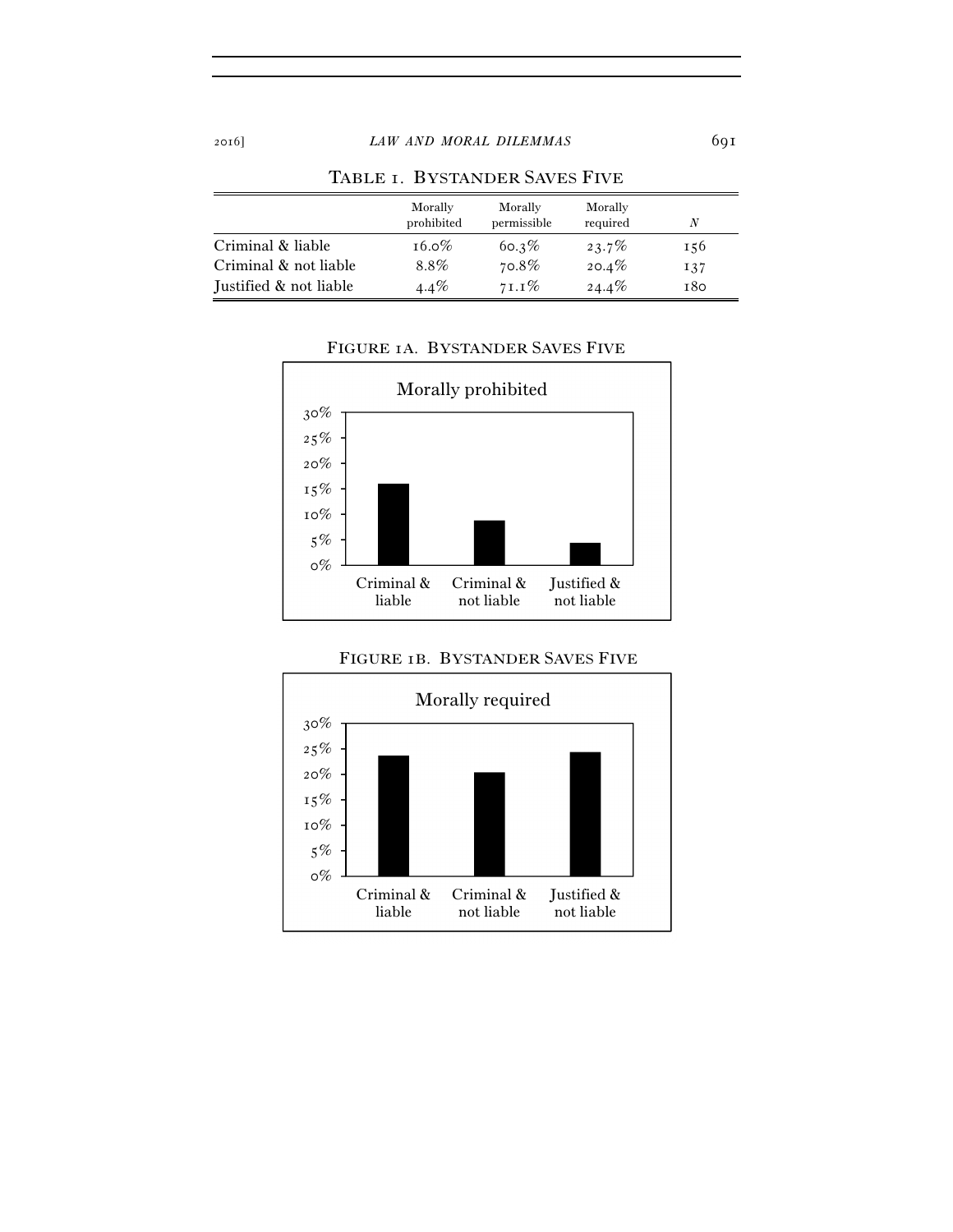|                        | Morally<br>prohibited | Morally<br>permissible | Morally<br>required | N   |
|------------------------|-----------------------|------------------------|---------------------|-----|
| Criminal & liable      | $16.0\%$              | $60.3\%$               | $23.7\%$            | 156 |
| Criminal & not liable  | 8.8%                  | 70.8%                  | $20.4\%$            | 137 |
| Justified & not liable | $4.4\%$               | $71.1\%$               | $24.4\%$            | 180 |

## TABLE 1. BYSTANDER SAVES FIVE

## FIGURE 1A. BYSTANDER SAVES FIVE



# FIGURE 1B. BYSTANDER SAVES FIVE

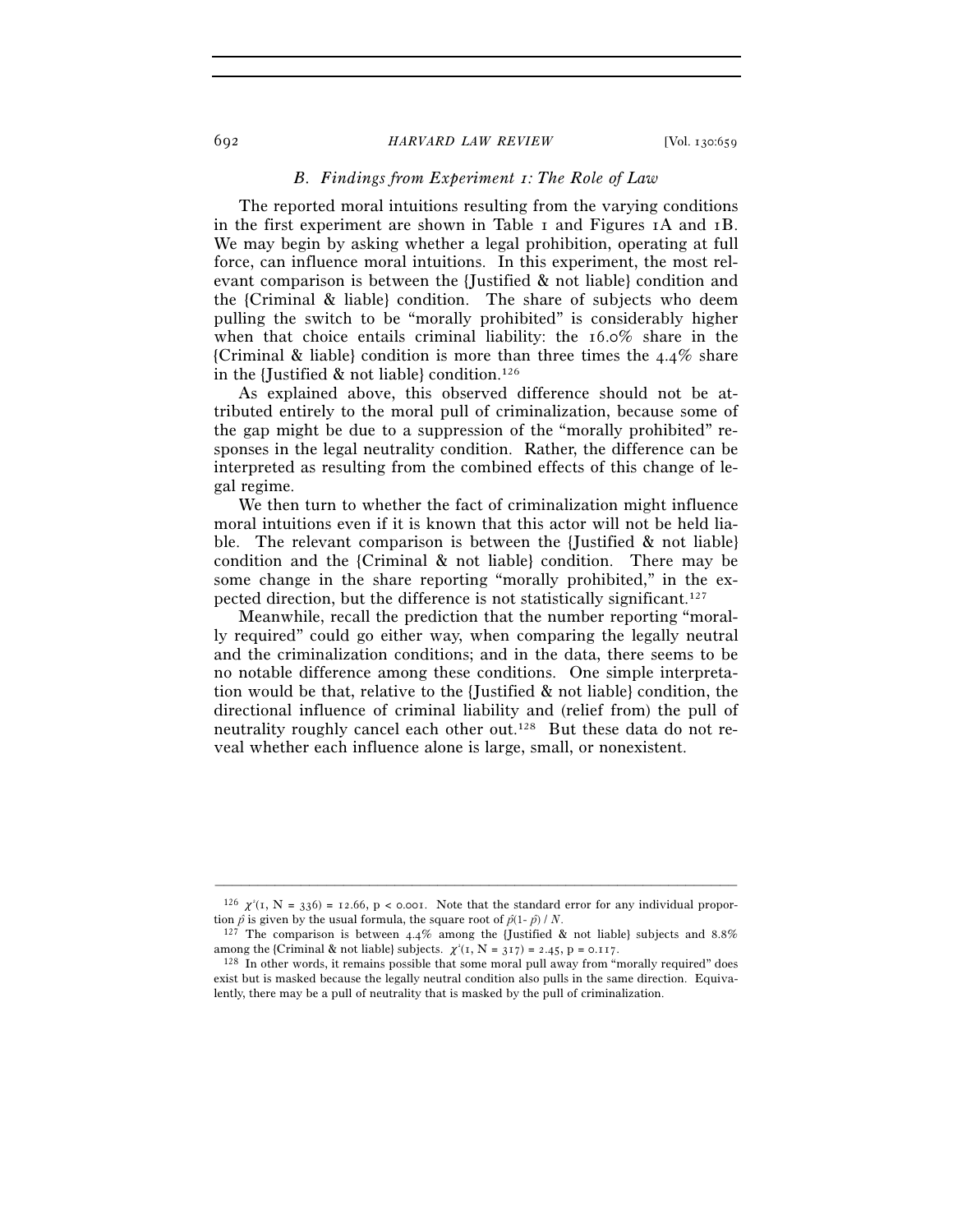#### 692 *HARVARD LAW REVIEW* [Vol. 130:659

## *B. Findings from Experiment 1: The Role of Law*

The reported moral intuitions resulting from the varying conditions in the first experiment are shown in Table 1 and Figures 1A and 1B. We may begin by asking whether a legal prohibition, operating at full force, can influence moral intuitions. In this experiment, the most relevant comparison is between the {Justified & not liable} condition and the {Criminal & liable} condition. The share of subjects who deem pulling the switch to be "morally prohibited" is considerably higher when that choice entails criminal liability: the 16.0% share in the {Criminal & liable} condition is more than three times the  $4.4\%$  share in the {Justified  $\&$  not liable} condition.<sup>126</sup>

As explained above, this observed difference should not be attributed entirely to the moral pull of criminalization, because some of the gap might be due to a suppression of the "morally prohibited" responses in the legal neutrality condition. Rather, the difference can be interpreted as resulting from the combined effects of this change of legal regime.

We then turn to whether the fact of criminalization might influence moral intuitions even if it is known that this actor will not be held liable. The relevant comparison is between the {Justified & not liable} condition and the {Criminal & not liable} condition. There may be some change in the share reporting "morally prohibited," in the expected direction, but the difference is not statistically significant.127

Meanwhile, recall the prediction that the number reporting "morally required" could go either way, when comparing the legally neutral and the criminalization conditions; and in the data, there seems to be no notable difference among these conditions. One simple interpretation would be that, relative to the {Justified & not liable} condition, the directional influence of criminal liability and (relief from) the pull of neutrality roughly cancel each other out.128 But these data do not reveal whether each influence alone is large, small, or nonexistent.

<sup>–––––––––––––––––––––––––––––––––––––––––––––––––––––––––––––</sup>  $^{126}$   $\chi^2(1, N = 336) = 12.66$ , p < 0.001. Note that the standard error for any individual proportion  $\hat{p}$  is given by the usual formula, the square root of  $\hat{p}(1-\hat{p})/N$ .

 $127$  The comparison is between 4.4% among the {Justified & not liable} subjects and 8.8% among the {Criminal & not liable} subjects.  $\chi^2(I, N = 3I7) = 2.45$ ,  $p = 0.1I7$ .

 $128$  In other words, it remains possible that some moral pull away from "morally required" does exist but is masked because the legally neutral condition also pulls in the same direction. Equivalently, there may be a pull of neutrality that is masked by the pull of criminalization.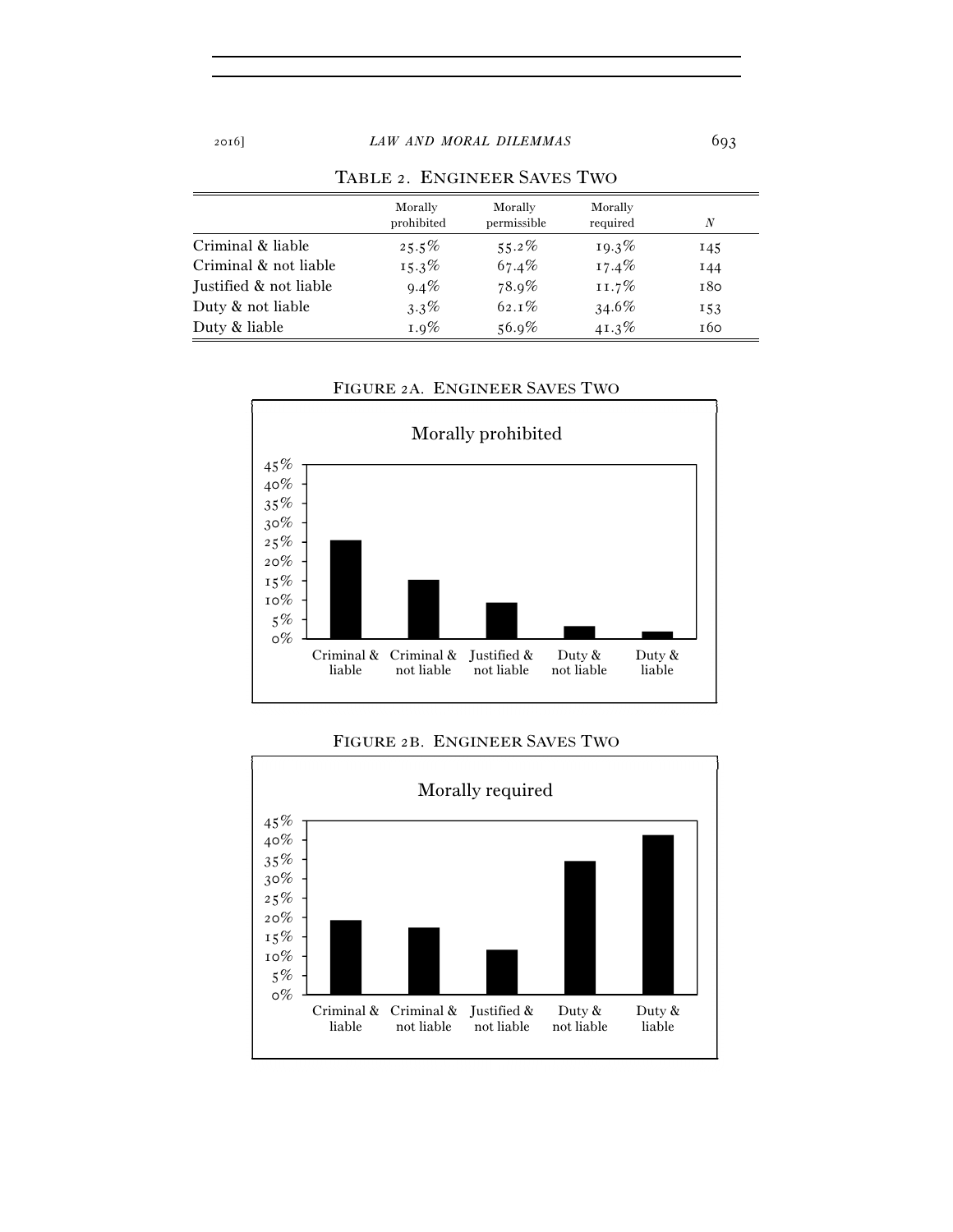|                        | Morally<br>prohibited | Morally<br>permissible | Morally<br>required | N   |
|------------------------|-----------------------|------------------------|---------------------|-----|
| Criminal & liable      | $25.5\%$              | $55.2\%$               | $19.3\%$            | 145 |
| Criminal & not liable  | $15.3\%$              | 67.4%                  | $17.4\%$            | I44 |
| Justified & not liable | $9.4\%$               | $78.9\%$               | $11.7\%$            | 180 |
| Duty & not liable      | $3.3\%$               | $62.1\%$               | $34.6\%$            | 153 |
| Duty & liable          | $1.9\%$               | $56.9\%$               | $41.3\%$            | 160 |

## TABLE 2. ENGINEER SAVES TWO



# FIGURE 2A. ENGINEER SAVES TWO

# FIGURE 2B. ENGINEER SAVES TWO

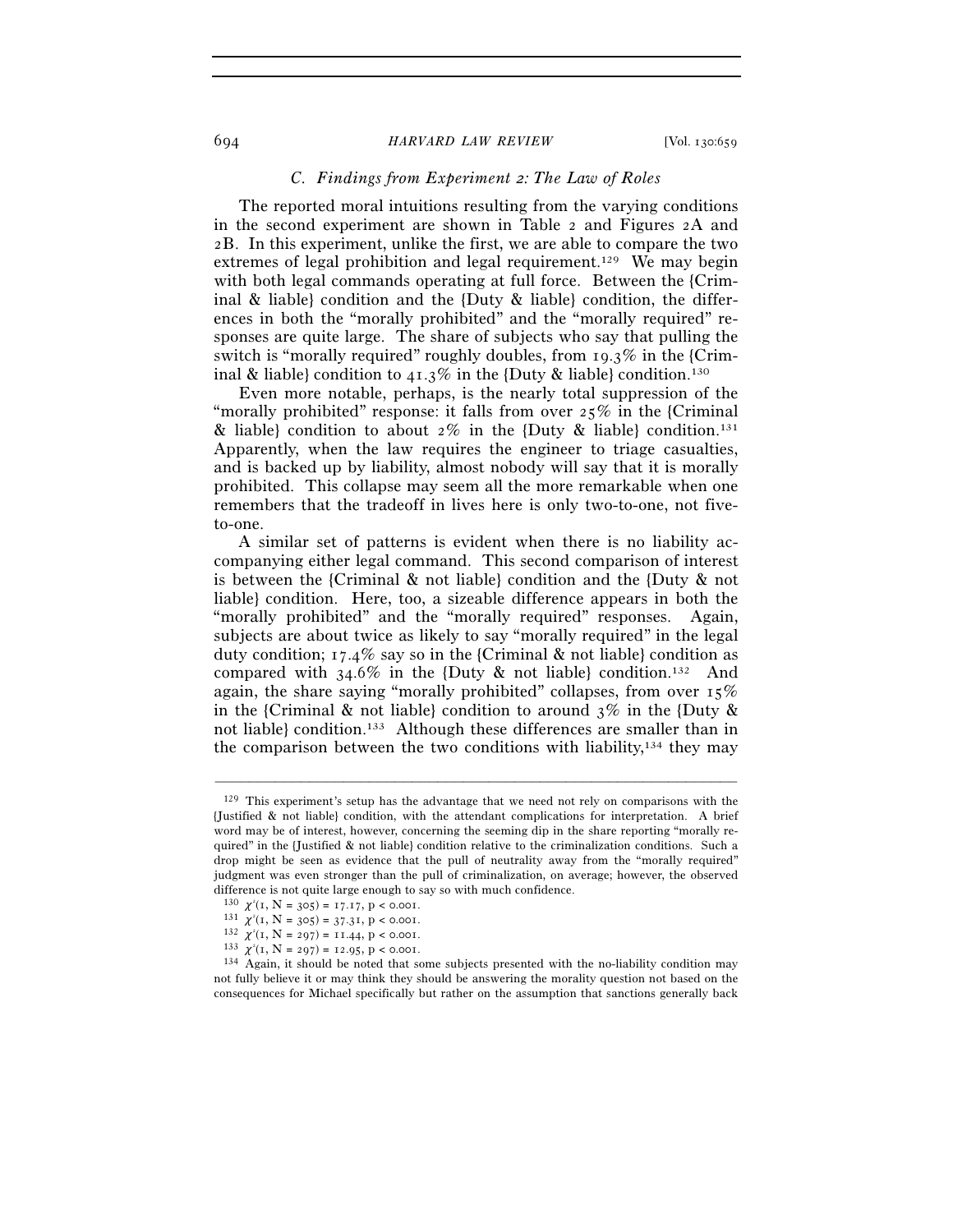#### 694 *HARVARD LAW REVIEW* [Vol. 130:659

## *C. Findings from Experiment 2: The Law of Roles*

The reported moral intuitions resulting from the varying conditions in the second experiment are shown in Table 2 and Figures 2A and 2B. In this experiment, unlike the first, we are able to compare the two extremes of legal prohibition and legal requirement.129 We may begin with both legal commands operating at full force. Between the {Criminal & liable} condition and the {Duty & liable} condition, the differences in both the "morally prohibited" and the "morally required" responses are quite large. The share of subjects who say that pulling the switch is "morally required" roughly doubles, from 19.3% in the {Criminal & liable} condition to  $41.3\%$  in the {Duty & liable} condition.<sup>130</sup>

Even more notable, perhaps, is the nearly total suppression of the "morally prohibited" response: it falls from over  $25\%$  in the {Criminal & liable} condition to about  $2\%$  in the {Duty & liable} condition.<sup>131</sup> Apparently, when the law requires the engineer to triage casualties, and is backed up by liability, almost nobody will say that it is morally prohibited. This collapse may seem all the more remarkable when one remembers that the tradeoff in lives here is only two-to-one, not fiveto-one.

A similar set of patterns is evident when there is no liability accompanying either legal command. This second comparison of interest is between the {Criminal & not liable} condition and the {Duty & not liable} condition. Here, too, a sizeable difference appears in both the "morally prohibited" and the "morally required" responses. Again, subjects are about twice as likely to say "morally required" in the legal duty condition;  $17.4\%$  say so in the {Criminal & not liable} condition as compared with  $34.6\%$  in the {Duty & not liable} condition.<sup>132</sup> And again, the share saying "morally prohibited" collapses, from over  $15\%$ in the {Criminal & not liable} condition to around  $3\%$  in the {Duty & not liable} condition.133 Although these differences are smaller than in the comparison between the two conditions with liability, $134$  they may

<sup>129</sup> This experiment's setup has the advantage that we need not rely on comparisons with the {Justified & not liable} condition, with the attendant complications for interpretation. A brief word may be of interest, however, concerning the seeming dip in the share reporting "morally required" in the {Justified & not liable} condition relative to the criminalization conditions. Such a drop might be seen as evidence that the pull of neutrality away from the "morally required" judgment was even stronger than the pull of criminalization, on average; however, the observed difference is not quite large enough to say so with much confidence.

<sup>130</sup>  $\chi^2(I, N = 305) = 17.17, p < 0.001$ .<br>
131  $\chi^2(I, N = 305) = 37.31, p < 0.001$ .

 $\begin{array}{c} 131 \ x^2(1, \, N=305)=37.31, \, p<0.001. \\ 132 \ x^2(1, \, N=297)=11.44, \, p<0.001. \end{array}$ 

<sup>133</sup>  $\chi^2(1, N = 297) = 12.95, p < 0.001$ .

 $134$  Again, it should be noted that some subjects presented with the no-liability condition may not fully believe it or may think they should be answering the morality question not based on the consequences for Michael specifically but rather on the assumption that sanctions generally back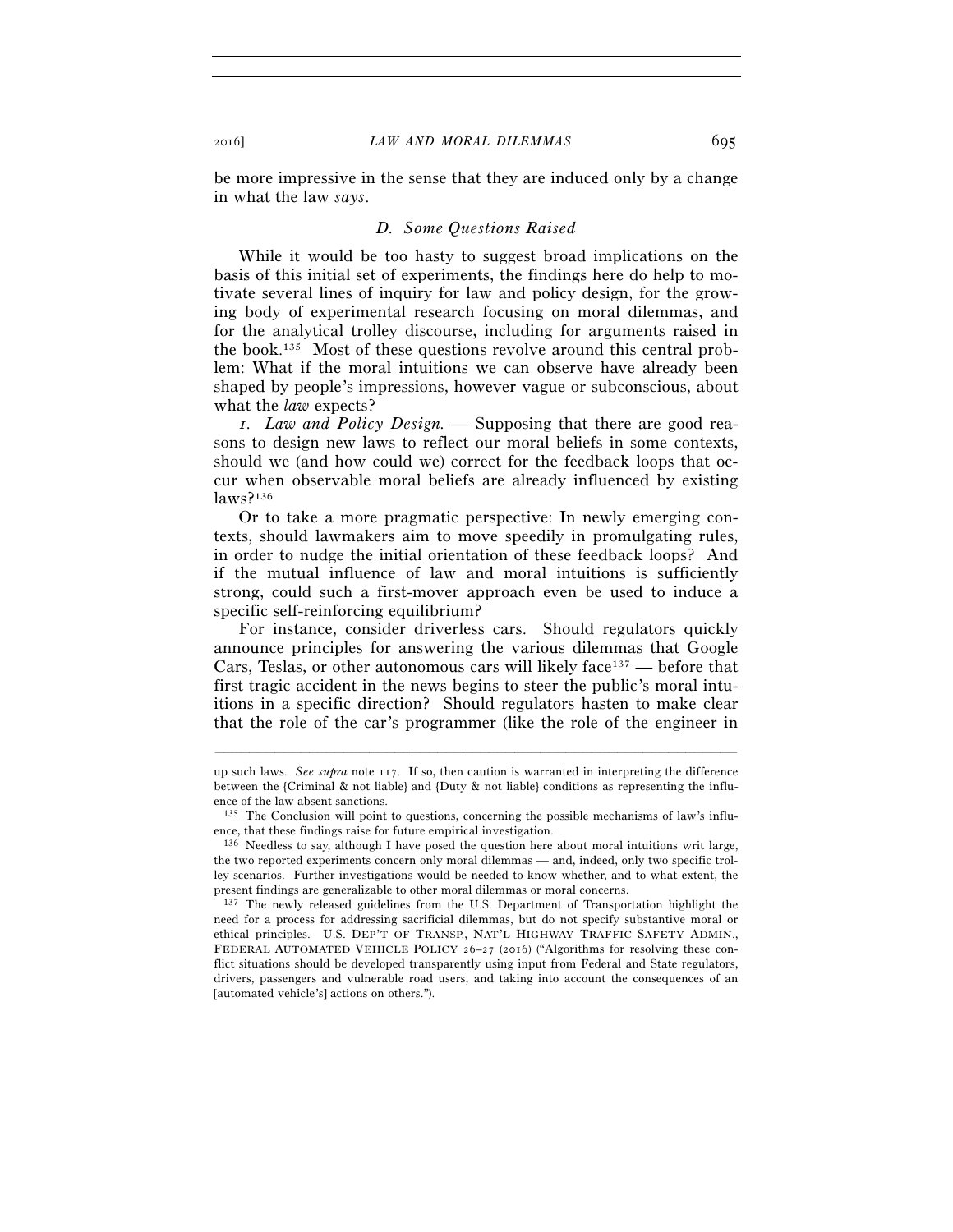be more impressive in the sense that they are induced only by a change in what the law *says*.

#### *D. Some Questions Raised*

While it would be too hasty to suggest broad implications on the basis of this initial set of experiments, the findings here do help to motivate several lines of inquiry for law and policy design, for the growing body of experimental research focusing on moral dilemmas, and for the analytical trolley discourse, including for arguments raised in the book.135 Most of these questions revolve around this central problem: What if the moral intuitions we can observe have already been shaped by people's impressions, however vague or subconscious, about what the *law* expects?

*1. Law and Policy Design. —* Supposing that there are good reasons to design new laws to reflect our moral beliefs in some contexts, should we (and how could we) correct for the feedback loops that occur when observable moral beliefs are already influenced by existing laws?136

Or to take a more pragmatic perspective: In newly emerging contexts, should lawmakers aim to move speedily in promulgating rules, in order to nudge the initial orientation of these feedback loops? And if the mutual influence of law and moral intuitions is sufficiently strong, could such a first-mover approach even be used to induce a specific self-reinforcing equilibrium?

For instance, consider driverless cars. Should regulators quickly announce principles for answering the various dilemmas that Google Cars, Teslas, or other autonomous cars will likely face $137$  — before that first tragic accident in the news begins to steer the public's moral intuitions in a specific direction? Should regulators hasten to make clear that the role of the car's programmer (like the role of the engineer in

up such laws. *See supra* note 117. If so, then caution is warranted in interpreting the difference between the {Criminal & not liable} and {Duty & not liable} conditions as representing the influence of the law absent sanctions.

<sup>135</sup> The Conclusion will point to questions, concerning the possible mechanisms of law's influence, that these findings raise for future empirical investigation.

<sup>136</sup> Needless to say, although I have posed the question here about moral intuitions writ large, the two reported experiments concern only moral dilemmas — and, indeed, only two specific trolley scenarios. Further investigations would be needed to know whether, and to what extent, the

<sup>&</sup>lt;sup>137</sup> The newly released guidelines from the U.S. Department of Transportation highlight the need for a process for addressing sacrificial dilemmas, but do not specify substantive moral or ethical principles. U.S. DEP'T OF TRANSP., NAT'L HIGHWAY TRAFFIC SAFETY ADMIN., FEDERAL AUTOMATED VEHICLE POLICY 26–27 (2016) ("Algorithms for resolving these conflict situations should be developed transparently using input from Federal and State regulators, drivers, passengers and vulnerable road users, and taking into account the consequences of an [automated vehicle's] actions on others.").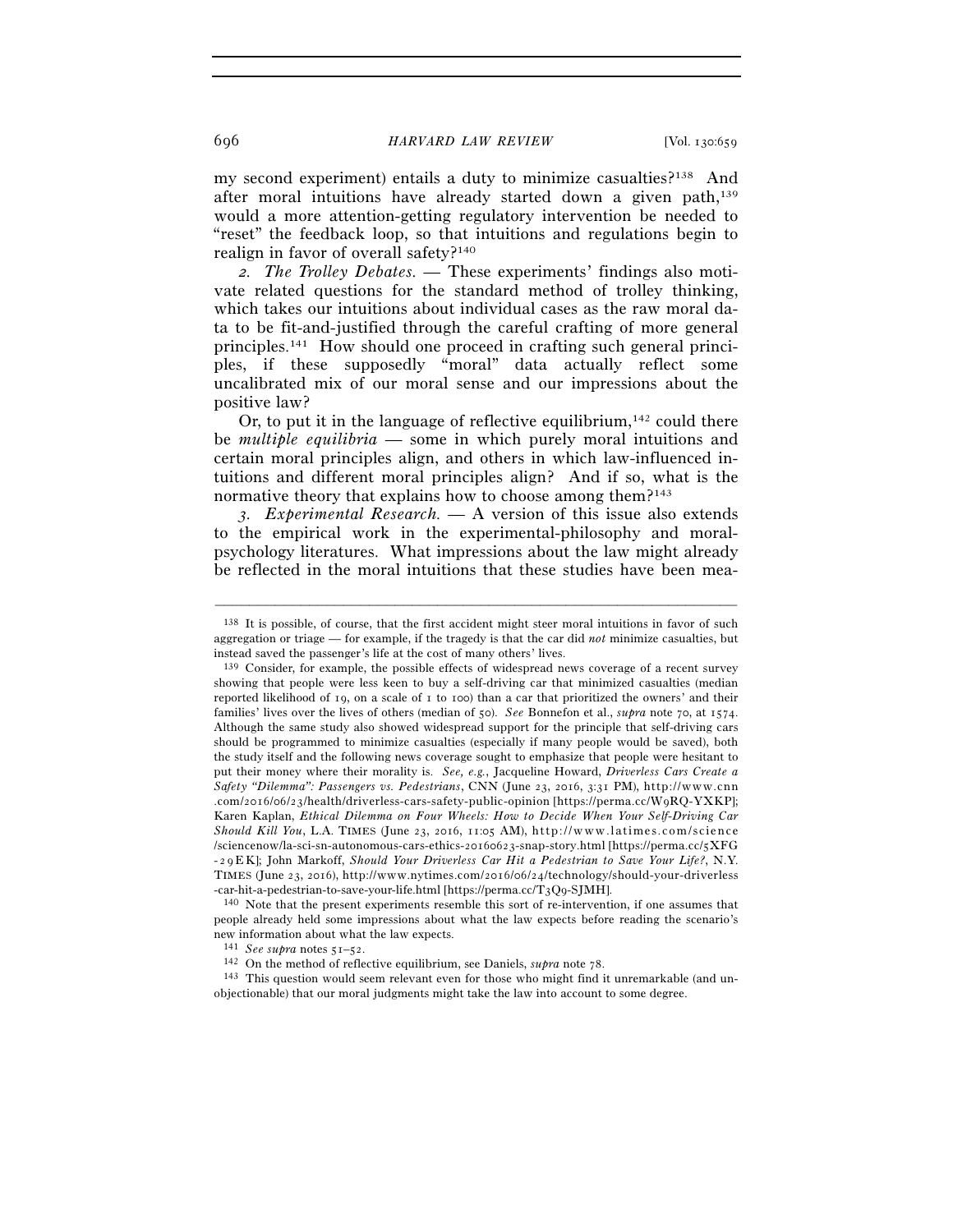my second experiment) entails a duty to minimize casualties?138 And after moral intuitions have already started down a given path,139 would a more attention-getting regulatory intervention be needed to "reset" the feedback loop, so that intuitions and regulations begin to realign in favor of overall safety?140

*2. The Trolley Debates. —* These experiments' findings also motivate related questions for the standard method of trolley thinking, which takes our intuitions about individual cases as the raw moral data to be fit-and-justified through the careful crafting of more general principles.141 How should one proceed in crafting such general principles, if these supposedly "moral" data actually reflect some uncalibrated mix of our moral sense and our impressions about the positive law?

Or, to put it in the language of reflective equilibrium,  $142$  could there be *multiple equilibria* — some in which purely moral intuitions and certain moral principles align, and others in which law-influenced intuitions and different moral principles align? And if so, what is the normative theory that explains how to choose among them?<sup>143</sup>

*3. Experimental Research. —* A version of this issue also extends to the empirical work in the experimental-philosophy and moralpsychology literatures. What impressions about the law might already be reflected in the moral intuitions that these studies have been mea-

–––––––––––––––––––––––––––––––––––––––––––––––––––––––––––––

-car-hit-a-pedestrian-to-save-your-life.html [https://perma.cc/T<sub>3</sub>Q9-SJMH].<br><sup>140</sup> Note that the present experiments resemble this sort of re-intervention, if one assumes that people already held some impressions about what the law expects before reading the scenario's new information about what the law expects.<br> $141 \text{ See supra notes } 51-52.$ 

<sup>138</sup> It is possible, of course, that the first accident might steer moral intuitions in favor of such aggregation or triage — for example, if the tragedy is that the car did *not* minimize casualties, but instead saved the passenger's life at the cost of many others' lives.

 <sup>139</sup> Consider, for example, the possible effects of widespread news coverage of a recent survey showing that people were less keen to buy a self-driving car that minimized casualties (median reported likelihood of 19, on a scale of 1 to 100) than a car that prioritized the owners' and their families' lives over the lives of others (median of 50). *See* Bonnefon et al., *supra* note 70, at 1574. Although the same study also showed widespread support for the principle that self-driving cars should be programmed to minimize casualties (especially if many people would be saved), both the study itself and the following news coverage sought to emphasize that people were hesitant to put their money where their morality is. *See, e.g.*, Jacqueline Howard, *Driverless Cars Create a Safety "Dilemma": Passengers vs. Pedestrians*, CNN (June 23, 2016, 3:31 PM), http://www.cnn .com/2016/06/23/health/driverless-cars-safety-public-opinion [https://perma.cc/WqRO-YXKP]; Karen Kaplan, *Ethical Dilemma on Four Wheels: How to Decide When Your Self-Driving Car Should Kill You*, L.A. TIMES (June 23, 2016, 11:05 AM), http://www.latimes.com/science /sciencenow/la-sci-sn-autonomous-cars-ethics-20160623-snap-story.html [https://perma.cc/5XFG - 29 E K]; John Markoff, *Should Your Driverless Car Hit a Pedestrian to Save Your Life?*, N.Y. TIMES (June 23, 2016), http://www.nytimes.com/2016/06/24/technology/should-your-driverless

<sup>&</sup>lt;sup>142</sup> On the method of reflective equilibrium, see Daniels, *supra* note 78. <sup>143</sup> This question would seem relevant even for those who might find it unremarkable (and unobjectionable) that our moral judgments might take the law into account to some degree.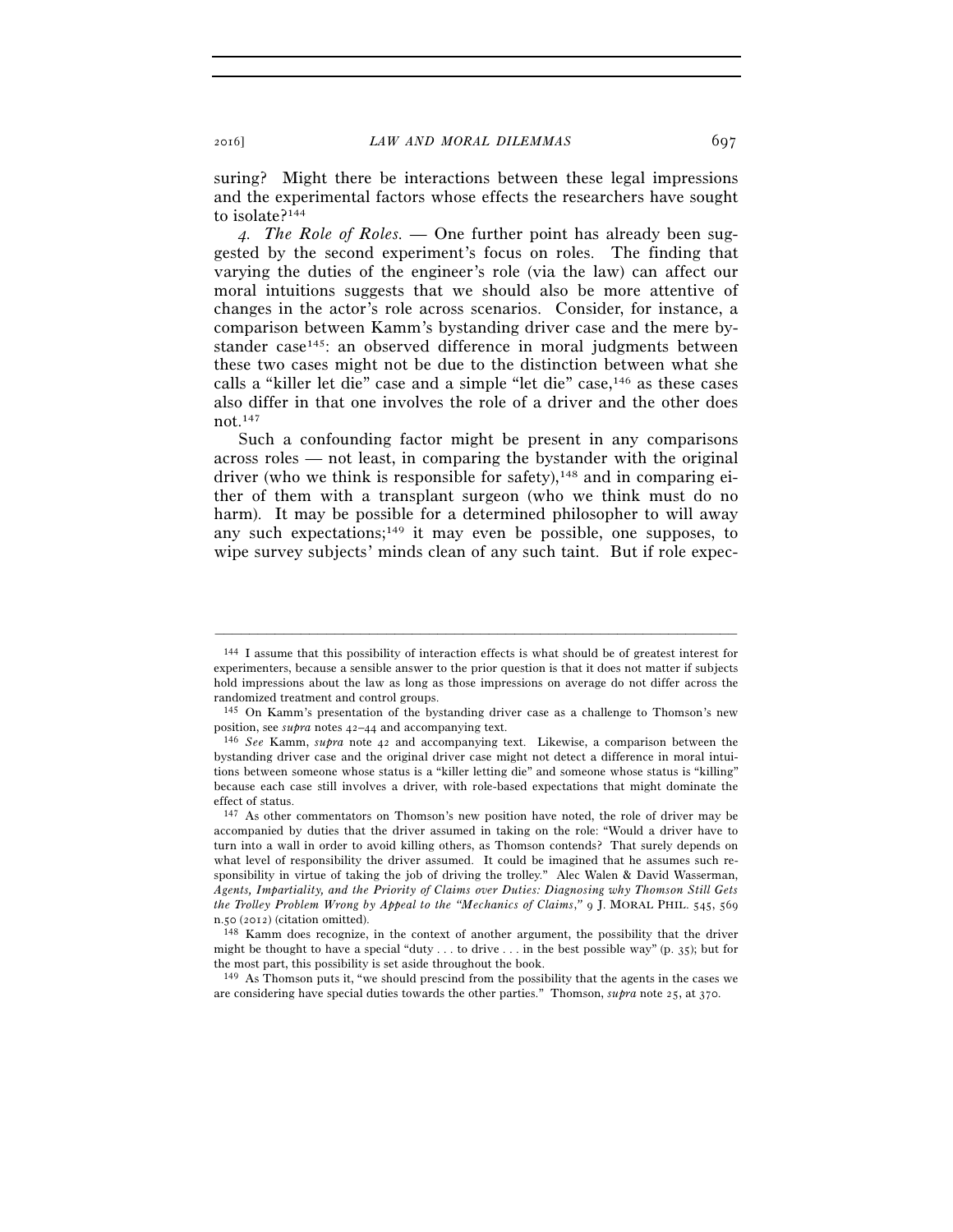suring? Might there be interactions between these legal impressions and the experimental factors whose effects the researchers have sought to isolate?144

*4. The Role of Roles. —* One further point has already been suggested by the second experiment's focus on roles. The finding that varying the duties of the engineer's role (via the law) can affect our moral intuitions suggests that we should also be more attentive of changes in the actor's role across scenarios. Consider, for instance, a comparison between Kamm's bystanding driver case and the mere bystander case<sup>145</sup>: an observed difference in moral judgments between these two cases might not be due to the distinction between what she calls a "killer let die" case and a simple "let die" case,146 as these cases also differ in that one involves the role of a driver and the other does not.147

Such a confounding factor might be present in any comparisons across roles — not least, in comparing the bystander with the original driver (who we think is responsible for safety),  $148$  and in comparing either of them with a transplant surgeon (who we think must do no harm). It may be possible for a determined philosopher to will away any such expectations;<sup>149</sup> it may even be possible, one supposes, to wipe survey subjects' minds clean of any such taint. But if role expec-

<sup>144</sup> I assume that this possibility of interaction effects is what should be of greatest interest for experimenters, because a sensible answer to the prior question is that it does not matter if subjects hold impressions about the law as long as those impressions on average do not differ across the randomized treatment and control groups.

<sup>&</sup>lt;sup>145</sup> On Kamm's presentation of the bystanding driver case as a challenge to Thomson's new position, see *supra* notes  $42-44$  and accompanying text.

position, see *supra* notes 42–44 and accompanying text. 146 *See* Kamm, *supra* note 42 and accompanying text. Likewise, a comparison between the bystanding driver case and the original driver case might not detect a difference in moral intuitions between someone whose status is a "killer letting die" and someone whose status is "killing" because each case still involves a driver, with role-based expectations that might dominate the effect of status.

<sup>147</sup> As other commentators on Thomson's new position have noted, the role of driver may be accompanied by duties that the driver assumed in taking on the role: "Would a driver have to turn into a wall in order to avoid killing others, as Thomson contends? That surely depends on what level of responsibility the driver assumed. It could be imagined that he assumes such responsibility in virtue of taking the job of driving the trolley." Alec Walen & David Wasserman, *Agents, Impartiality, and the Priority of Claims over Duties: Diagnosing why Thomson Still Gets the Trolley Problem Wrong by Appeal to the "Mechanics of Claims*,*"* 9 J. MORAL PHIL. 545, 569

n.50 (2012) (citation omitted). 148 Kamm does recognize, in the context of another argument, the possibility that the driver might be thought to have a special "duty . . . to drive . . . in the best possible way" (p. 35); but for the most part, this possibility is set aside throughout the book.

 <sup>149</sup> As Thomson puts it, "we should prescind from the possibility that the agents in the cases we are considering have special duties towards the other parties." Thomson, *supra* note 25, at 370.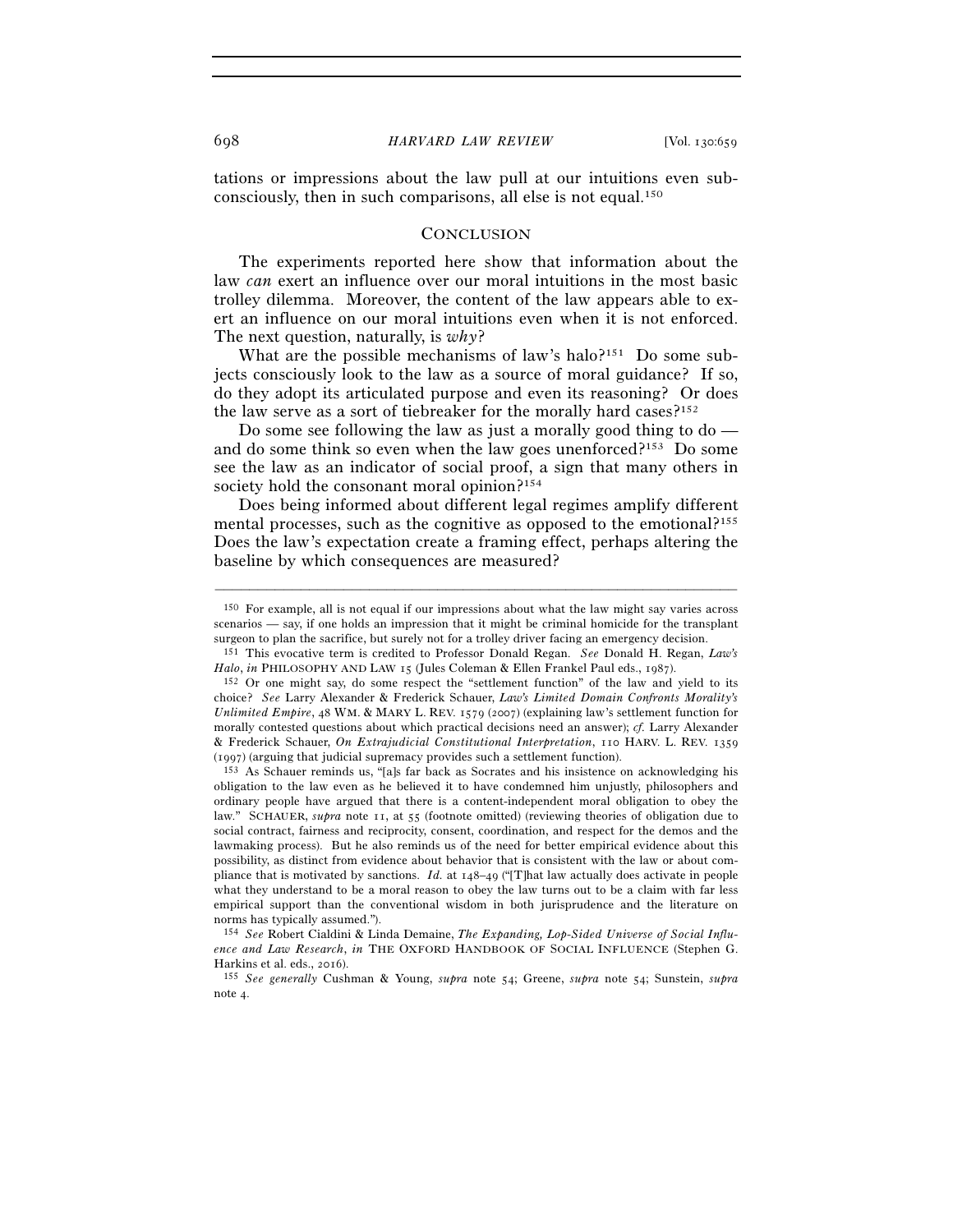tations or impressions about the law pull at our intuitions even subconsciously, then in such comparisons, all else is not equal.150

### **CONCLUSION**

The experiments reported here show that information about the law *can* exert an influence over our moral intuitions in the most basic trolley dilemma. Moreover, the content of the law appears able to exert an influence on our moral intuitions even when it is not enforced. The next question, naturally, is *why*?

What are the possible mechanisms of law's halo?<sup>151</sup> Do some subjects consciously look to the law as a source of moral guidance? If so, do they adopt its articulated purpose and even its reasoning? Or does the law serve as a sort of tiebreaker for the morally hard cases?152

Do some see following the law as just a morally good thing to do and do some think so even when the law goes unenforced?<sup>153</sup> Do some see the law as an indicator of social proof, a sign that many others in society hold the consonant moral opinion?<sup>154</sup>

Does being informed about different legal regimes amplify different mental processes, such as the cognitive as opposed to the emotional?<sup>155</sup> Does the law's expectation create a framing effect, perhaps altering the baseline by which consequences are measured?

<sup>150</sup> For example, all is not equal if our impressions about what the law might say varies across scenarios — say, if one holds an impression that it might be criminal homicide for the transplant surgeon to plan the sacrifice, but surely not for a trolley driver facing an emergency decision. 151 This evocative term is credited to Professor Donald Regan. *See* Donald H. Regan, *Law's* 

*Halo*, *in* PHILOSOPHY AND LAW 15 (Jules Coleman & Ellen Frankel Paul eds., 1987).<br><sup>152</sup> Or one might say, do some respect the "settlement function" of the law and yield to its

choice? *See* Larry Alexander & Frederick Schauer, *Law's Limited Domain Confronts Morality's Unlimited Empire*, 48 WM. & MARY L. REV. 1579 (2007) (explaining law's settlement function for morally contested questions about which practical decisions need an answer); *cf.* Larry Alexander & Frederick Schauer, *On Extrajudicial Constitutional Interpretation*, 110 HARV. L. REV. 1359  $(1997)$  (arguing that judicial supremacy provides such a settlement function).<br><sup>153</sup> As Schauer reminds us, "[a]s far back as Socrates and his insistence on acknowledging his

obligation to the law even as he believed it to have condemned him unjustly, philosophers and ordinary people have argued that there is a content-independent moral obligation to obey the law." SCHAUER, *supra* note 11, at 55 (footnote omitted) (reviewing theories of obligation due to social contract, fairness and reciprocity, consent, coordination, and respect for the demos and the lawmaking process). But he also reminds us of the need for better empirical evidence about this possibility, as distinct from evidence about behavior that is consistent with the law or about compliance that is motivated by sanctions. *Id.* at 148–49 ("[T]hat law actually does activate in people what they understand to be a moral reason to obey the law turns out to be a claim with far less empirical support than the conventional wisdom in both jurisprudence and the literature on norms has typically assumed.").

 <sup>154</sup> *See* Robert Cialdini & Linda Demaine, *The Expanding, Lop-Sided Universe of Social Influence and Law Research*, *in* THE OXFORD HANDBOOK OF SOCIAL INFLUENCE (Stephen G. Harkins et al. eds., 2016). 155 *See generally* Cushman & Young, *supra* note 54; Greene, *supra* note 54; Sunstein, *supra*

note 4.